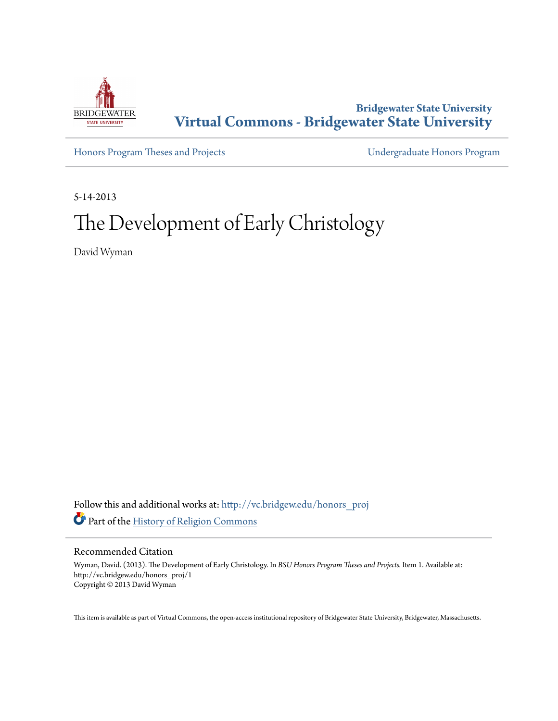

**Bridgewater State University [Virtual Commons - Bridgewater State University](http://vc.bridgew.edu?utm_source=vc.bridgew.edu%2Fhonors_proj%2F1&utm_medium=PDF&utm_campaign=PDFCoverPages)**

[Honors Program Theses and Projects](http://vc.bridgew.edu/honors_proj?utm_source=vc.bridgew.edu%2Fhonors_proj%2F1&utm_medium=PDF&utm_campaign=PDFCoverPages) [Undergraduate Honors Program](http://vc.bridgew.edu/honors?utm_source=vc.bridgew.edu%2Fhonors_proj%2F1&utm_medium=PDF&utm_campaign=PDFCoverPages)

5-14-2013

# The Development of Early Christology

David Wyman

Follow this and additional works at: [http://vc.bridgew.edu/honors\\_proj](http://vc.bridgew.edu/honors_proj?utm_source=vc.bridgew.edu%2Fhonors_proj%2F1&utm_medium=PDF&utm_campaign=PDFCoverPages) Part of the [History of Religion Commons](http://network.bepress.com/hgg/discipline/499?utm_source=vc.bridgew.edu%2Fhonors_proj%2F1&utm_medium=PDF&utm_campaign=PDFCoverPages)

#### Recommended Citation

Wyman, David. (2013). The Development of Early Christology. In *BSU Honors Program Theses and Projects.* Item 1. Available at: http://vc.bridgew.edu/honors\_proj/1 Copyright © 2013 David Wyman

This item is available as part of Virtual Commons, the open-access institutional repository of Bridgewater State University, Bridgewater, Massachusetts.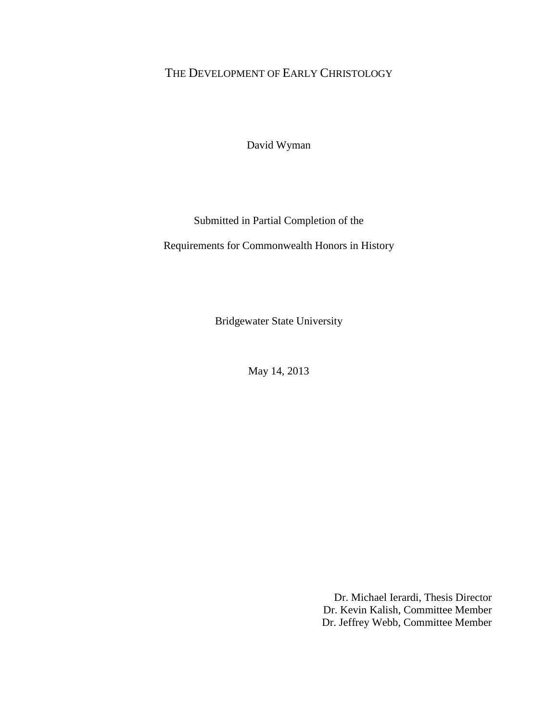# THE DEVELOPMENT OF EARLY CHRISTOLOGY

David Wyman

## Submitted in Partial Completion of the

Requirements for Commonwealth Honors in History

Bridgewater State University

May 14, 2013

Dr. Michael Ierardi, Thesis Director Dr. Kevin Kalish, Committee Member Dr. Jeffrey Webb, Committee Member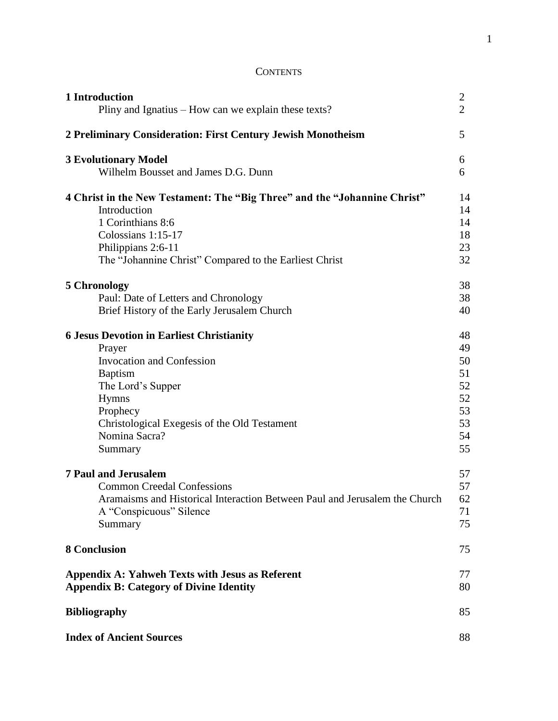# **CONTENTS**

| 1 Introduction                                                             | $\overline{2}$ |
|----------------------------------------------------------------------------|----------------|
| Pliny and Ignatius – How can we explain these texts?                       | $\overline{2}$ |
| 2 Preliminary Consideration: First Century Jewish Monotheism               | 5              |
| <b>3 Evolutionary Model</b>                                                | 6              |
| Wilhelm Bousset and James D.G. Dunn                                        | 6              |
| 4 Christ in the New Testament: The "Big Three" and the "Johannine Christ"  | 14             |
| Introduction                                                               | 14             |
| 1 Corinthians 8:6                                                          | 14             |
| Colossians 1:15-17                                                         | 18             |
| Philippians 2:6-11                                                         | 23             |
| The "Johannine Christ" Compared to the Earliest Christ                     | 32             |
| 5 Chronology                                                               | 38             |
| Paul: Date of Letters and Chronology                                       | 38             |
| Brief History of the Early Jerusalem Church                                | 40             |
| <b>6 Jesus Devotion in Earliest Christianity</b>                           | 48             |
| Prayer                                                                     | 49             |
| <b>Invocation and Confession</b>                                           | 50             |
| <b>Baptism</b>                                                             | 51             |
| The Lord's Supper                                                          | 52             |
| Hymns                                                                      | 52             |
| Prophecy                                                                   | 53             |
| Christological Exegesis of the Old Testament                               | 53             |
| Nomina Sacra?                                                              | 54             |
| Summary                                                                    | 55             |
| <b>7 Paul and Jerusalem</b>                                                | 57             |
| <b>Common Creedal Confessions</b>                                          | 57             |
| Aramaisms and Historical Interaction Between Paul and Jerusalem the Church | 62             |
| A "Conspicuous" Silence                                                    | 71             |
| Summary                                                                    | 75             |
| <b>8 Conclusion</b>                                                        | 75             |
| <b>Appendix A: Yahweh Texts with Jesus as Referent</b>                     | 77             |
| <b>Appendix B: Category of Divine Identity</b>                             | 80             |
| <b>Bibliography</b>                                                        | 85             |
| <b>Index of Ancient Sources</b>                                            | 88             |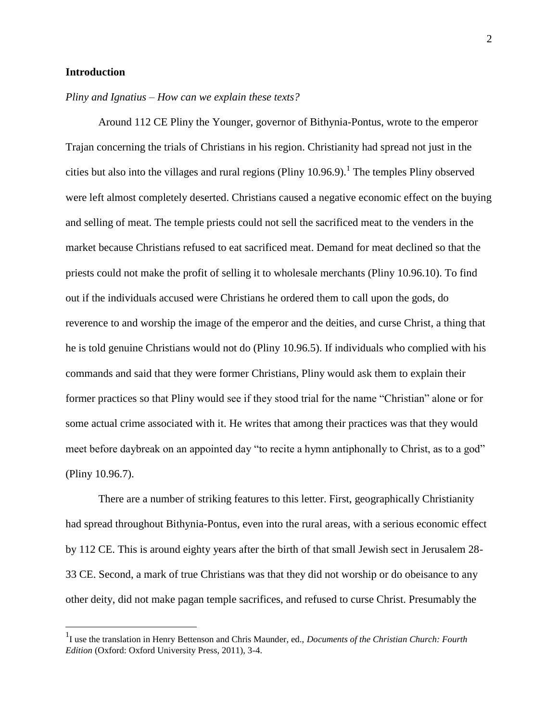#### **Introduction**

 $\overline{a}$ 

#### *Pliny and Ignatius – How can we explain these texts?*

Around 112 CE Pliny the Younger, governor of Bithynia-Pontus, wrote to the emperor Trajan concerning the trials of Christians in his region. Christianity had spread not just in the cities but also into the villages and rural regions (Pliny  $10.96.9$ ).<sup>1</sup> The temples Pliny observed were left almost completely deserted. Christians caused a negative economic effect on the buying and selling of meat. The temple priests could not sell the sacrificed meat to the venders in the market because Christians refused to eat sacrificed meat. Demand for meat declined so that the priests could not make the profit of selling it to wholesale merchants (Pliny 10.96.10). To find out if the individuals accused were Christians he ordered them to call upon the gods, do reverence to and worship the image of the emperor and the deities, and curse Christ, a thing that he is told genuine Christians would not do (Pliny 10.96.5). If individuals who complied with his commands and said that they were former Christians, Pliny would ask them to explain their former practices so that Pliny would see if they stood trial for the name "Christian" alone or for some actual crime associated with it. He writes that among their practices was that they would meet before daybreak on an appointed day "to recite a hymn antiphonally to Christ, as to a god" (Pliny 10.96.7).

There are a number of striking features to this letter. First, geographically Christianity had spread throughout Bithynia-Pontus, even into the rural areas, with a serious economic effect by 112 CE. This is around eighty years after the birth of that small Jewish sect in Jerusalem 28- 33 CE. Second, a mark of true Christians was that they did not worship or do obeisance to any other deity, did not make pagan temple sacrifices, and refused to curse Christ. Presumably the

<sup>&</sup>lt;sup>1</sup>I use the translation in Henry Bettenson and Chris Maunder, ed., *Documents of the Christian Church: Fourth Edition* (Oxford: Oxford University Press, 2011), 3-4.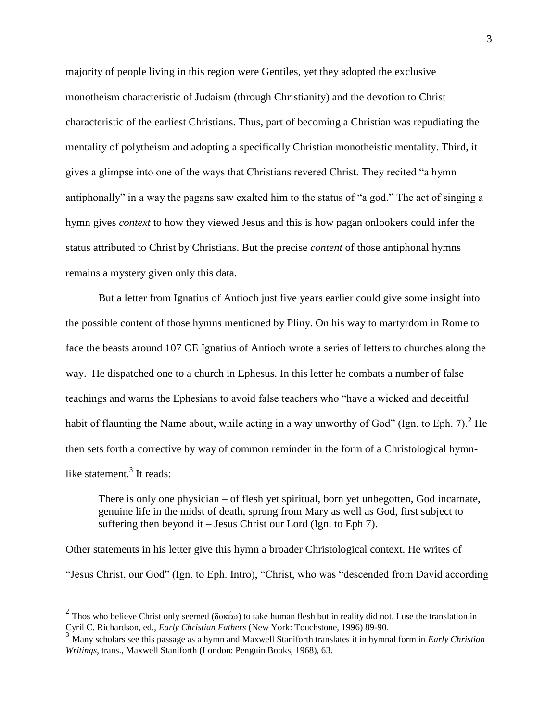majority of people living in this region were Gentiles, yet they adopted the exclusive monotheism characteristic of Judaism (through Christianity) and the devotion to Christ characteristic of the earliest Christians. Thus, part of becoming a Christian was repudiating the mentality of polytheism and adopting a specifically Christian monotheistic mentality. Third, it gives a glimpse into one of the ways that Christians revered Christ. They recited "a hymn antiphonally" in a way the pagans saw exalted him to the status of "a god." The act of singing a hymn gives *context* to how they viewed Jesus and this is how pagan onlookers could infer the status attributed to Christ by Christians. But the precise *content* of those antiphonal hymns remains a mystery given only this data.

But a letter from Ignatius of Antioch just five years earlier could give some insight into the possible content of those hymns mentioned by Pliny. On his way to martyrdom in Rome to face the beasts around 107 CE Ignatius of Antioch wrote a series of letters to churches along the way. He dispatched one to a church in Ephesus. In this letter he combats a number of false teachings and warns the Ephesians to avoid false teachers who "have a wicked and deceitful habit of flaunting the Name about, while acting in a way unworthy of God" (Ign. to Eph. 7).<sup>2</sup> He then sets forth a corrective by way of common reminder in the form of a Christological hymnlike statement.<sup>3</sup> It reads:

There is only one physician – of flesh yet spiritual, born yet unbegotten, God incarnate, genuine life in the midst of death, sprung from Mary as well as God, first subject to suffering then beyond it – Jesus Christ our Lord (Ign. to Eph 7).

Other statements in his letter give this hymn a broader Christological context. He writes of "Jesus Christ, our God" (Ign. to Eph. Intro), "Christ, who was "descended from David according

<sup>&</sup>lt;sup>2</sup> Thos who believe Christ only seemed ( $\delta$ o $\kappa \in \omega$ ) to take human flesh but in reality did not. I use the translation in Cyril C. Richardson, ed., *Early Christian Fathers* (New York: Touchstone, 1996) 89-90.

<sup>3</sup> Many scholars see this passage as a hymn and Maxwell Staniforth translates it in hymnal form in *Early Christian Writings*, trans., Maxwell Staniforth (London: Penguin Books, 1968), 63.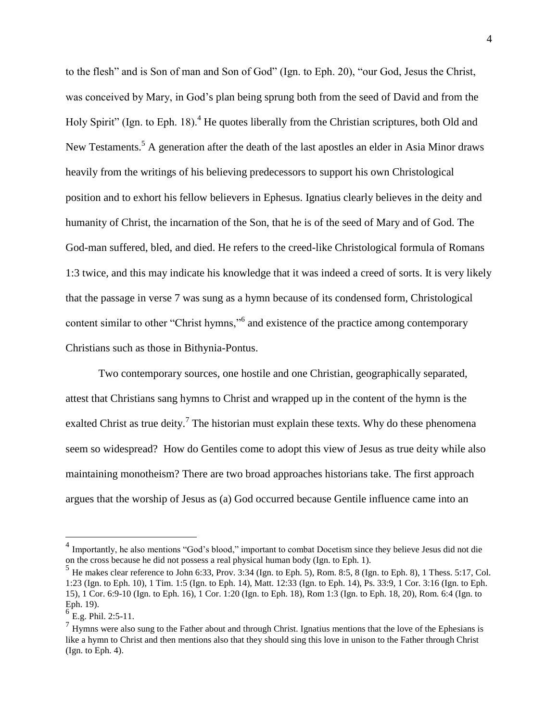to the flesh" and is Son of man and Son of God" (Ign. to Eph. 20), "our God, Jesus the Christ, was conceived by Mary, in God's plan being sprung both from the seed of David and from the Holy Spirit" (Ign. to Eph. 18).<sup>4</sup> He quotes liberally from the Christian scriptures, both Old and New Testaments.<sup>5</sup> A generation after the death of the last apostles an elder in Asia Minor draws heavily from the writings of his believing predecessors to support his own Christological position and to exhort his fellow believers in Ephesus. Ignatius clearly believes in the deity and humanity of Christ, the incarnation of the Son, that he is of the seed of Mary and of God. The God-man suffered, bled, and died. He refers to the creed-like Christological formula of Romans 1:3 twice, and this may indicate his knowledge that it was indeed a creed of sorts. It is very likely that the passage in verse 7 was sung as a hymn because of its condensed form, Christological content similar to other "Christ hymns,"<sup>6</sup> and existence of the practice among contemporary Christians such as those in Bithynia-Pontus.

Two contemporary sources, one hostile and one Christian, geographically separated, attest that Christians sang hymns to Christ and wrapped up in the content of the hymn is the exalted Christ as true deity.<sup>7</sup> The historian must explain these texts. Why do these phenomena seem so widespread? How do Gentiles come to adopt this view of Jesus as true deity while also maintaining monotheism? There are two broad approaches historians take. The first approach argues that the worship of Jesus as (a) God occurred because Gentile influence came into an

<sup>&</sup>lt;sup>4</sup> Importantly, he also mentions "God's blood," important to combat Docetism since they believe Jesus did not die on the cross because he did not possess a real physical human body (Ign. to Eph. 1).

 $<sup>5</sup>$  He makes clear reference to John 6:33, Prov. 3:34 (Ign. to Eph. 5), Rom. 8:5, 8 (Ign. to Eph. 8), 1 Thess. 5:17, Col.</sup> 1:23 (Ign. to Eph. 10), 1 Tim. 1:5 (Ign. to Eph. 14), Matt. 12:33 (Ign. to Eph. 14), Ps. 33:9, 1 Cor. 3:16 (Ign. to Eph. 15), 1 Cor. 6:9-10 (Ign. to Eph. 16), 1 Cor. 1:20 (Ign. to Eph. 18), Rom 1:3 (Ign. to Eph. 18, 20), Rom. 6:4 (Ign. to Eph. 19).

 $6$  E.g. Phil. 2:5-11.

 $<sup>7</sup>$  Hymns were also sung to the Father about and through Christ. Ignatius mentions that the love of the Ephesians is</sup> like a hymn to Christ and then mentions also that they should sing this love in unison to the Father through Christ (Ign. to Eph. 4).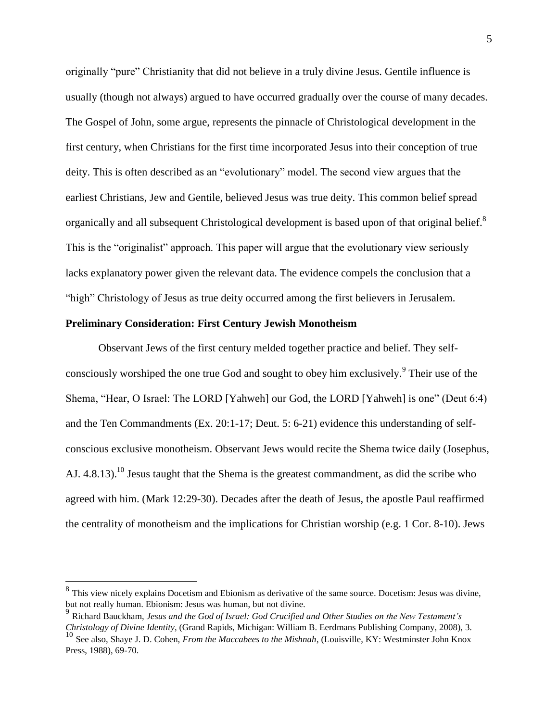originally "pure" Christianity that did not believe in a truly divine Jesus. Gentile influence is usually (though not always) argued to have occurred gradually over the course of many decades. The Gospel of John, some argue, represents the pinnacle of Christological development in the first century, when Christians for the first time incorporated Jesus into their conception of true deity. This is often described as an "evolutionary" model. The second view argues that the earliest Christians, Jew and Gentile, believed Jesus was true deity. This common belief spread organically and all subsequent Christological development is based upon of that original belief.<sup>8</sup> This is the "originalist" approach. This paper will argue that the evolutionary view seriously lacks explanatory power given the relevant data. The evidence compels the conclusion that a "high" Christology of Jesus as true deity occurred among the first believers in Jerusalem.

#### **Preliminary Consideration: First Century Jewish Monotheism**

 $\overline{a}$ 

Observant Jews of the first century melded together practice and belief. They selfconsciously worshiped the one true God and sought to obey him exclusively. <sup>9</sup> Their use of the Shema, "Hear, O Israel: The LORD [Yahweh] our God, the LORD [Yahweh] is one" (Deut 6:4) and the Ten Commandments (Ex. 20:1-17; Deut. 5: 6-21) evidence this understanding of selfconscious exclusive monotheism. Observant Jews would recite the Shema twice daily (Josephus, AJ.  $4.8.13$ ).<sup>10</sup> Jesus taught that the Shema is the greatest commandment, as did the scribe who agreed with him. (Mark 12:29-30). Decades after the death of Jesus, the apostle Paul reaffirmed the centrality of monotheism and the implications for Christian worship (e.g. 1 Cor. 8-10). Jews

 $8<sup>8</sup>$  This view nicely explains Docetism and Ebionism as derivative of the same source. Docetism: Jesus was divine, but not really human. Ebionism: Jesus was human, but not divine.

<sup>9</sup> Richard Bauckham, *Jesus and the God of Israel: God Crucified and Other Studies on the New Testament's Christology of Divine Identity*, (Grand Rapids, Michigan: William B. Eerdmans Publishing Company, 2008), 3.

<sup>10</sup> See also, Shaye J. D. Cohen, *From the Maccabees to the Mishnah*, (Louisville, KY: Westminster John Knox Press, 1988), 69-70.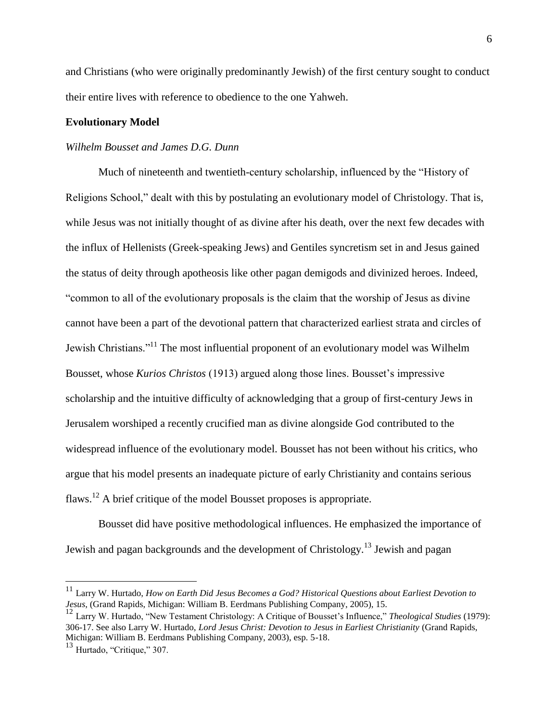and Christians (who were originally predominantly Jewish) of the first century sought to conduct their entire lives with reference to obedience to the one Yahweh.

#### **Evolutionary Model**

#### *Wilhelm Bousset and James D.G. Dunn*

Much of nineteenth and twentieth-century scholarship, influenced by the "History of Religions School," dealt with this by postulating an evolutionary model of Christology. That is, while Jesus was not initially thought of as divine after his death, over the next few decades with the influx of Hellenists (Greek-speaking Jews) and Gentiles syncretism set in and Jesus gained the status of deity through apotheosis like other pagan demigods and divinized heroes. Indeed, "common to all of the evolutionary proposals is the claim that the worship of Jesus as divine cannot have been a part of the devotional pattern that characterized earliest strata and circles of Jewish Christians."<sup>11</sup> The most influential proponent of an evolutionary model was Wilhelm Bousset, whose *Kurios Christos* (1913) argued along those lines. Bousset's impressive scholarship and the intuitive difficulty of acknowledging that a group of first-century Jews in Jerusalem worshiped a recently crucified man as divine alongside God contributed to the widespread influence of the evolutionary model. Bousset has not been without his critics, who argue that his model presents an inadequate picture of early Christianity and contains serious flaws.<sup>12</sup> A brief critique of the model Bousset proposes is appropriate.

Bousset did have positive methodological influences. He emphasized the importance of Jewish and pagan backgrounds and the development of Christology.<sup>13</sup> Jewish and pagan

<sup>11</sup> Larry W. Hurtado, *How on Earth Did Jesus Becomes a God? Historical Questions about Earliest Devotion to Jesus*, (Grand Rapids, Michigan: William B. Eerdmans Publishing Company, 2005), 15.

<sup>12</sup> Larry W. Hurtado, "New Testament Christology: A Critique of Bousset's Influence," *Theological Studies* (1979): 306-17. See also Larry W. Hurtado, *Lord Jesus Christ: Devotion to Jesus in Earliest Christianity* (Grand Rapids, Michigan: William B. Eerdmans Publishing Company, 2003), esp. 5-18.

<sup>13</sup> Hurtado, "Critique," 307.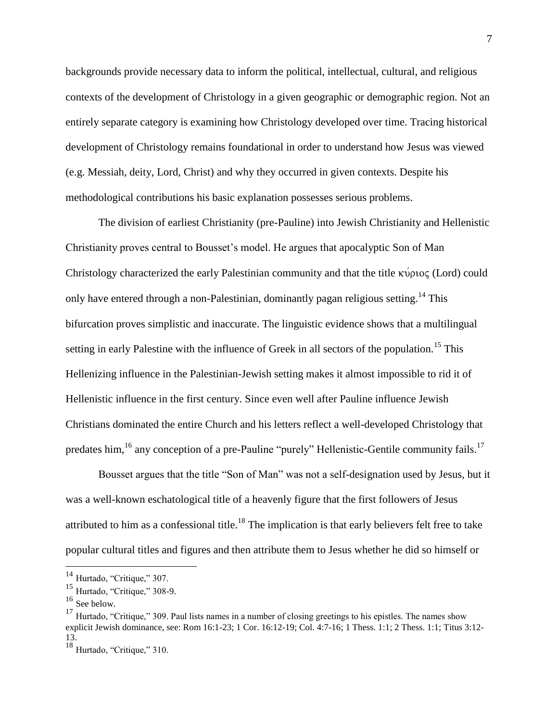backgrounds provide necessary data to inform the political, intellectual, cultural, and religious contexts of the development of Christology in a given geographic or demographic region. Not an entirely separate category is examining how Christology developed over time. Tracing historical development of Christology remains foundational in order to understand how Jesus was viewed (e.g. Messiah, deity, Lord, Christ) and why they occurred in given contexts. Despite his methodological contributions his basic explanation possesses serious problems.

The division of earliest Christianity (pre-Pauline) into Jewish Christianity and Hellenistic Christianity proves central to Bousset's model. He argues that apocalyptic Son of Man Christology characterized the early Palestinian community and that the title  $\kappa \nu \rho \nu o \varsigma$  (Lord) could only have entered through a non-Palestinian, dominantly pagan religious setting.<sup>14</sup> This bifurcation proves simplistic and inaccurate. The linguistic evidence shows that a multilingual setting in early Palestine with the influence of Greek in all sectors of the population.<sup>15</sup> This Hellenizing influence in the Palestinian-Jewish setting makes it almost impossible to rid it of Hellenistic influence in the first century. Since even well after Pauline influence Jewish Christians dominated the entire Church and his letters reflect a well-developed Christology that predates him,<sup>16</sup> any conception of a pre-Pauline "purely" Hellenistic-Gentile community fails.<sup>17</sup>

Bousset argues that the title "Son of Man" was not a self-designation used by Jesus, but it was a well-known eschatological title of a heavenly figure that the first followers of Jesus attributed to him as a confessional title.<sup>18</sup> The implication is that early believers felt free to take popular cultural titles and figures and then attribute them to Jesus whether he did so himself or

<sup>&</sup>lt;sup>14</sup> Hurtado, "Critique," 307.

<sup>15</sup> Hurtado, "Critique," 308-9.

 $^{16}$  See below.

<sup>&</sup>lt;sup>17</sup> Hurtado, "Critique," 309. Paul lists names in a number of closing greetings to his epistles. The names show explicit Jewish dominance, see: Rom 16:1-23; 1 Cor. 16:12-19; Col. 4:7-16; 1 Thess. 1:1; 2 Thess. 1:1; Titus 3:12- 13.

<sup>&</sup>lt;sup>18</sup> Hurtado, "Critique," 310.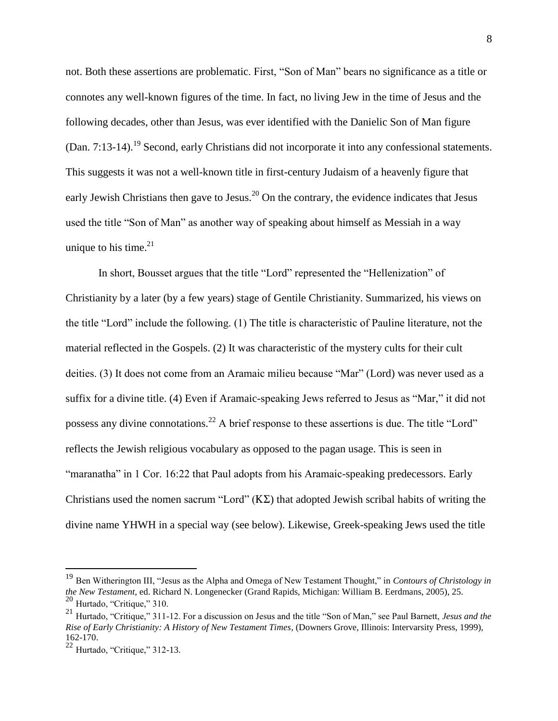not. Both these assertions are problematic. First, "Son of Man" bears no significance as a title or connotes any well-known figures of the time. In fact, no living Jew in the time of Jesus and the following decades, other than Jesus, was ever identified with the Danielic Son of Man figure (Dan. 7:13-14).<sup>19</sup> Second, early Christians did not incorporate it into any confessional statements. This suggests it was not a well-known title in first-century Judaism of a heavenly figure that early Jewish Christians then gave to Jesus.<sup>20</sup> On the contrary, the evidence indicates that Jesus used the title "Son of Man" as another way of speaking about himself as Messiah in a way unique to his time. $2<sup>1</sup>$ 

In short, Bousset argues that the title "Lord" represented the "Hellenization" of Christianity by a later (by a few years) stage of Gentile Christianity. Summarized, his views on the title "Lord" include the following. (1) The title is characteristic of Pauline literature, not the material reflected in the Gospels. (2) It was characteristic of the mystery cults for their cult deities. (3) It does not come from an Aramaic milieu because "Mar" (Lord) was never used as a suffix for a divine title. (4) Even if Aramaic-speaking Jews referred to Jesus as "Mar," it did not possess any divine connotations.<sup>22</sup> A brief response to these assertions is due. The title "Lord" reflects the Jewish religious vocabulary as opposed to the pagan usage. This is seen in "maranatha" in 1 Cor. 16:22 that Paul adopts from his Aramaic-speaking predecessors. Early Christians used the nomen sacrum "Lord"  $(K\Sigma)$  that adopted Jewish scribal habits of writing the divine name YHWH in a special way (see below). Likewise, Greek-speaking Jews used the title

<sup>19</sup> Ben Witherington III, "Jesus as the Alpha and Omega of New Testament Thought," in *Contours of Christology in the New Testament*, ed. Richard N. Longenecker (Grand Rapids, Michigan: William B. Eerdmans, 2005), 25.  $20$  Hurtado, "Critique," 310.

<sup>21</sup> Hurtado, "Critique," 311-12. For a discussion on Jesus and the title "Son of Man," see Paul Barnett, *Jesus and the Rise of Early Christianity: A History of New Testament Times*, (Downers Grove, Illinois: Intervarsity Press, 1999), 162-170.

<sup>22</sup> Hurtado, "Critique," 312-13.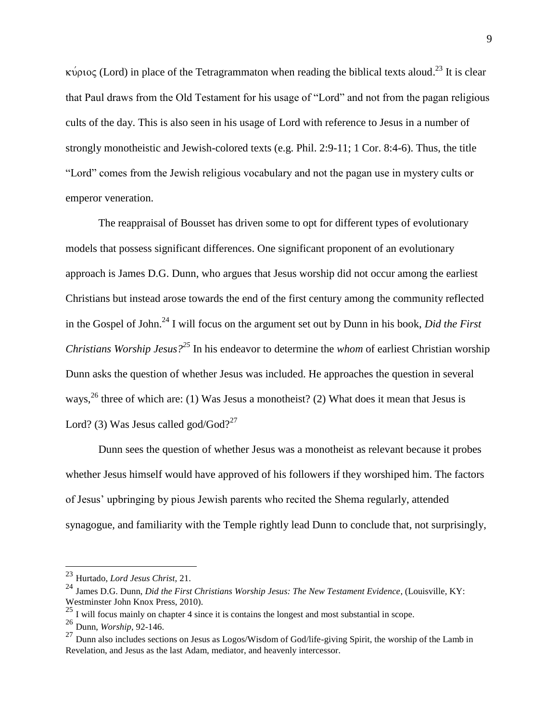κύριος (Lord) in place of the Tetragrammaton when reading the biblical texts aloud.<sup>23</sup> It is clear that Paul draws from the Old Testament for his usage of "Lord" and not from the pagan religious cults of the day. This is also seen in his usage of Lord with reference to Jesus in a number of strongly monotheistic and Jewish-colored texts (e.g. Phil. 2:9-11; 1 Cor. 8:4-6). Thus, the title "Lord" comes from the Jewish religious vocabulary and not the pagan use in mystery cults or emperor veneration.

The reappraisal of Bousset has driven some to opt for different types of evolutionary models that possess significant differences. One significant proponent of an evolutionary approach is James D.G. Dunn, who argues that Jesus worship did not occur among the earliest Christians but instead arose towards the end of the first century among the community reflected in the Gospel of John.<sup>24</sup> I will focus on the argument set out by Dunn in his book, *Did the First Christians Worship Jesus?<sup>25</sup>* In his endeavor to determine the *whom* of earliest Christian worship Dunn asks the question of whether Jesus was included. He approaches the question in several ways,  $^{26}$  three of which are: (1) Was Jesus a monotheist? (2) What does it mean that Jesus is Lord? (3) Was Jesus called god/God? $^{27}$ 

Dunn sees the question of whether Jesus was a monotheist as relevant because it probes whether Jesus himself would have approved of his followers if they worshiped him. The factors of Jesus' upbringing by pious Jewish parents who recited the Shema regularly, attended synagogue, and familiarity with the Temple rightly lead Dunn to conclude that, not surprisingly,

<sup>23</sup> Hurtado, *Lord Jesus Christ,* 21.

<sup>24</sup> James D.G. Dunn, *Did the First Christians Worship Jesus: The New Testament Evidence*, (Louisville, KY: Westminster John Knox Press, 2010).

 $^{25}$  I will focus mainly on chapter 4 since it is contains the longest and most substantial in scope.

<sup>26</sup> Dunn, *Worship*, 92-146.

<sup>&</sup>lt;sup>27</sup> Dunn also includes sections on Jesus as Logos/Wisdom of God/life-giving Spirit, the worship of the Lamb in Revelation, and Jesus as the last Adam, mediator, and heavenly intercessor.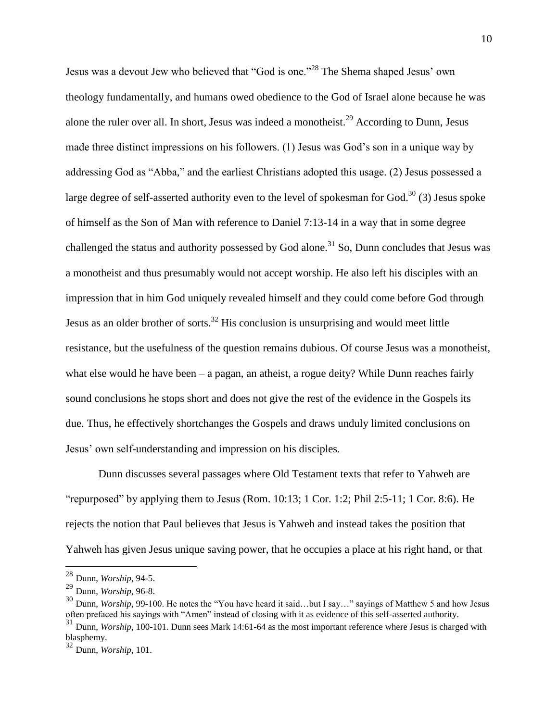Jesus was a devout Jew who believed that "God is one."<sup>28</sup> The Shema shaped Jesus' own theology fundamentally, and humans owed obedience to the God of Israel alone because he was alone the ruler over all. In short, Jesus was indeed a monotheist.<sup>29</sup> According to Dunn, Jesus made three distinct impressions on his followers. (1) Jesus was God's son in a unique way by addressing God as "Abba," and the earliest Christians adopted this usage. (2) Jesus possessed a large degree of self-asserted authority even to the level of spokesman for God.<sup>30</sup> (3) Jesus spoke of himself as the Son of Man with reference to Daniel 7:13-14 in a way that in some degree challenged the status and authority possessed by God alone.<sup>31</sup> So, Dunn concludes that Jesus was a monotheist and thus presumably would not accept worship. He also left his disciples with an impression that in him God uniquely revealed himself and they could come before God through Jesus as an older brother of sorts.<sup>32</sup> His conclusion is unsurprising and would meet little resistance, but the usefulness of the question remains dubious. Of course Jesus was a monotheist, what else would he have been – a pagan, an atheist, a rogue deity? While Dunn reaches fairly sound conclusions he stops short and does not give the rest of the evidence in the Gospels its due. Thus, he effectively shortchanges the Gospels and draws unduly limited conclusions on Jesus' own self-understanding and impression on his disciples.

Dunn discusses several passages where Old Testament texts that refer to Yahweh are "repurposed" by applying them to Jesus (Rom. 10:13; 1 Cor. 1:2; Phil 2:5-11; 1 Cor. 8:6). He rejects the notion that Paul believes that Jesus is Yahweh and instead takes the position that Yahweh has given Jesus unique saving power, that he occupies a place at his right hand, or that

<sup>28</sup> Dunn, *Worship*, 94-5.

<sup>29</sup> Dunn, *Worship*, 96-8.

<sup>&</sup>lt;sup>30</sup> Dunn, *Worship*, 99-100. He notes the "You have heard it said...but I say..." sayings of Matthew 5 and how Jesus often prefaced his sayings with "Amen" instead of closing with it as evidence of this self-asserted authority. <sup>31</sup> Dunn, *Worship*, 100-101. Dunn sees Mark 14:61-64 as the most important reference where Jesus is charged with

blasphemy.

<sup>32</sup> Dunn, *Worship*, 101.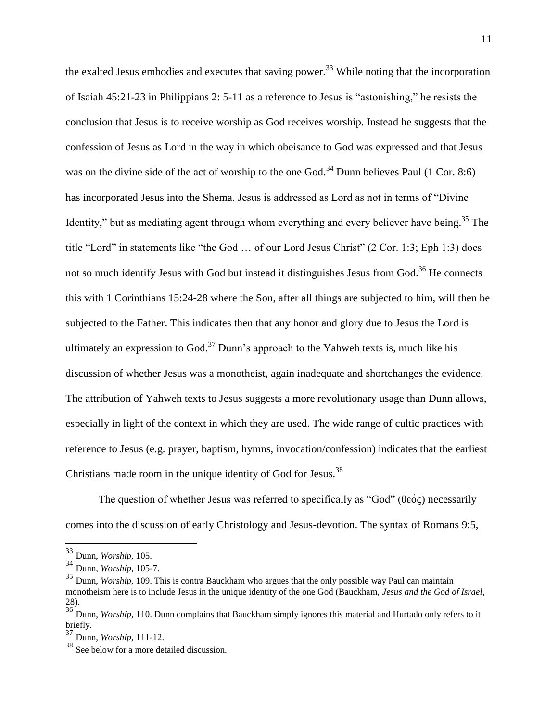the exalted Jesus embodies and executes that saving power.<sup>33</sup> While noting that the incorporation of Isaiah 45:21-23 in Philippians 2: 5-11 as a reference to Jesus is "astonishing," he resists the conclusion that Jesus is to receive worship as God receives worship. Instead he suggests that the confession of Jesus as Lord in the way in which obeisance to God was expressed and that Jesus was on the divine side of the act of worship to the one God.<sup>34</sup> Dunn believes Paul (1 Cor. 8:6) has incorporated Jesus into the Shema. Jesus is addressed as Lord as not in terms of "Divine Identity," but as mediating agent through whom everything and every believer have being.<sup>35</sup> The title "Lord" in statements like "the God … of our Lord Jesus Christ" (2 Cor. 1:3; Eph 1:3) does not so much identify Jesus with God but instead it distinguishes Jesus from God.<sup>36</sup> He connects this with 1 Corinthians 15:24-28 where the Son, after all things are subjected to him, will then be subjected to the Father. This indicates then that any honor and glory due to Jesus the Lord is ultimately an expression to God.<sup>37</sup> Dunn's approach to the Yahweh texts is, much like his discussion of whether Jesus was a monotheist, again inadequate and shortchanges the evidence. The attribution of Yahweh texts to Jesus suggests a more revolutionary usage than Dunn allows, especially in light of the context in which they are used. The wide range of cultic practices with reference to Jesus (e.g. prayer, baptism, hymns, invocation/confession) indicates that the earliest Christians made room in the unique identity of God for Jesus.<sup>38</sup>

The question of whether Jesus was referred to specifically as "God" ( $\theta \epsilon \acute{o} \varsigma$ ) necessarily comes into the discussion of early Christology and Jesus-devotion. The syntax of Romans 9:5,

<sup>33</sup> Dunn, *Worship*, 105.

<sup>34</sup> Dunn, *Worship*, 105-7.

<sup>&</sup>lt;sup>35</sup> Dunn, *Worship*, 109. This is contra Bauckham who argues that the only possible way Paul can maintain monotheism here is to include Jesus in the unique identity of the one God (Bauckham, *Jesus and the God of Israel*, 28).

<sup>&</sup>lt;sup>36</sup> Dunn, *Worship*, 110. Dunn complains that Bauckham simply ignores this material and Hurtado only refers to it briefly.

<sup>37</sup> Dunn, *Worship*, 111-12.

<sup>&</sup>lt;sup>38</sup> See below for a more detailed discussion.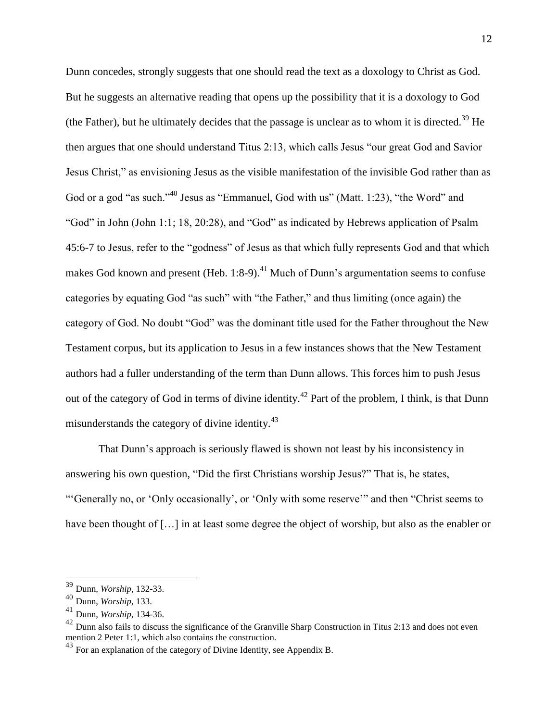Dunn concedes, strongly suggests that one should read the text as a doxology to Christ as God. But he suggests an alternative reading that opens up the possibility that it is a doxology to God (the Father), but he ultimately decides that the passage is unclear as to whom it is directed.<sup>39</sup> He then argues that one should understand Titus 2:13, which calls Jesus "our great God and Savior Jesus Christ," as envisioning Jesus as the visible manifestation of the invisible God rather than as God or a god "as such."<sup>40</sup> Jesus as "Emmanuel, God with us" (Matt. 1:23), "the Word" and "God" in John (John 1:1; 18, 20:28), and "God" as indicated by Hebrews application of Psalm 45:6-7 to Jesus, refer to the "godness" of Jesus as that which fully represents God and that which makes God known and present (Heb. 1:8-9).<sup>41</sup> Much of Dunn's argumentation seems to confuse categories by equating God "as such" with "the Father," and thus limiting (once again) the category of God. No doubt "God" was the dominant title used for the Father throughout the New Testament corpus, but its application to Jesus in a few instances shows that the New Testament authors had a fuller understanding of the term than Dunn allows. This forces him to push Jesus out of the category of God in terms of divine identity.<sup>42</sup> Part of the problem, I think, is that Dunn misunderstands the category of divine identity.<sup>43</sup>

That Dunn's approach is seriously flawed is shown not least by his inconsistency in answering his own question, "Did the first Christians worship Jesus?" That is, he states, "'Generally no, or 'Only occasionally', or 'Only with some reserve'" and then "Christ seems to have been thought of [...] in at least some degree the object of worship, but also as the enabler or

<sup>39</sup> Dunn, *Worship*, 132-33.

<sup>40</sup> Dunn, *Worship*, 133.

<sup>41</sup> Dunn, *Worship*, 134-36.

 $^{42}$  Dunn also fails to discuss the significance of the Granville Sharp Construction in Titus 2:13 and does not even mention 2 Peter 1:1, which also contains the construction.

 $43$  For an explanation of the category of Divine Identity, see Appendix B.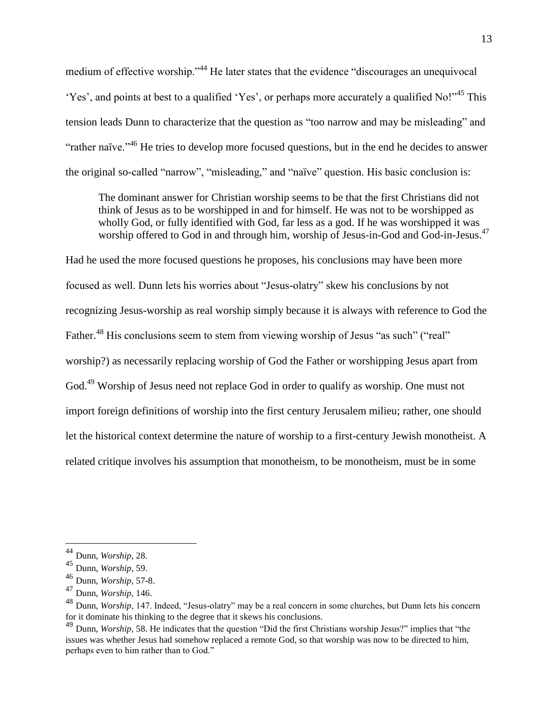medium of effective worship."<sup>44</sup> He later states that the evidence "discourages an unequivocal 'Yes', and points at best to a qualified 'Yes', or perhaps more accurately a qualified No!"<sup>45</sup> This tension leads Dunn to characterize that the question as "too narrow and may be misleading" and "rather naïve."<sup>46</sup> He tries to develop more focused questions, but in the end he decides to answer the original so-called "narrow", "misleading," and "naïve" question. His basic conclusion is:

The dominant answer for Christian worship seems to be that the first Christians did not think of Jesus as to be worshipped in and for himself. He was not to be worshipped as wholly God, or fully identified with God, far less as a god. If he was worshipped it was worship offered to God in and through him, worship of Jesus-in-God and God-in-Jesus.<sup>47</sup>

Had he used the more focused questions he proposes, his conclusions may have been more focused as well. Dunn lets his worries about "Jesus-olatry" skew his conclusions by not recognizing Jesus-worship as real worship simply because it is always with reference to God the Father.<sup>48</sup> His conclusions seem to stem from viewing worship of Jesus "as such" ("real" worship?) as necessarily replacing worship of God the Father or worshipping Jesus apart from God.<sup>49</sup> Worship of Jesus need not replace God in order to qualify as worship. One must not import foreign definitions of worship into the first century Jerusalem milieu; rather, one should let the historical context determine the nature of worship to a first-century Jewish monotheist. A related critique involves his assumption that monotheism, to be monotheism, must be in some

<sup>44</sup> Dunn, *Worship*, 28.

<sup>45</sup> Dunn, *Worship*, 59.

<sup>46</sup> Dunn, *Worship*, 57-8.

<sup>47</sup> Dunn, *Worship*, 146.

<sup>48</sup> Dunn, *Worship*, 147. Indeed, "Jesus-olatry" may be a real concern in some churches, but Dunn lets his concern for it dominate his thinking to the degree that it skews his conclusions.

<sup>49</sup> Dunn, *Worship*, 58. He indicates that the question "Did the first Christians worship Jesus?" implies that "the issues was whether Jesus had somehow replaced a remote God, so that worship was now to be directed to him, perhaps even to him rather than to God."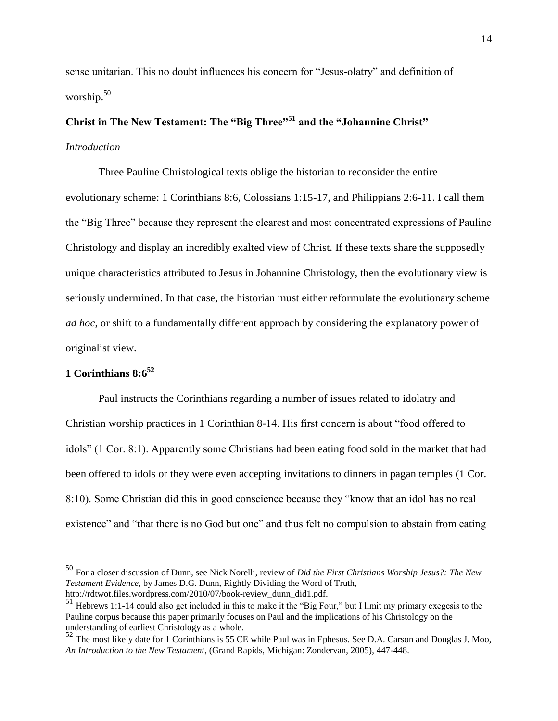sense unitarian. This no doubt influences his concern for "Jesus-olatry" and definition of worship. $50$ 

# **Christ in The New Testament: The "Big Three"<sup>51</sup> and the "Johannine Christ"** *Introduction*

Three Pauline Christological texts oblige the historian to reconsider the entire evolutionary scheme: 1 Corinthians 8:6, Colossians 1:15-17, and Philippians 2:6-11. I call them the "Big Three" because they represent the clearest and most concentrated expressions of Pauline Christology and display an incredibly exalted view of Christ. If these texts share the supposedly unique characteristics attributed to Jesus in Johannine Christology, then the evolutionary view is seriously undermined. In that case, the historian must either reformulate the evolutionary scheme *ad hoc*, or shift to a fundamentally different approach by considering the explanatory power of originalist view.

## **1 Corinthians 8:6<sup>52</sup>**

 $\overline{a}$ 

Paul instructs the Corinthians regarding a number of issues related to idolatry and Christian worship practices in 1 Corinthian 8-14. His first concern is about "food offered to idols" (1 Cor. 8:1). Apparently some Christians had been eating food sold in the market that had been offered to idols or they were even accepting invitations to dinners in pagan temples (1 Cor. 8:10). Some Christian did this in good conscience because they "know that an idol has no real existence" and "that there is no God but one" and thus felt no compulsion to abstain from eating

<sup>50</sup> For a closer discussion of Dunn, see Nick Norelli, review of *Did the First Christians Worship Jesus?: The New Testament Evidence*, by James D.G. Dunn, Rightly Dividing the Word of Truth, http://rdtwot.files.wordpress.com/2010/07/book-review\_dunn\_did1.pdf.

<sup>51</sup> Hebrews 1:1-14 could also get included in this to make it the "Big Four," but I limit my primary exegesis to the Pauline corpus because this paper primarily focuses on Paul and the implications of his Christology on the understanding of earliest Christology as a whole.

<sup>52</sup> The most likely date for 1 Corinthians is 55 CE while Paul was in Ephesus. See D.A. Carson and Douglas J. Moo, *An Introduction to the New Testament*, (Grand Rapids, Michigan: Zondervan, 2005), 447-448.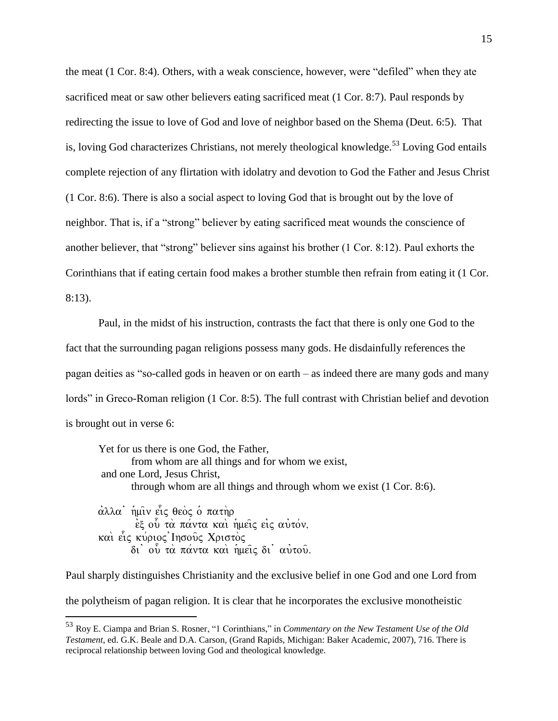the meat (1 Cor. 8:4). Others, with a weak conscience, however, were "defiled" when they ate sacrificed meat or saw other believers eating sacrificed meat (1 Cor. 8:7). Paul responds by redirecting the issue to love of God and love of neighbor based on the Shema (Deut. 6:5). That is, loving God characterizes Christians, not merely theological knowledge.<sup>53</sup> Loving God entails complete rejection of any flirtation with idolatry and devotion to God the Father and Jesus Christ (1 Cor. 8:6). There is also a social aspect to loving God that is brought out by the love of neighbor. That is, if a "strong" believer by eating sacrificed meat wounds the conscience of another believer, that "strong" believer sins against his brother (1 Cor. 8:12). Paul exhorts the Corinthians that if eating certain food makes a brother stumble then refrain from eating it (1 Cor. 8:13).

Paul, in the midst of his instruction, contrasts the fact that there is only one God to the fact that the surrounding pagan religions possess many gods. He disdainfully references the pagan deities as "so-called gods in heaven or on earth – as indeed there are many gods and many lords" in Greco-Roman religion (1 Cor. 8:5). The full contrast with Christian belief and devotion is brought out in verse 6:

Yet for us there is one God, the Father, from whom are all things and for whom we exist, and one Lord, Jesus Christ, through whom are all things and through whom we exist (1 Cor. 8:6). άλλα' ἡμῖν ετς θεὸς ὁ πατὴρ

 $\vec{e}$ ξ ού τα πάντα και ημείς εις αυτόν, και είς κύριος Ιησούς Χριστός δι' ού τα πάντα και ημείς δι' αυτού.

 $\overline{a}$ 

Paul sharply distinguishes Christianity and the exclusive belief in one God and one Lord from the polytheism of pagan religion. It is clear that he incorporates the exclusive monotheistic

<sup>53</sup> Roy E. Ciampa and Brian S. Rosner, "1 Corinthians," in *Commentary on the New Testament Use of the Old Testament*, ed. G.K. Beale and D.A. Carson, (Grand Rapids, Michigan: Baker Academic, 2007), 716. There is reciprocal relationship between loving God and theological knowledge.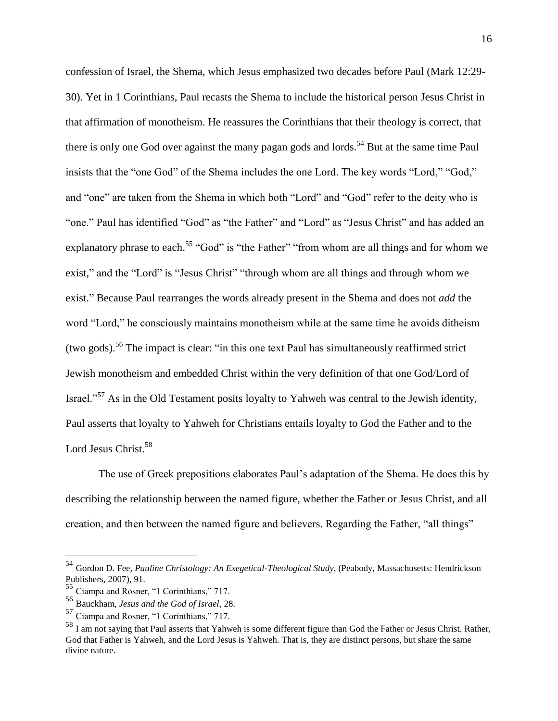confession of Israel, the Shema, which Jesus emphasized two decades before Paul (Mark 12:29- 30). Yet in 1 Corinthians, Paul recasts the Shema to include the historical person Jesus Christ in that affirmation of monotheism. He reassures the Corinthians that their theology is correct, that there is only one God over against the many pagan gods and lords.<sup>54</sup> But at the same time Paul insists that the "one God" of the Shema includes the one Lord. The key words "Lord," "God," and "one" are taken from the Shema in which both "Lord" and "God" refer to the deity who is "one." Paul has identified "God" as "the Father" and "Lord" as "Jesus Christ" and has added an explanatory phrase to each.<sup>55</sup> "God" is "the Father" "from whom are all things and for whom we exist," and the "Lord" is "Jesus Christ" "through whom are all things and through whom we exist." Because Paul rearranges the words already present in the Shema and does not *add* the word "Lord," he consciously maintains monotheism while at the same time he avoids ditheism (two gods).<sup>56</sup> The impact is clear: "in this one text Paul has simultaneously reaffirmed strict Jewish monotheism and embedded Christ within the very definition of that one God/Lord of Israel."<sup>57</sup> As in the Old Testament posits loyalty to Yahweh was central to the Jewish identity, Paul asserts that loyalty to Yahweh for Christians entails loyalty to God the Father and to the Lord Jesus Christ.<sup>58</sup>

The use of Greek prepositions elaborates Paul's adaptation of the Shema. He does this by describing the relationship between the named figure, whether the Father or Jesus Christ, and all creation, and then between the named figure and believers. Regarding the Father, "all things"

<sup>54</sup> Gordon D. Fee, *Pauline Christology: An Exegetical-Theological Study*, (Peabody, Massachusetts: Hendrickson Publishers, 2007), 91.

<sup>55</sup> Ciampa and Rosner, "1 Corinthians," 717.

<sup>56</sup> Bauckham, *Jesus and the God of Israel*, 28.

<sup>57</sup> Ciampa and Rosner, "1 Corinthians," 717.

<sup>&</sup>lt;sup>58</sup> I am not saying that Paul asserts that Yahweh is some different figure than God the Father or Jesus Christ. Rather, God that Father is Yahweh, and the Lord Jesus is Yahweh. That is, they are distinct persons, but share the same divine nature.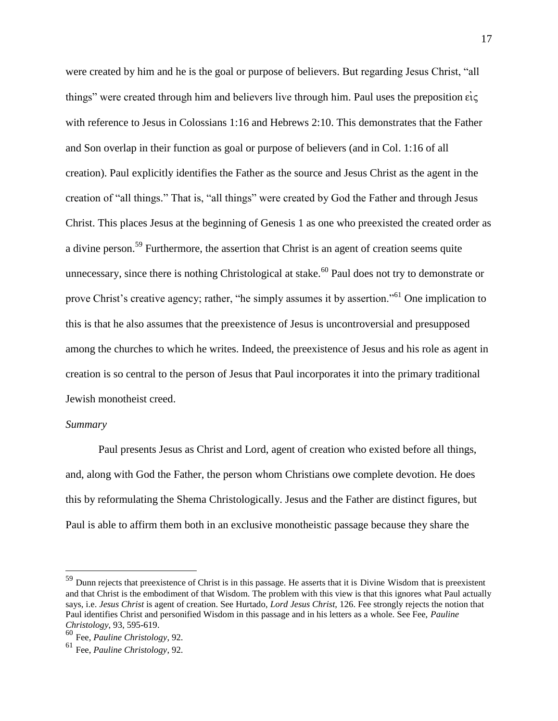were created by him and he is the goal or purpose of believers. But regarding Jesus Christ, "all things" were created through him and believers live through him. Paul uses the preposition  $\vec{ec}$ with reference to Jesus in Colossians 1:16 and Hebrews 2:10. This demonstrates that the Father and Son overlap in their function as goal or purpose of believers (and in Col. 1:16 of all creation). Paul explicitly identifies the Father as the source and Jesus Christ as the agent in the creation of "all things." That is, "all things" were created by God the Father and through Jesus Christ. This places Jesus at the beginning of Genesis 1 as one who preexisted the created order as a divine person.<sup>59</sup> Furthermore, the assertion that Christ is an agent of creation seems quite unnecessary, since there is nothing Christological at stake.<sup>60</sup> Paul does not try to demonstrate or prove Christ's creative agency; rather, "he simply assumes it by assertion."<sup>61</sup> One implication to this is that he also assumes that the preexistence of Jesus is uncontroversial and presupposed among the churches to which he writes. Indeed, the preexistence of Jesus and his role as agent in creation is so central to the person of Jesus that Paul incorporates it into the primary traditional Jewish monotheist creed.

#### *Summary*

 $\overline{a}$ 

Paul presents Jesus as Christ and Lord, agent of creation who existed before all things, and, along with God the Father, the person whom Christians owe complete devotion. He does this by reformulating the Shema Christologically. Jesus and the Father are distinct figures, but Paul is able to affirm them both in an exclusive monotheistic passage because they share the

<sup>&</sup>lt;sup>59</sup> Dunn rejects that preexistence of Christ is in this passage. He asserts that it is Divine Wisdom that is preexistent and that Christ is the embodiment of that Wisdom. The problem with this view is that this ignores what Paul actually says, i.e. *Jesus Christ* is agent of creation. See Hurtado, *Lord Jesus Christ*, 126. Fee strongly rejects the notion that Paul identifies Christ and personified Wisdom in this passage and in his letters as a whole. See Fee, *Pauline Christology*, 93, 595-619.

<sup>60</sup> Fee, *Pauline Christology*, 92.

<sup>61</sup> Fee, *Pauline Christology*, 92.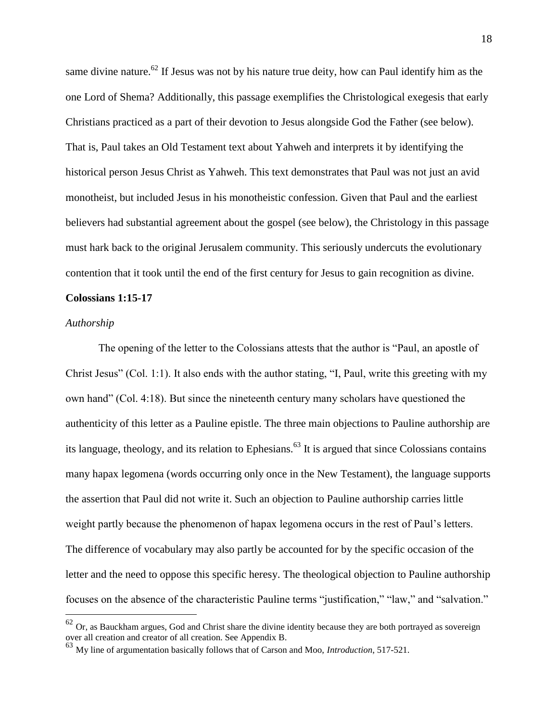same divine nature.<sup>62</sup> If Jesus was not by his nature true deity, how can Paul identify him as the one Lord of Shema? Additionally, this passage exemplifies the Christological exegesis that early Christians practiced as a part of their devotion to Jesus alongside God the Father (see below). That is, Paul takes an Old Testament text about Yahweh and interprets it by identifying the historical person Jesus Christ as Yahweh. This text demonstrates that Paul was not just an avid monotheist, but included Jesus in his monotheistic confession. Given that Paul and the earliest believers had substantial agreement about the gospel (see below), the Christology in this passage must hark back to the original Jerusalem community. This seriously undercuts the evolutionary contention that it took until the end of the first century for Jesus to gain recognition as divine.

#### **Colossians 1:15-17**

#### *Authorship*

 $\overline{a}$ 

The opening of the letter to the Colossians attests that the author is "Paul, an apostle of Christ Jesus" (Col. 1:1). It also ends with the author stating, "I, Paul, write this greeting with my own hand" (Col. 4:18). But since the nineteenth century many scholars have questioned the authenticity of this letter as a Pauline epistle. The three main objections to Pauline authorship are its language, theology, and its relation to Ephesians.<sup>63</sup> It is argued that since Colossians contains many hapax legomena (words occurring only once in the New Testament), the language supports the assertion that Paul did not write it. Such an objection to Pauline authorship carries little weight partly because the phenomenon of hapax legomena occurs in the rest of Paul's letters. The difference of vocabulary may also partly be accounted for by the specific occasion of the letter and the need to oppose this specific heresy. The theological objection to Pauline authorship focuses on the absence of the characteristic Pauline terms "justification," "law," and "salvation."

 $62$  Or. as Bauckham argues, God and Christ share the divine identity because they are both portrayed as sovereign over all creation and creator of all creation. See Appendix B.

<sup>63</sup> My line of argumentation basically follows that of Carson and Moo, *Introduction*, 517-521.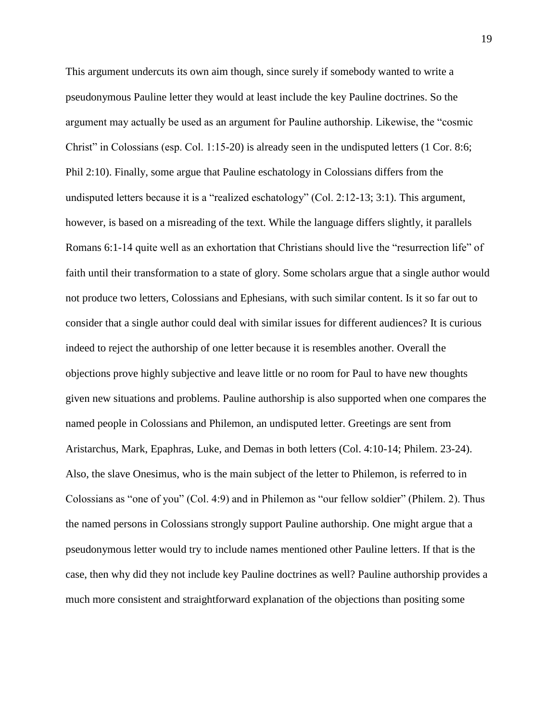This argument undercuts its own aim though, since surely if somebody wanted to write a pseudonymous Pauline letter they would at least include the key Pauline doctrines. So the argument may actually be used as an argument for Pauline authorship. Likewise, the "cosmic Christ" in Colossians (esp. Col. 1:15-20) is already seen in the undisputed letters (1 Cor. 8:6; Phil 2:10). Finally, some argue that Pauline eschatology in Colossians differs from the undisputed letters because it is a "realized eschatology" (Col. 2:12-13; 3:1). This argument, however, is based on a misreading of the text. While the language differs slightly, it parallels Romans 6:1-14 quite well as an exhortation that Christians should live the "resurrection life" of faith until their transformation to a state of glory. Some scholars argue that a single author would not produce two letters, Colossians and Ephesians, with such similar content. Is it so far out to consider that a single author could deal with similar issues for different audiences? It is curious indeed to reject the authorship of one letter because it is resembles another. Overall the objections prove highly subjective and leave little or no room for Paul to have new thoughts given new situations and problems. Pauline authorship is also supported when one compares the named people in Colossians and Philemon, an undisputed letter. Greetings are sent from Aristarchus, Mark, Epaphras, Luke, and Demas in both letters (Col. 4:10-14; Philem. 23-24). Also, the slave Onesimus, who is the main subject of the letter to Philemon, is referred to in Colossians as "one of you" (Col. 4:9) and in Philemon as "our fellow soldier" (Philem. 2). Thus the named persons in Colossians strongly support Pauline authorship. One might argue that a pseudonymous letter would try to include names mentioned other Pauline letters. If that is the case, then why did they not include key Pauline doctrines as well? Pauline authorship provides a much more consistent and straightforward explanation of the objections than positing some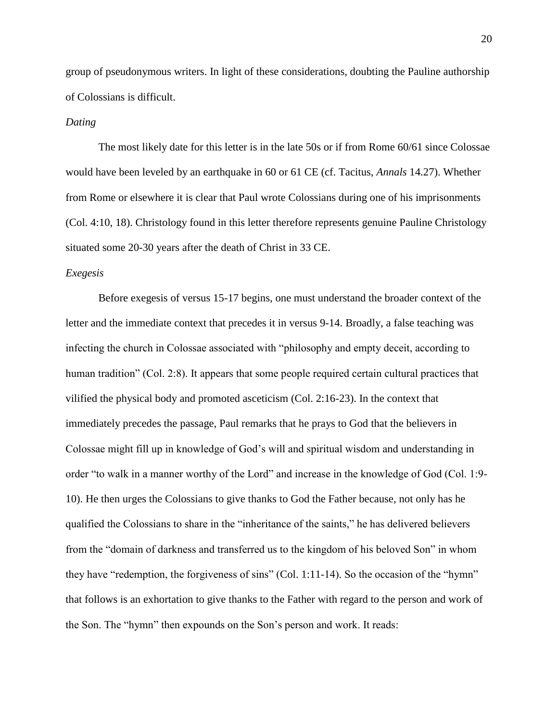group of pseudonymous writers. In light of these considerations, doubting the Pauline authorship of Colossians is difficult.

#### *Dating*

The most likely date for this letter is in the late 50s or if from Rome 60/61 since Colossae would have been leveled by an earthquake in 60 or 61 CE (cf. Tacitus, *Annals* 14.27). Whether from Rome or elsewhere it is clear that Paul wrote Colossians during one of his imprisonments (Col. 4:10, 18). Christology found in this letter therefore represents genuine Pauline Christology situated some 20-30 years after the death of Christ in 33 CE.

#### *Exegesis*

Before exegesis of versus 15-17 begins, one must understand the broader context of the letter and the immediate context that precedes it in versus 9-14. Broadly, a false teaching was infecting the church in Colossae associated with "philosophy and empty deceit, according to human tradition" (Col. 2:8). It appears that some people required certain cultural practices that vilified the physical body and promoted asceticism (Col. 2:16-23). In the context that immediately precedes the passage, Paul remarks that he prays to God that the believers in Colossae might fill up in knowledge of God's will and spiritual wisdom and understanding in order "to walk in a manner worthy of the Lord" and increase in the knowledge of God (Col. 1:9- 10). He then urges the Colossians to give thanks to God the Father because, not only has he qualified the Colossians to share in the "inheritance of the saints," he has delivered believers from the "domain of darkness and transferred us to the kingdom of his beloved Son" in whom they have "redemption, the forgiveness of sins" (Col. 1:11-14). So the occasion of the "hymn" that follows is an exhortation to give thanks to the Father with regard to the person and work of the Son. The "hymn" then expounds on the Son's person and work. It reads: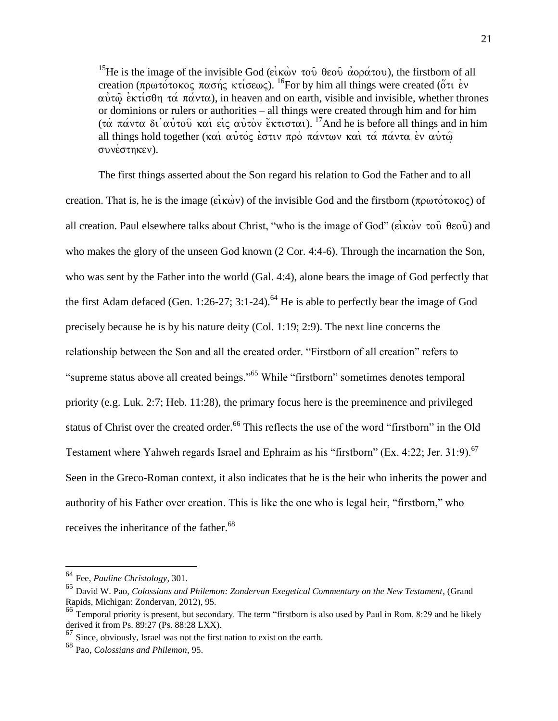<sup>15</sup>He is the image of the invisible God (είκων του θεου αφράτου), the firstborn of all creation ( $\pi \rho \omega \tau \omega \sigma \omega \sigma \omega \sigma \gamma \sigma \omega$ ). <sup>16</sup>For by him all things were created ( $\sigma \tau$  ev  $\alpha\dot{\alpha}\dot{\alpha}$  extivative  $\alpha\dot{\alpha}$   $\alpha\dot{\alpha}$  varianteed), in heaven and on earth, visible and invisible, whether thrones or dominions or rulers or authorities – all things were created through him and for him (τα πάντα δι' αύτου: και είς αύτον έκτισται). <sup>17</sup>And he is before all things and in him all things hold together (και αυτός έστιν προ πάντων και τά πάντα εν αυτώ συνέστηκεν).

The first things asserted about the Son regard his relation to God the Father and to all creation. That is, he is the image ( $\vec{e}$ *i* $\vec{f}$ *kwo*) of the invisible God and the firstborn ( $\pi \rho \omega \tau \acute{o} \tau \text{o} \kappa \text{o} \varsigma$ ) of all creation. Paul elsewhere talks about Christ, "who is the image of God" ( $\vec{e}$ i $\vec{k}$ w $\vec{v}$ ) and  $\vec{e}$ who makes the glory of the unseen God known (2 Cor. 4:4-6). Through the incarnation the Son, who was sent by the Father into the world (Gal. 4:4), alone bears the image of God perfectly that the first Adam defaced (Gen. 1:26-27; 3:1-24).<sup>64</sup> He is able to perfectly bear the image of God precisely because he is by his nature deity (Col. 1:19; 2:9). The next line concerns the relationship between the Son and all the created order. "Firstborn of all creation" refers to "supreme status above all created beings."<sup>65</sup> While "firstborn" sometimes denotes temporal priority (e.g. Luk. 2:7; Heb. 11:28), the primary focus here is the preeminence and privileged status of Christ over the created order.<sup>66</sup> This reflects the use of the word "firstborn" in the Old Testament where Yahweh regards Israel and Ephraim as his "firstborn" (Ex. 4:22; Jer. 31:9).<sup>67</sup> Seen in the Greco-Roman context, it also indicates that he is the heir who inherits the power and authority of his Father over creation. This is like the one who is legal heir, "firstborn," who receives the inheritance of the father.<sup>68</sup>

<sup>64</sup> Fee, *Pauline Christology*, 301.

<sup>65</sup> David W. Pao, *Colossians and Philemon: Zondervan Exegetical Commentary on the New Testament*, (Grand Rapids, Michigan: Zondervan, 2012), 95.

<sup>&</sup>lt;sup>66</sup> Temporal priority is present, but secondary. The term "firstborn is also used by Paul in Rom. 8:29 and he likely derived it from Ps. 89:27 (Ps. 88:28 LXX).

 $67$  Since, obviously, Israel was not the first nation to exist on the earth.

<sup>68</sup> Pao, *Colossians and Philemon*, 95.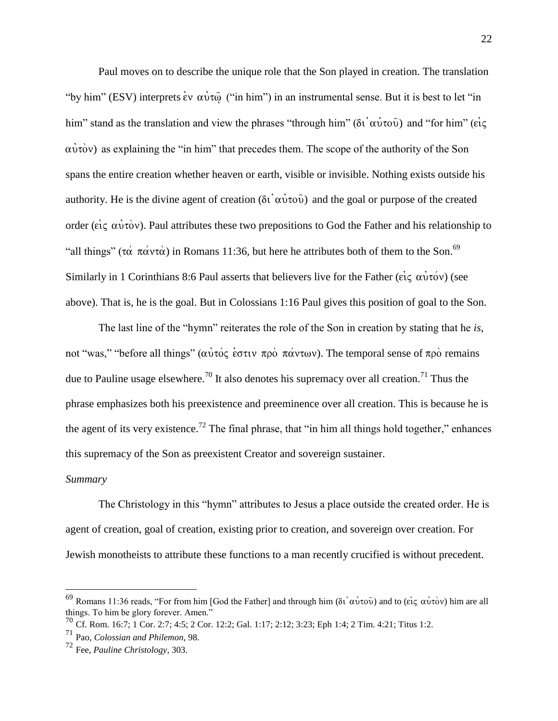Paul moves on to describe the unique role that the Son played in creation. The translation "by him" (ESV) interprets  $\dot{\epsilon}v$   $\alpha \dot{\nu} \alpha \dot{\omega}$  ("in him") in an instrumental sense. But it is best to let "in him" stand as the translation and view the phrases "through him" ( $\delta i \alpha \dot{\nu} \tau \delta \dot{\nu}$ ) and "for him" ( $\epsilon i \zeta$  $\alpha \dot{\nu} \dot{\alpha}$  as explaining the "in him" that precedes them. The scope of the authority of the Son spans the entire creation whether heaven or earth, visible or invisible. Nothing exists outside his authority. He is the divine agent of creation ( $\delta i \alpha \dot{v} \tau \dot{\alpha} \dot{\beta}$ ) and the goal or purpose of the created order ( $\epsilon i \zeta \alpha \dot{\nu} \dot{\tau} \dot{\alpha} \nu$ ). Paul attributes these two prepositions to God the Father and his relationship to "all things" ( $\tau\alpha$   $\pi\alpha$   $\nu\tau\alpha$ ) in Romans 11:36, but here he attributes both of them to the Son.<sup>69</sup> Similarly in 1 Corinthians 8:6 Paul asserts that believers live for the Father ( $\vec{e}$ ) (see above). That is, he is the goal. But in Colossians 1:16 Paul gives this position of goal to the Son.

The last line of the "hymn" reiterates the role of the Son in creation by stating that he *is*, not "was," "before all things" (αυτός έστιν προ πάντων). The temporal sense of προ remains due to Pauline usage elsewhere.<sup>70</sup> It also denotes his supremacy over all creation.<sup>71</sup> Thus the phrase emphasizes both his preexistence and preeminence over all creation. This is because he is the agent of its very existence.<sup>72</sup> The final phrase, that "in him all things hold together," enhances this supremacy of the Son as preexistent Creator and sovereign sustainer.

#### *Summary*

 $\overline{a}$ 

The Christology in this "hymn" attributes to Jesus a place outside the created order. He is agent of creation, goal of creation, existing prior to creation, and sovereign over creation. For Jewish monotheists to attribute these functions to a man recently crucified is without precedent.

<sup>&</sup>lt;sup>69</sup> Romans 11:36 reads, "For from him [God the Father] and through him (δι' αὐτοῦ) and to (εἰς αὐτὸν) him are all things. To him be glory forever. Amen."

<sup>&</sup>lt;sup>70</sup> Cf. Rom. 16:7; 1 Cor. 2:7; 4:5; 2 Cor. 12:2; Gal. 1:17; 2:12; 3:23; Eph 1:4; 2 Tim. 4:21; Titus 1:2.

<sup>71</sup> Pao, *Colossian and Philemon*, 98.

<sup>72</sup> Fee, *Pauline Christology*, 303.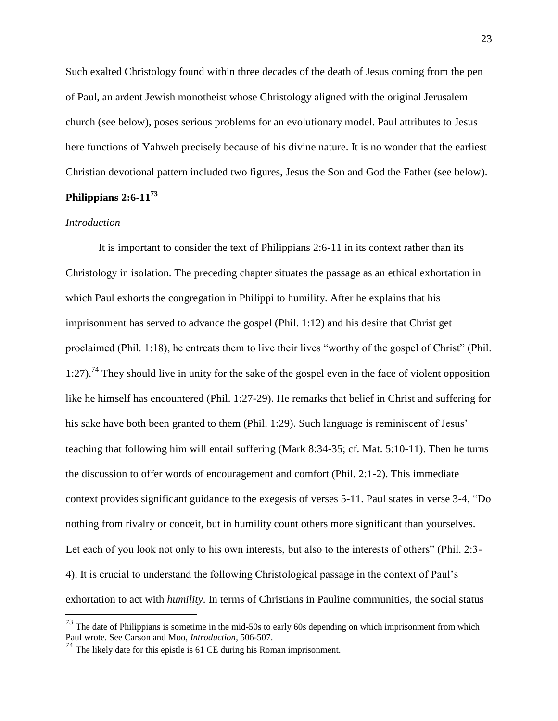Such exalted Christology found within three decades of the death of Jesus coming from the pen of Paul, an ardent Jewish monotheist whose Christology aligned with the original Jerusalem church (see below), poses serious problems for an evolutionary model. Paul attributes to Jesus here functions of Yahweh precisely because of his divine nature. It is no wonder that the earliest Christian devotional pattern included two figures, Jesus the Son and God the Father (see below). **Philippians 2:6-11<sup>73</sup>**

#### *Introduction*

 $\overline{a}$ 

It is important to consider the text of Philippians 2:6-11 in its context rather than its Christology in isolation. The preceding chapter situates the passage as an ethical exhortation in which Paul exhorts the congregation in Philippi to humility. After he explains that his imprisonment has served to advance the gospel (Phil. 1:12) and his desire that Christ get proclaimed (Phil. 1:18), he entreats them to live their lives "worthy of the gospel of Christ" (Phil. 1:27).<sup>74</sup> They should live in unity for the sake of the gospel even in the face of violent opposition like he himself has encountered (Phil. 1:27-29). He remarks that belief in Christ and suffering for his sake have both been granted to them (Phil. 1:29). Such language is reminiscent of Jesus' teaching that following him will entail suffering (Mark 8:34-35; cf. Mat. 5:10-11). Then he turns the discussion to offer words of encouragement and comfort (Phil. 2:1-2). This immediate context provides significant guidance to the exegesis of verses 5-11. Paul states in verse 3-4, "Do nothing from rivalry or conceit, but in humility count others more significant than yourselves. Let each of you look not only to his own interests, but also to the interests of others" (Phil. 2:3- 4). It is crucial to understand the following Christological passage in the context of Paul's exhortation to act with *humility*. In terms of Christians in Pauline communities, the social status

 $^{73}$  The date of Philippians is sometime in the mid-50s to early 60s depending on which imprisonment from which Paul wrote. See Carson and Moo, *Introduction*, 506-507.

<sup>74</sup> The likely date for this epistle is 61 CE during his Roman imprisonment.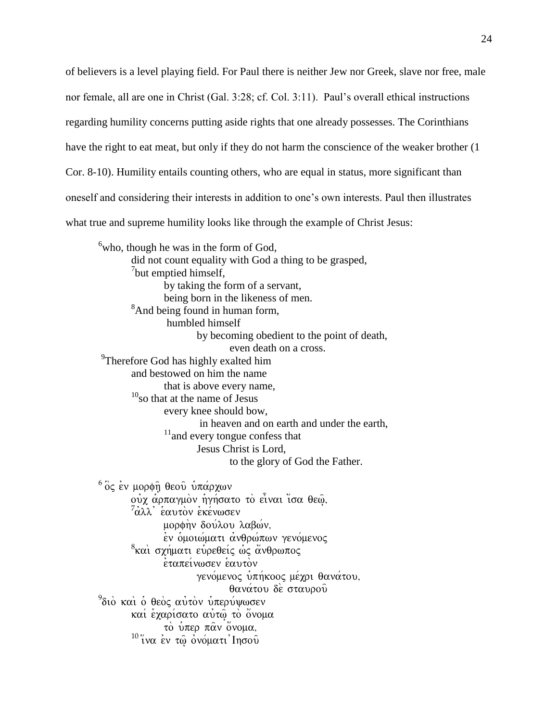of believers is a level playing field. For Paul there is neither Jew nor Greek, slave nor free, male nor female, all are one in Christ (Gal. 3:28; cf. Col. 3:11). Paul's overall ethical instructions regarding humility concerns putting aside rights that one already possesses. The Corinthians have the right to eat meat, but only if they do not harm the conscience of the weaker brother (1) Cor. 8-10). Humility entails counting others, who are equal in status, more significant than oneself and considering their interests in addition to one's own interests. Paul then illustrates what true and supreme humility looks like through the example of Christ Jesus:

 $6$ who, though he was in the form of God, did not count equality with God a thing to be grasped, <sup>7</sup>but emptied himself, by taking the form of a servant, being born in the likeness of men. <sup>8</sup>And being found in human form, humbled himself by becoming obedient to the point of death, even death on a cross. <sup>9</sup>Therefore God has highly exalted him and bestowed on him the name that is above every name,  $10<sub>so</sub>$  that at the name of Jesus every knee should bow, in heaven and on earth and under the earth,  $11$  and every tongue confess that Jesus Christ is Lord, to the glory of God the Father.  $6\degree$ ός έν μορφη θεού υπάρχων ούχ αρπαγμον ηγήσατο το είναι ίσα θεω,  $^7$ άλλ' έαυτὸν ἐκένωσεν μορφην δούλου λαβών, εν ομοιώματι ανθρώπων γενόμενος <sup>8</sup>καὶ σχήματι εὑρεθείς ὡς ἄνθρωπος **εταπείνωσεν εαυτον** γενόμενος υπήκοος μέχρι θανάτου, θανάτου δε σταυρού <sup>9</sup>διὸ καὶ ὁ θεὸς αὐτὸν ὑπερύψωσεν καί έγαρίσατο αύτω τὸ ὄνομα το υπερ π $\alpha$ ν όνομα,

 $^{10}\,$ ίνα έν $\tau\hat{\omega}$ ονόματι Ιησού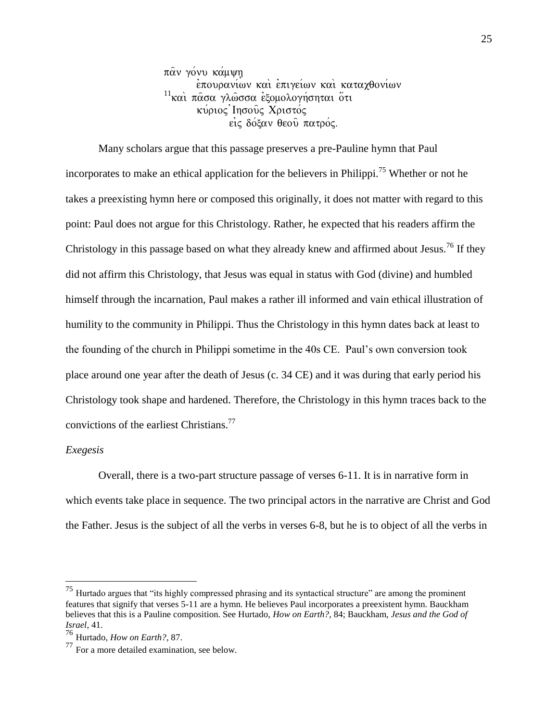παν γόνυ κάμψη επουρανίων και επιγείων και καταχθονίων  $11$ και πάσα γλώσσα εξομολογήσηται ότι κύριος Ιησούς Χριστός εις δόξαν θεού πατρός.

Many scholars argue that this passage preserves a pre-Pauline hymn that Paul incorporates to make an ethical application for the believers in Philippi.<sup>75</sup> Whether or not he takes a preexisting hymn here or composed this originally, it does not matter with regard to this point: Paul does not argue for this Christology. Rather, he expected that his readers affirm the Christology in this passage based on what they already knew and affirmed about Jesus.<sup>76</sup> If they did not affirm this Christology, that Jesus was equal in status with God (divine) and humbled himself through the incarnation, Paul makes a rather ill informed and vain ethical illustration of humility to the community in Philippi. Thus the Christology in this hymn dates back at least to the founding of the church in Philippi sometime in the 40s CE. Paul's own conversion took place around one year after the death of Jesus (c. 34 CE) and it was during that early period his Christology took shape and hardened. Therefore, the Christology in this hymn traces back to the convictions of the earliest Christians.<sup>77</sup>

#### *Exegesis*

 $\overline{a}$ 

Overall, there is a two-part structure passage of verses 6-11. It is in narrative form in which events take place in sequence. The two principal actors in the narrative are Christ and God the Father. Jesus is the subject of all the verbs in verses 6-8, but he is to object of all the verbs in

 $75$  Hurtado argues that "its highly compressed phrasing and its syntactical structure" are among the prominent features that signify that verses 5-11 are a hymn. He believes Paul incorporates a preexistent hymn. Bauckham believes that this is a Pauline composition. See Hurtado, *How on Earth?*, 84; Bauckham, *Jesus and the God of Israel*, 41.

<sup>76</sup> Hurtado, *How on Earth?*, 87.

<sup>77</sup> For a more detailed examination, see below.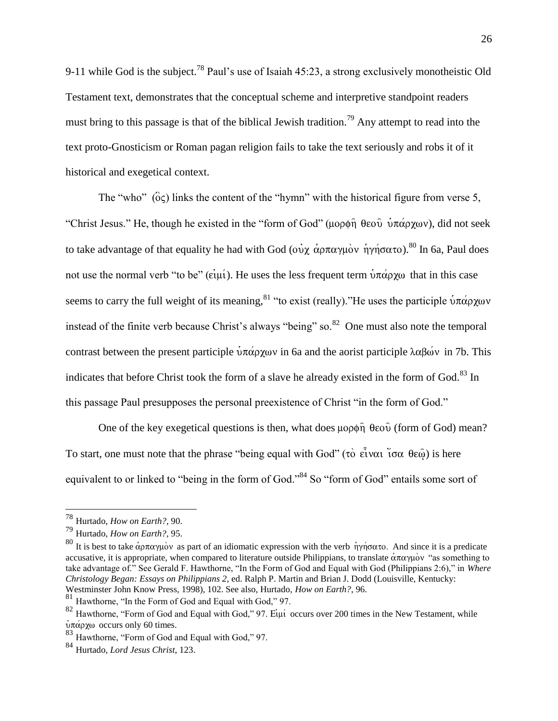9-11 while God is the subject.<sup>78</sup> Paul's use of Isaiah  $45:23$ , a strong exclusively monotheistic Old Testament text, demonstrates that the conceptual scheme and interpretive standpoint readers must bring to this passage is that of the biblical Jewish tradition.<sup>79</sup> Any attempt to read into the text proto-Gnosticism or Roman pagan religion fails to take the text seriously and robs it of it historical and exegetical context.

The "who"  $(\hat{o}\varsigma)$  links the content of the "hymn" with the historical figure from verse 5, "Christ Jesus." He, though he existed in the "form of God" (μορφη θεού υπάρχων), did not seek to take advantage of that equality he had with God (ov  $\dot{\gamma}$   $\dot{\alpha}$ ) $\sigma \pi \alpha \gamma \mu \dot{\alpha}$  h  $\gamma \dot{\gamma}$  $\sigma \alpha \tau$ ).<sup>80</sup> In 6a, Paul does not use the normal verb "to be" ( $\epsilon \in \mathfrak{u}$ ). He uses the less frequent term  $\psi \pi \alpha \rho \chi \omega$  that in this case seems to carry the full weight of its meaning, <sup>81</sup> "to exist (really). "He uses the participle  $\dot{v}\pi\dot{\alpha}\rho\chi_{0}v$ instead of the finite verb because Christ's always "being" so. $82$  One must also note the temporal contrast between the present participle  $\dot{v} \pi \dot{\alpha} \rho \chi \omega v$  in 6a and the aorist participle  $\lambda \alpha \beta \omega v$  in 7b. This indicates that before Christ took the form of a slave he already existed in the form of God.<sup>83</sup> In this passage Paul presupposes the personal preexistence of Christ "in the form of God."

One of the key exegetical questions is then, what does  $\mu$  op  $\hat{\theta}$  iform of God) mean? To start, one must note that the phrase "being equal with God" (τὸ εἶναι ἴσα θεώ) is here equivalent to or linked to "being in the form of God."<sup>84</sup> So "form of God" entails some sort of

<sup>78</sup> Hurtado, *How on Earth?*, 90.

<sup>79</sup> Hurtado, *How on Earth?*, 95.

<sup>&</sup>lt;sup>80</sup> It is best to take αρπαγμόν as part of an idiomatic expression with the verb ηγήσατο. And since it is a predicate accusative, it is appropriate, when compared to literature outside Philippians, to translate  $\alpha \pi \alpha \nu \mu \nu \nu$  "as something to take advantage of." See Gerald F. Hawthorne, "In the Form of God and Equal with God (Philippians 2:6)," in *Where Christology Began: Essays on Philippians 2*, ed. Ralph P. Martin and Brian J. Dodd (Louisville, Kentucky: Westminster John Know Press, 1998), 102. See also, Hurtado, *How on Earth?*, 96.

<sup>81</sup> Hawthorne, "In the Form of God and Equal with God," 97.

 $82$  Hawthorne, "Form of God and Equal with God," 97. Eiµi occurs over 200 times in the New Testament, while  $\dot{\nu}\pi\dot{\alpha}$ ρχω occurs only 60 times.

<sup>83</sup> Hawthorne, "Form of God and Equal with God," 97.

<sup>84</sup> Hurtado, *Lord Jesus Christ*, 123.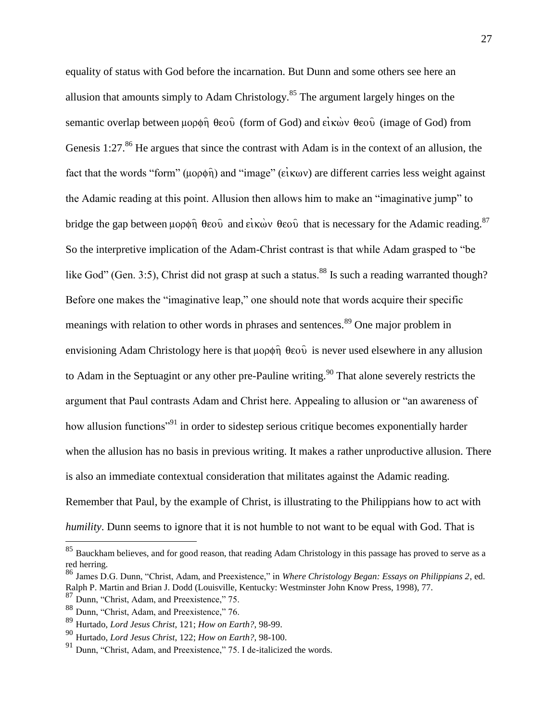equality of status with God before the incarnation. But Dunn and some others see here an allusion that amounts simply to Adam Christology.<sup>85</sup> The argument largely hinges on the semantic overlap between  $\mu$ op $\phi$  $\hat{\eta}$   $\theta$ εο $\hat{\nu}$  (form of God) and είκων  $\theta$ εο $\hat{\nu}$  (image of God) from Genesis 1:27.<sup>86</sup> He argues that since the contrast with Adam is in the context of an allusion, the fact that the words "form" ( $\mu$ o $\rho$  $\phi$  $\hat{\eta}$ ) and "image" ( $\epsilon$ i $\kappa$ ων) are different carries less weight against the Adamic reading at this point. Allusion then allows him to make an "imaginative jump" to bridge the gap between  $\mu$ op $\phi$  $\hat{\eta}$   $\theta$ εου $\hat{\nu}$  and είκων  $\theta$ εου $\hat{\nu}$  that is necessary for the Adamic reading.<sup>87</sup> So the interpretive implication of the Adam-Christ contrast is that while Adam grasped to "be like God" (Gen. 3:5), Christ did not grasp at such a status.<sup>88</sup> Is such a reading warranted though? Before one makes the "imaginative leap," one should note that words acquire their specific meanings with relation to other words in phrases and sentences.<sup>89</sup> One major problem in envisioning Adam Christology here is that  $\mu$ op $\phi$  $\hat{\eta}$   $\theta$ eo $\hat{\nu}$  is never used elsewhere in any allusion to Adam in the Septuagint or any other pre-Pauline writing.<sup>90</sup> That alone severely restricts the argument that Paul contrasts Adam and Christ here. Appealing to allusion or "an awareness of how allusion functions<sup>"91</sup> in order to sidestep serious critique becomes exponentially harder when the allusion has no basis in previous writing. It makes a rather unproductive allusion. There is also an immediate contextual consideration that militates against the Adamic reading. Remember that Paul, by the example of Christ, is illustrating to the Philippians how to act with *humility*. Dunn seems to ignore that it is not humble to not want to be equal with God. That is

 $85$  Bauckham believes, and for good reason, that reading Adam Christology in this passage has proved to serve as a red herring.

<sup>86</sup> James D.G. Dunn, "Christ, Adam, and Preexistence," in *Where Christology Began: Essays on Philippians 2*, ed. Ralph P. Martin and Brian J. Dodd (Louisville, Kentucky: Westminster John Know Press, 1998), 77.

<sup>87</sup> Dunn, "Christ, Adam, and Preexistence," 75.

<sup>88</sup> Dunn, "Christ, Adam, and Preexistence," 76.

<sup>89</sup> Hurtado, *Lord Jesus Christ*, 121; *How on Earth?*, 98-99.

<sup>90</sup> Hurtado, *Lord Jesus Christ*, 122; *How on Earth?*, 98-100.

<sup>&</sup>lt;sup>91</sup> Dunn, "Christ, Adam, and Preexistence," 75. I de-italicized the words.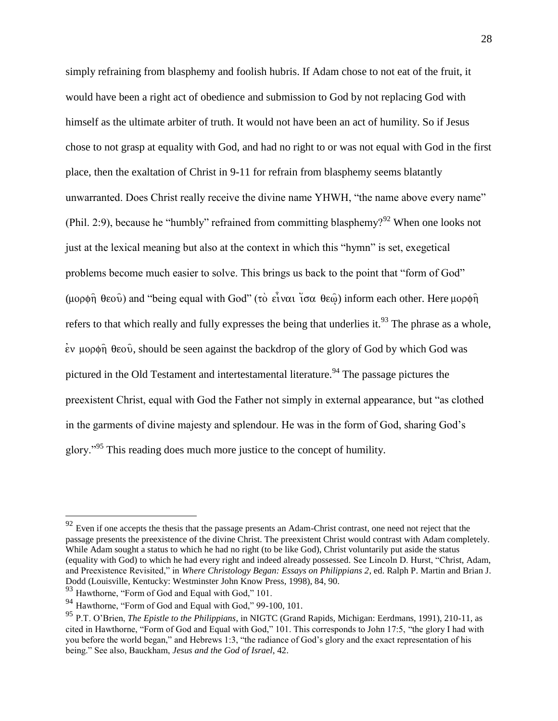simply refraining from blasphemy and foolish hubris. If Adam chose to not eat of the fruit, it would have been a right act of obedience and submission to God by not replacing God with himself as the ultimate arbiter of truth. It would not have been an act of humility. So if Jesus chose to not grasp at equality with God, and had no right to or was not equal with God in the first place, then the exaltation of Christ in 9-11 for refrain from blasphemy seems blatantly unwarranted. Does Christ really receive the divine name YHWH, "the name above every name" (Phil. 2:9), because he "humbly" refrained from committing blasphemy?<sup>92</sup> When one looks not just at the lexical meaning but also at the context in which this "hymn" is set, exegetical problems become much easier to solve. This brings us back to the point that "form of God" (μορφη $\hat{\theta}$  θεού) and "being equal with God" (τὸ εἶναι ἴσα θεω) inform each other. Here μορφη $\hat{\theta}$ refers to that which really and fully expresses the being that underlies it.<sup>93</sup> The phrase as a whole,  $\epsilon$ ν μορφή θεού, should be seen against the backdrop of the glory of God by which God was pictured in the Old Testament and intertestamental literature.<sup>94</sup> The passage pictures the preexistent Christ, equal with God the Father not simply in external appearance, but "as clothed in the garments of divine majesty and splendour. He was in the form of God, sharing God's glory."<sup>95</sup> This reading does much more justice to the concept of humility.

 $92$  Even if one accepts the thesis that the passage presents an Adam-Christ contrast, one need not reject that the passage presents the preexistence of the divine Christ. The preexistent Christ would contrast with Adam completely. While Adam sought a status to which he had no right (to be like God), Christ voluntarily put aside the status (equality with God) to which he had every right and indeed already possessed. See Lincoln D. Hurst, "Christ, Adam, and Preexistence Revisited," in *Where Christology Began: Essays on Philippians 2*, ed. Ralph P. Martin and Brian J. Dodd (Louisville, Kentucky: Westminster John Know Press, 1998), 84, 90.

<sup>93</sup> Hawthorne, "Form of God and Equal with God," 101.

<sup>94</sup> Hawthorne, "Form of God and Equal with God," 99-100, 101.

<sup>95</sup> P.T. O'Brien, *The Epistle to the Philippians*, in NIGTC (Grand Rapids, Michigan: Eerdmans, 1991), 210-11, as cited in Hawthorne, "Form of God and Equal with God," 101. This corresponds to John 17:5, "the glory I had with you before the world began," and Hebrews 1:3, "the radiance of God's glory and the exact representation of his being." See also, Bauckham, *Jesus and the God of Israel*, 42.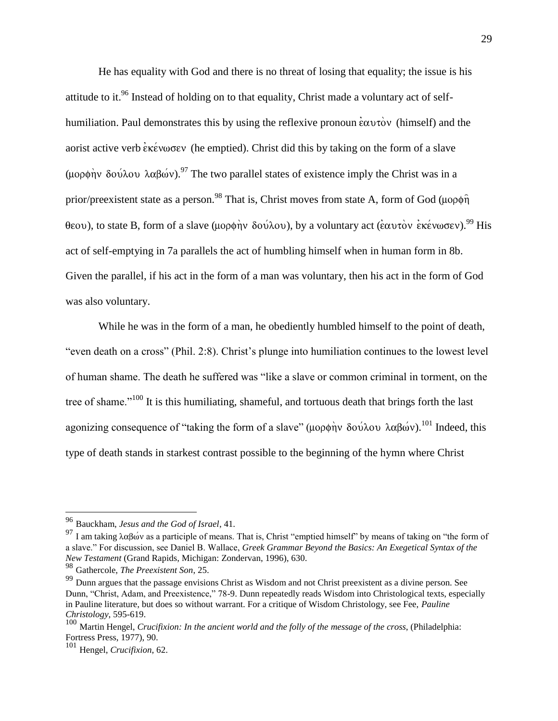He has equality with God and there is no threat of losing that equality; the issue is his attitude to it.<sup>96</sup> Instead of holding on to that equality, Christ made a voluntary act of selfhumiliation. Paul demonstrates this by using the reflexive pronoun  $\epsilon \alpha \nu \tau \dot{\alpha}$  (himself) and the aorist active verb  $\epsilon \kappa \epsilon v \omega \sigma \epsilon v$  (he emptied). Christ did this by taking on the form of a slave (μορφην δούλου λαβών).<sup>97</sup> The two parallel states of existence imply the Christ was in a prior/preexistent state as a person.<sup>98</sup> That is, Christ moves from state A, form of God ( $\mu$ o $\rho$  $\hat{\eta}$ ) θεου), to state B, form of a slave (μορφήν δούλου), by a voluntary act (εαυτον εκένωσεν).<sup>99</sup> His act of self-emptying in 7a parallels the act of humbling himself when in human form in 8b. Given the parallel, if his act in the form of a man was voluntary, then his act in the form of God was also voluntary.

While he was in the form of a man, he obediently humbled himself to the point of death, "even death on a cross" (Phil. 2:8). Christ's plunge into humiliation continues to the lowest level of human shame. The death he suffered was "like a slave or common criminal in torment, on the tree of shame."<sup>100</sup> It is this humiliating, shameful, and tortuous death that brings forth the last agonizing consequence of "taking the form of a slave" (μορφήν δούλου λαβών).<sup>101</sup> Indeed, this type of death stands in starkest contrast possible to the beginning of the hymn where Christ

<sup>96</sup> Bauckham, *Jesus and the God of Israel*, 41.

<sup>&</sup>lt;sup>97</sup> I am taking  $\lambda \alpha \beta \omega v$  as a participle of means. That is, Christ "emptied himself" by means of taking on "the form of a slave." For discussion, see Daniel B. Wallace, *Greek Grammar Beyond the Basics: An Exegetical Syntax of the New Testament* (Grand Rapids, Michigan: Zondervan, 1996), 630.

<sup>98</sup> Gathercole, *The Preexistent Son*, 25.

<sup>&</sup>lt;sup>99</sup> Dunn argues that the passage envisions Christ as Wisdom and not Christ preexistent as a divine person. See Dunn, "Christ, Adam, and Preexistence," 78-9. Dunn repeatedly reads Wisdom into Christological texts, especially in Pauline literature, but does so without warrant. For a critique of Wisdom Christology, see Fee, *Pauline Christology*, 595-619.

<sup>100</sup> Martin Hengel, *Crucifixion: In the ancient world and the folly of the message of the cross*, (Philadelphia: Fortress Press, 1977), 90.

<sup>101</sup> Hengel, *Crucifixion*, 62.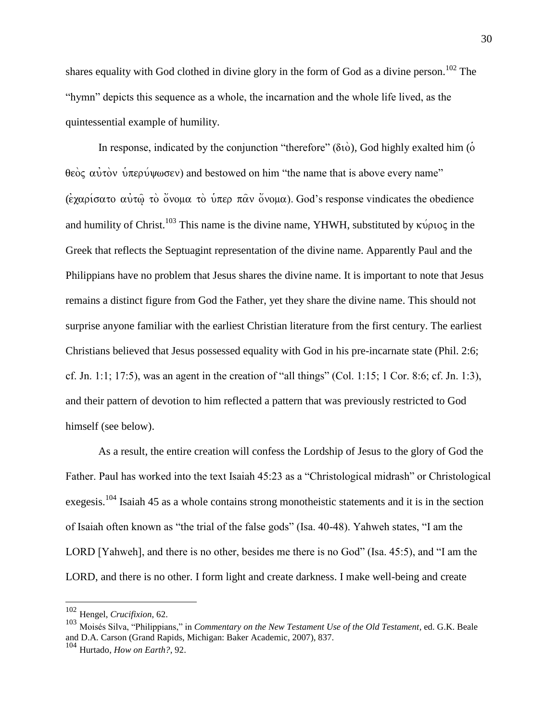shares equality with God clothed in divine glory in the form of God as a divine person.<sup>102</sup> The "hymn" depicts this sequence as a whole, the incarnation and the whole life lived, as the quintessential example of humility.

In response, indicated by the conjunction "therefore"  $(\delta \dot{\theta})$ , God highly exalted him ( $\dot{\theta}$ ) θεὸς αὐτὸν ὑπερύψωσεν) and bestowed on him "the name that is above every name" ( $\epsilon \gamma \alpha \rho i \sigma \alpha \tau$ )  $\alpha$   $\alpha$   $\alpha$   $\alpha$ )  $\alpha$   $\alpha$   $\alpha$ )  $\alpha$   $\alpha$   $\alpha$   $\alpha$   $\alpha$ )  $\alpha$   $\alpha$ ). God's response vindicates the obedience and humility of Christ.<sup>103</sup> This name is the divine name, YHWH, substituted by  $\kappa \nu \rho \nu o \varsigma$  in the Greek that reflects the Septuagint representation of the divine name. Apparently Paul and the Philippians have no problem that Jesus shares the divine name. It is important to note that Jesus remains a distinct figure from God the Father, yet they share the divine name. This should not surprise anyone familiar with the earliest Christian literature from the first century. The earliest Christians believed that Jesus possessed equality with God in his pre-incarnate state (Phil. 2:6; cf. Jn. 1:1; 17:5), was an agent in the creation of "all things" (Col. 1:15; 1 Cor. 8:6; cf. Jn. 1:3), and their pattern of devotion to him reflected a pattern that was previously restricted to God himself (see below).

As a result, the entire creation will confess the Lordship of Jesus to the glory of God the Father. Paul has worked into the text Isaiah 45:23 as a "Christological midrash" or Christological exegesis.<sup>104</sup> Isaiah 45 as a whole contains strong monotheistic statements and it is in the section of Isaiah often known as "the trial of the false gods" (Isa. 40-48). Yahweh states, "I am the LORD [Yahweh], and there is no other, besides me there is no God" (Isa. 45:5), and "I am the LORD, and there is no other. I form light and create darkness. I make well-being and create

<sup>102</sup> Hengel, *Crucifixion*, 62.

<sup>103</sup> Moisés Silva, "Philippians," in *Commentary on the New Testament Use of the Old Testament*, ed. G.K. Beale and D.A. Carson (Grand Rapids, Michigan: Baker Academic, 2007), 837.

<sup>104</sup> Hurtado, *How on Earth?*, 92.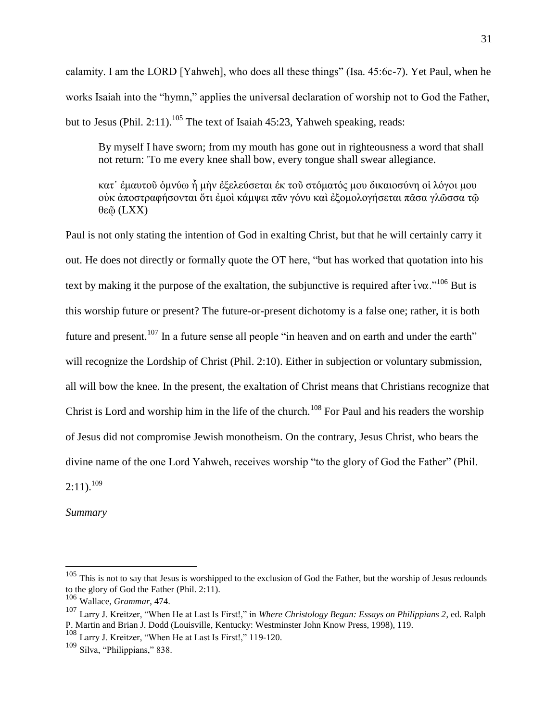calamity. I am the LORD [Yahweh], who does all these things" (Isa. 45:6c-7). Yet Paul, when he works Isaiah into the "hymn," applies the universal declaration of worship not to God the Father, but to Jesus (Phil. 2:11).<sup>105</sup> The text of Isaiah 45:23, Yahweh speaking, reads:

By myself I have sworn; from my mouth has gone out in righteousness a word that shall not return: 'To me every knee shall bow, every tongue shall swear allegiance.

κατ᾽ ἐμαυτοῦ ὀμνύω ἦ μὴν ἐξελεύσεται ἐκ τοῦ στόματός μου δικαιοσύνη οἱ λόγοι μου οὐκ ἀποστραφήσονται ὅτι ἐμοὶ κάμψει πᾶν γόνυ καὶ ἐξομολογήσεται πᾶσα γλῶσσα τῷ θεῷ (LXX)

Paul is not only stating the intention of God in exalting Christ, but that he will certainly carry it out. He does not directly or formally quote the OT here, "but has worked that quotation into his text by making it the purpose of the exaltation, the subjunctive is required after  $i\text{v}\alpha$ ."<sup>106</sup> But is this worship future or present? The future-or-present dichotomy is a false one; rather, it is both future and present.<sup>107</sup> In a future sense all people "in heaven and on earth and under the earth" will recognize the Lordship of Christ (Phil. 2:10). Either in subjection or voluntary submission, all will bow the knee. In the present, the exaltation of Christ means that Christians recognize that Christ is Lord and worship him in the life of the church.<sup>108</sup> For Paul and his readers the worship of Jesus did not compromise Jewish monotheism. On the contrary, Jesus Christ, who bears the divine name of the one Lord Yahweh, receives worship "to the glory of God the Father" (Phil.  $2:11$ ).<sup>109</sup>

*Summary*

 $105$  This is not to say that Jesus is worshipped to the exclusion of God the Father, but the worship of Jesus redounds to the glory of God the Father (Phil. 2:11).

<sup>106</sup> Wallace, *Grammar*, 474.

<sup>107</sup> Larry J. Kreitzer, "When He at Last Is First!," in *Where Christology Began: Essays on Philippians 2*, ed. Ralph P. Martin and Brian J. Dodd (Louisville, Kentucky: Westminster John Know Press, 1998), 119.

<sup>108</sup> Larry J. Kreitzer, "When He at Last Is First!," 119-120.

<sup>109</sup> Silva, "Philippians," 838.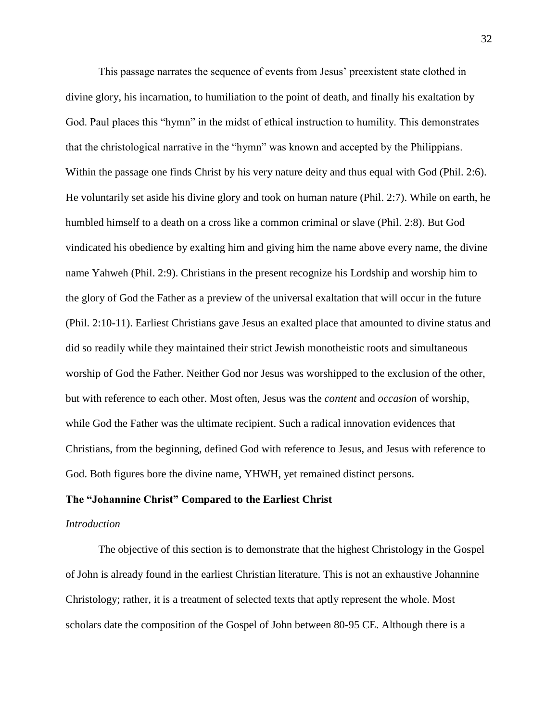This passage narrates the sequence of events from Jesus' preexistent state clothed in divine glory, his incarnation, to humiliation to the point of death, and finally his exaltation by God. Paul places this "hymn" in the midst of ethical instruction to humility. This demonstrates that the christological narrative in the "hymn" was known and accepted by the Philippians. Within the passage one finds Christ by his very nature deity and thus equal with God (Phil. 2:6). He voluntarily set aside his divine glory and took on human nature (Phil. 2:7). While on earth, he humbled himself to a death on a cross like a common criminal or slave (Phil. 2:8). But God vindicated his obedience by exalting him and giving him the name above every name, the divine name Yahweh (Phil. 2:9). Christians in the present recognize his Lordship and worship him to the glory of God the Father as a preview of the universal exaltation that will occur in the future (Phil. 2:10-11). Earliest Christians gave Jesus an exalted place that amounted to divine status and did so readily while they maintained their strict Jewish monotheistic roots and simultaneous worship of God the Father. Neither God nor Jesus was worshipped to the exclusion of the other, but with reference to each other. Most often, Jesus was the *content* and *occasion* of worship, while God the Father was the ultimate recipient. Such a radical innovation evidences that Christians, from the beginning, defined God with reference to Jesus, and Jesus with reference to God. Both figures bore the divine name, YHWH, yet remained distinct persons.

#### **The "Johannine Christ" Compared to the Earliest Christ**

#### *Introduction*

The objective of this section is to demonstrate that the highest Christology in the Gospel of John is already found in the earliest Christian literature. This is not an exhaustive Johannine Christology; rather, it is a treatment of selected texts that aptly represent the whole. Most scholars date the composition of the Gospel of John between 80-95 CE. Although there is a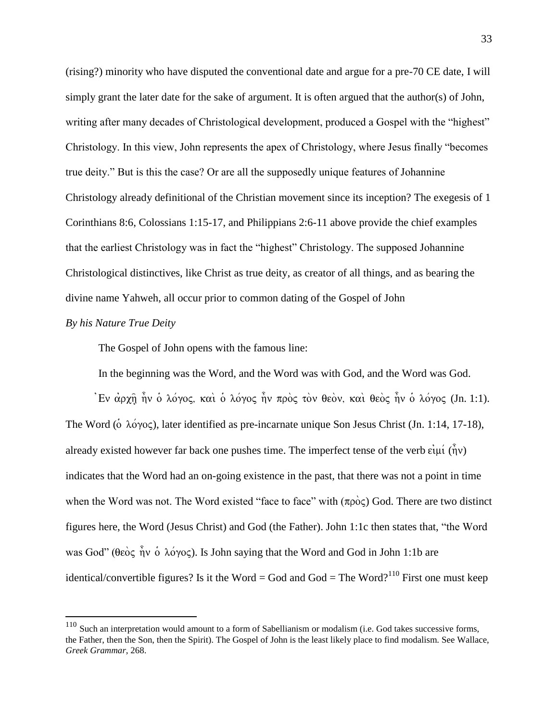(rising?) minority who have disputed the conventional date and argue for a pre-70 CE date, I will simply grant the later date for the sake of argument. It is often argued that the author(s) of John, writing after many decades of Christological development, produced a Gospel with the "highest" Christology. In this view, John represents the apex of Christology, where Jesus finally "becomes true deity." But is this the case? Or are all the supposedly unique features of Johannine Christology already definitional of the Christian movement since its inception? The exegesis of 1 Corinthians 8:6, Colossians 1:15-17, and Philippians 2:6-11 above provide the chief examples that the earliest Christology was in fact the "highest" Christology. The supposed Johannine Christological distinctives, like Christ as true deity, as creator of all things, and as bearing the divine name Yahweh, all occur prior to common dating of the Gospel of John

#### *By his Nature True Deity*

 $\overline{a}$ 

The Gospel of John opens with the famous line:

In the beginning was the Word, and the Word was with God, and the Word was God.

 $j$ Eν αρχη ήν ο λόγος, και ο λόγος ήν προς τον θεον, και θεος ήν ο λόγος (Jn. 1:1). The Word ( $\delta \lambda \acute{o} \gamma$ o $\varsigma$ ), later identified as pre-incarnate unique Son Jesus Christ (Jn. 1:14, 17-18), already existed however far back one pushes time. The imperfect tense of the verb  $\vec{\epsilon}$ uú ( $\hat{\vec{\eta}}$ v) indicates that the Word had an on-going existence in the past, that there was not a point in time when the Word was not. The Word existed "face to face" with  $(\pi \rho \dot{\circ} \varsigma)$  God. There are two distinct figures here, the Word (Jesus Christ) and God (the Father). John 1:1c then states that, "the Word was God" ( $\theta \overrightarrow{\text{e}} \circ \hat{\text{e}} \times \hat{\text{e}} \times \hat{\text{e}}$ ). Is John saying that the Word and God in John 1:1b are identical/convertible figures? Is it the Word = God and God = The Word?<sup>110</sup> First one must keep

 $110$  Such an interpretation would amount to a form of Sabellianism or modalism (i.e. God takes successive forms, the Father, then the Son, then the Spirit). The Gospel of John is the least likely place to find modalism. See Wallace, *Greek Grammar*, 268.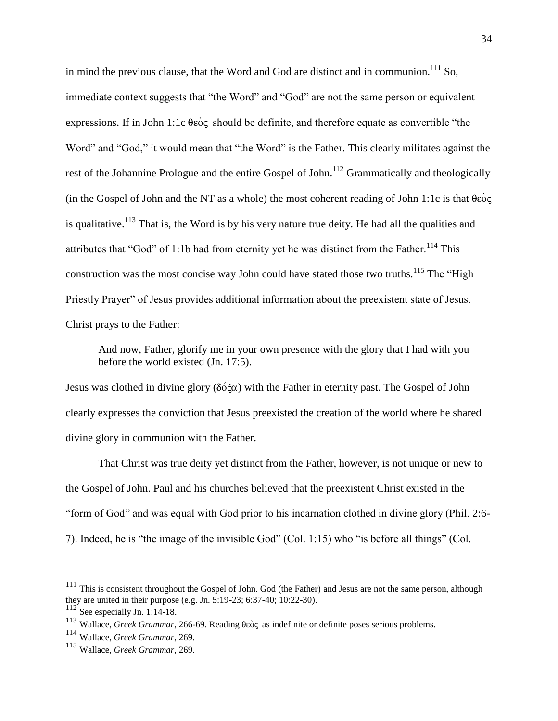in mind the previous clause, that the Word and God are distinct and in communion.<sup>111</sup> So, immediate context suggests that "the Word" and "God" are not the same person or equivalent expressions. If in John 1:1c  $\theta \overrightarrow{\rm e}$  should be definite, and therefore equate as convertible "the Word" and "God," it would mean that "the Word" is the Father. This clearly militates against the rest of the Johannine Prologue and the entire Gospel of John.<sup>112</sup> Grammatically and theologically (in the Gospel of John and the NT as a whole) the most coherent reading of John 1:1c is that  $\theta \hat{\textbf{e}}$ is qualitative.<sup>113</sup> That is, the Word is by his very nature true deity. He had all the qualities and attributes that "God" of 1:1b had from eternity yet he was distinct from the Father.<sup>114</sup> This construction was the most concise way John could have stated those two truths.<sup>115</sup> The "High" Priestly Prayer" of Jesus provides additional information about the preexistent state of Jesus. Christ prays to the Father:

And now, Father, glorify me in your own presence with the glory that I had with you before the world existed (Jn. 17:5).

Jesus was clothed in divine glory ( $\delta \acute{o} \xi \alpha$ ) with the Father in eternity past. The Gospel of John clearly expresses the conviction that Jesus preexisted the creation of the world where he shared divine glory in communion with the Father.

That Christ was true deity yet distinct from the Father, however, is not unique or new to the Gospel of John. Paul and his churches believed that the preexistent Christ existed in the "form of God" and was equal with God prior to his incarnation clothed in divine glory (Phil. 2:6- 7). Indeed, he is "the image of the invisible God" (Col. 1:15) who "is before all things" (Col.

 $111$  This is consistent throughout the Gospel of John. God (the Father) and Jesus are not the same person, although they are united in their purpose (e.g. Jn. 5:19-23; 6:37-40; 10:22-30).

<sup>112</sup> See especially Jn. 1:14-18.

<sup>&</sup>lt;sup>113</sup> Wallace, *Greek Grammar*, 266-69. Reading  $\theta \epsilon \dot{\theta}$  as indefinite or definite poses serious problems.

<sup>114</sup> Wallace, *Greek Grammar*, 269.

<sup>115</sup> Wallace, *Greek Grammar*, 269.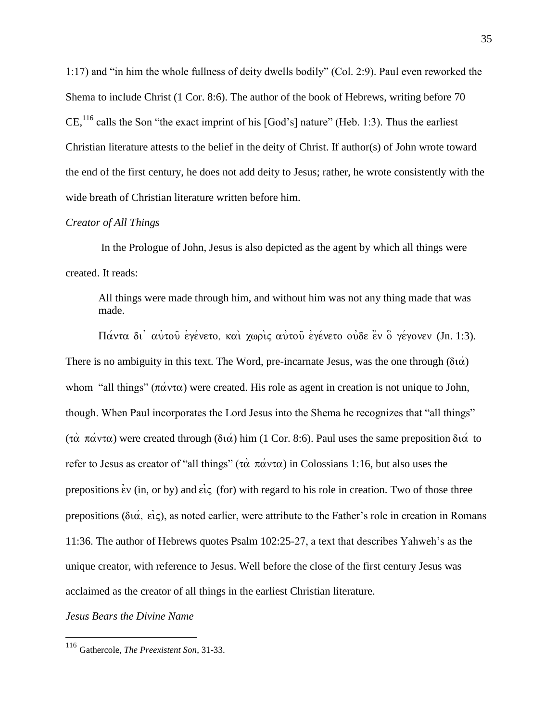1:17) and "in him the whole fullness of deity dwells bodily" (Col. 2:9). Paul even reworked the Shema to include Christ (1 Cor. 8:6). The author of the book of Hebrews, writing before 70 CE,  $^{116}$  calls the Son "the exact imprint of his [God's] nature" (Heb. 1:3). Thus the earliest Christian literature attests to the belief in the deity of Christ. If author(s) of John wrote toward the end of the first century, he does not add deity to Jesus; rather, he wrote consistently with the wide breath of Christian literature written before him.

## *Creator of All Things*

In the Prologue of John, Jesus is also depicted as the agent by which all things were created. It reads:

All things were made through him, and without him was not any thing made that was made.

 $\Pi \alpha$ ντα δι' αυτού εγένετο, και χωρις αυτού εγένετο ουδε έν ο γέγονεν (Jn. 1:3). There is no ambiguity in this text. The Word, pre-incarnate Jesus, was the one through  $(\delta t \alpha)$ whom "all things"  $(\pi \alpha \nu \tau \alpha)$  were created. His role as agent in creation is not unique to John, though. When Paul incorporates the Lord Jesus into the Shema he recognizes that "all things" (τα πάντα) were created through (διά) him (1 Cor. 8:6). Paul uses the same preposition διά to refer to Jesus as creator of "all things" ( $\tau \alpha$   $\pi \alpha \nu \tau \alpha$ ) in Colossians 1:16, but also uses the prepositions  $\dot{\epsilon}v$  (in, or by) and  $\dot{\epsilon}i\zeta$  (for) with regard to his role in creation. Two of those three prepositions ( $\delta t\alpha$ , eig), as noted earlier, were attribute to the Father's role in creation in Romans 11:36. The author of Hebrews quotes Psalm 102:25-27, a text that describes Yahweh's as the unique creator, with reference to Jesus. Well before the close of the first century Jesus was acclaimed as the creator of all things in the earliest Christian literature.

*Jesus Bears the Divine Name*

<sup>116</sup> Gathercole, *The Preexistent Son*, 31-33.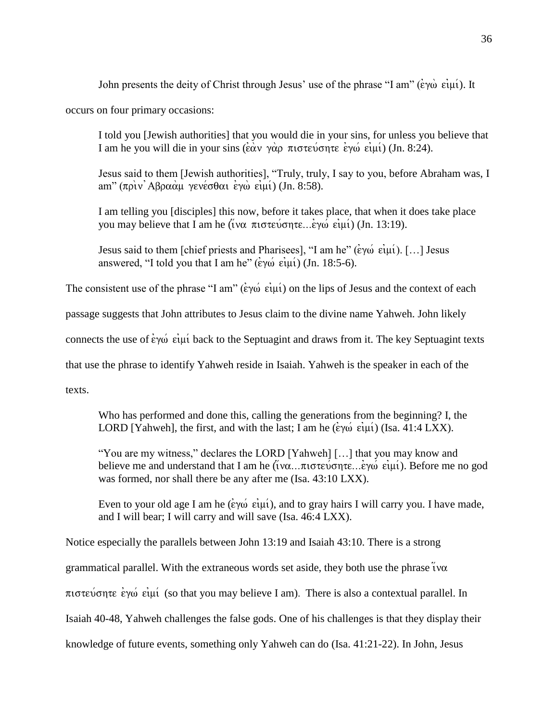John presents the deity of Christ through Jesus' use of the phrase "I am" ( $\epsilon \gamma \omega \epsilon \mu \nu$ ). It

occurs on four primary occasions:

I told you [Jewish authorities] that you would die in your sins, for unless you believe that I am he you will die in your sins ( $\hat{\epsilon}$ àv γὰρ πιστεύσητε ἐγώ εἰμί) (Jn. 8:24).

Jesus said to them [Jewish authorities], "Truly, truly, I say to you, before Abraham was, I am"  $(\pi \rho \nu)$  Aβ $\rho \alpha \alpha \mu$  γενέσθαι εγώ ειμί) (Jn. 8:58).

I am telling you [disciples] this now, before it takes place, that when it does take place you may believe that I am he (*ivα πιστεύσητε...εγώ ειμί*) (Jn. 13:19).

Jesus said to them [chief priests and Pharisees], "I am he" ( $\epsilon \gamma \omega$   $\epsilon \mu \nu$ ). [...] Jesus answered, "I told you that I am he"  $(\epsilon \gamma \omega \ \epsilon \nu \nu)$  (Jn. 18:5-6).

The consistent use of the phrase "I am" ( $\epsilon y \omega \epsilon \mu \nu$ ) on the lips of Jesus and the context of each

passage suggests that John attributes to Jesus claim to the divine name Yahweh. John likely

connects the use of  $\dot{\epsilon}$  v $\dot{\omega}$  eig $\dot{\mu}$  back to the Septuagint and draws from it. The key Septuagint texts

that use the phrase to identify Yahweh reside in Isaiah. Yahweh is the speaker in each of the

texts.

Who has performed and done this, calling the generations from the beginning? I, the LORD [Yahweh], the first, and with the last; I am he  $(\dot{\varepsilon}\gamma\dot{\omega} \dot{\varepsilon}\dot{\psi})$  (Isa. 41:4 LXX).

"You are my witness," declares the LORD [Yahweh] […] that you may know and believe me and understand that I am he ( $\tilde{i}$ να...πιστεύσητε...εγώ ειμί). Before me no god was formed, nor shall there be any after me (Isa. 43:10 LXX).

Even to your old age I am he ( $\epsilon y \omega$   $\epsilon \psi$ ), and to gray hairs I will carry you. I have made, and I will bear; I will carry and will save (Isa. 46:4 LXX).

Notice especially the parallels between John 13:19 and Isaiah 43:10. There is a strong grammatical parallel. With the extraneous words set aside, they both use the phrase  $\ddot{i}$  v $\alpha$  $\pi$ iotevonte e $\gamma\omega$  ei $\mu\acute{\nu}$  (so that you may believe I am). There is also a contextual parallel. In Isaiah 40-48, Yahweh challenges the false gods. One of his challenges is that they display their knowledge of future events, something only Yahweh can do (Isa. 41:21-22). In John, Jesus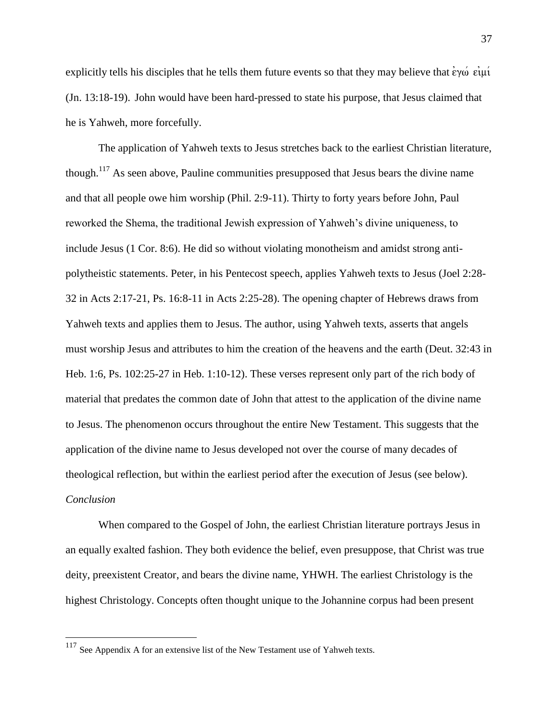explicitly tells his disciples that he tells them future events so that they may believe that  $\epsilon y \omega \epsilon \mu \nu$ (Jn. 13:18-19). John would have been hard-pressed to state his purpose, that Jesus claimed that he is Yahweh, more forcefully.

The application of Yahweh texts to Jesus stretches back to the earliest Christian literature, though.<sup>117</sup> As seen above, Pauline communities presupposed that Jesus bears the divine name and that all people owe him worship (Phil. 2:9-11). Thirty to forty years before John, Paul reworked the Shema, the traditional Jewish expression of Yahweh's divine uniqueness, to include Jesus (1 Cor. 8:6). He did so without violating monotheism and amidst strong antipolytheistic statements. Peter, in his Pentecost speech, applies Yahweh texts to Jesus (Joel 2:28- 32 in Acts 2:17-21, Ps. 16:8-11 in Acts 2:25-28). The opening chapter of Hebrews draws from Yahweh texts and applies them to Jesus. The author, using Yahweh texts, asserts that angels must worship Jesus and attributes to him the creation of the heavens and the earth (Deut. 32:43 in Heb. 1:6, Ps. 102:25-27 in Heb. 1:10-12). These verses represent only part of the rich body of material that predates the common date of John that attest to the application of the divine name to Jesus. The phenomenon occurs throughout the entire New Testament. This suggests that the application of the divine name to Jesus developed not over the course of many decades of theological reflection, but within the earliest period after the execution of Jesus (see below). *Conclusion*

When compared to the Gospel of John, the earliest Christian literature portrays Jesus in an equally exalted fashion. They both evidence the belief, even presuppose, that Christ was true deity, preexistent Creator, and bears the divine name, YHWH. The earliest Christology is the highest Christology. Concepts often thought unique to the Johannine corpus had been present

 $117$  See Appendix A for an extensive list of the New Testament use of Yahweh texts.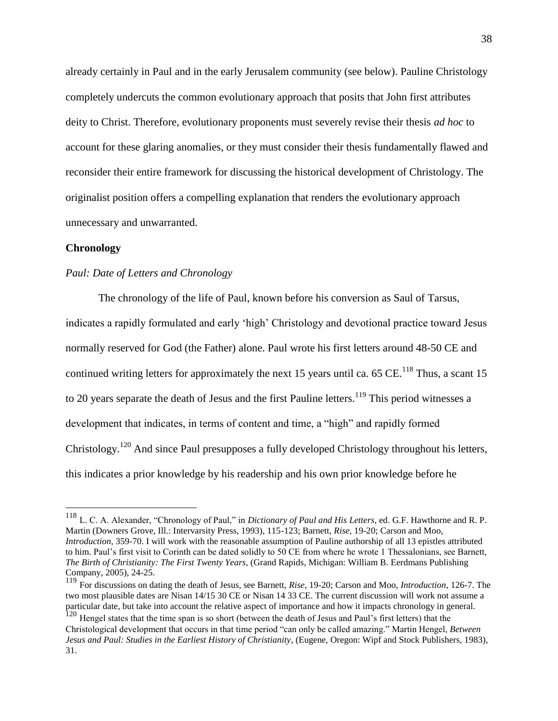already certainly in Paul and in the early Jerusalem community (see below). Pauline Christology completely undercuts the common evolutionary approach that posits that John first attributes deity to Christ. Therefore, evolutionary proponents must severely revise their thesis *ad hoc* to account for these glaring anomalies, or they must consider their thesis fundamentally flawed and reconsider their entire framework for discussing the historical development of Christology. The originalist position offers a compelling explanation that renders the evolutionary approach unnecessary and unwarranted.

## **Chronology**

 $\overline{a}$ 

# *Paul: Date of Letters and Chronology*

The chronology of the life of Paul, known before his conversion as Saul of Tarsus, indicates a rapidly formulated and early 'high' Christology and devotional practice toward Jesus normally reserved for God (the Father) alone. Paul wrote his first letters around 48-50 CE and continued writing letters for approximately the next 15 years until ca. 65 CE.<sup>118</sup> Thus, a scant 15 to 20 years separate the death of Jesus and the first Pauline letters.<sup>119</sup> This period witnesses a development that indicates, in terms of content and time, a "high" and rapidly formed Christology.<sup>120</sup> And since Paul presupposes a fully developed Christology throughout his letters, this indicates a prior knowledge by his readership and his own prior knowledge before he

<sup>118</sup> L. C. A. Alexander, "Chronology of Paul," in *Dictionary of Paul and His Letters*, ed. G.F. Hawthorne and R. P. Martin (Downers Grove, Ill.: Intervarsity Press, 1993), 115-123; Barnett, *Rise*, 19-20; Carson and Moo, *Introduction*, 359-70. I will work with the reasonable assumption of Pauline authorship of all 13 epistles attributed to him. Paul's first visit to Corinth can be dated solidly to 50 CE from where he wrote 1 Thessalonians, see Barnett, *The Birth of Christianity: The First Twenty Years*, (Grand Rapids, Michigan: William B. Eerdmans Publishing Company, 2005), 24-25.

<sup>119</sup> For discussions on dating the death of Jesus, see Barnett, *Rise*, 19-20; Carson and Moo, *Introduction*, 126-7. The two most plausible dates are Nisan 14/15 30 CE or Nisan 14 33 CE. The current discussion will work not assume a particular date, but take into account the relative aspect of importance and how it impacts chronology in general.

<sup>&</sup>lt;sup>120</sup> Hengel states that the time span is so short (between the death of Jesus and Paul's first letters) that the Christological development that occurs in that time period "can only be called amazing." Martin Hengel, *Between Jesus and Paul: Studies in the Earliest History of Christianity*, (Eugene, Oregon: Wipf and Stock Publishers, 1983), 31.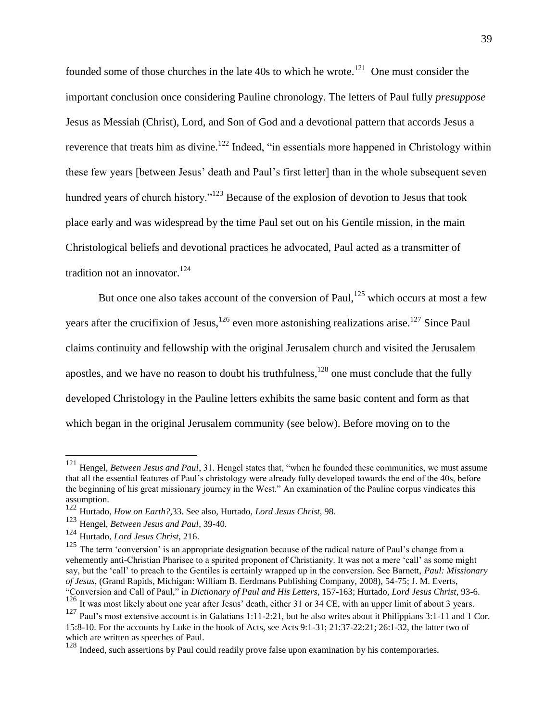founded some of those churches in the late  $40s$  to which he wrote.<sup>121</sup> One must consider the important conclusion once considering Pauline chronology. The letters of Paul fully *presuppose* Jesus as Messiah (Christ), Lord, and Son of God and a devotional pattern that accords Jesus a reverence that treats him as divine.<sup>122</sup> Indeed, "in essentials more happened in Christology within these few years [between Jesus' death and Paul's first letter] than in the whole subsequent seven hundred years of church history."<sup>123</sup> Because of the explosion of devotion to Jesus that took place early and was widespread by the time Paul set out on his Gentile mission, in the main Christological beliefs and devotional practices he advocated, Paul acted as a transmitter of tradition not an innovator.  $124$ 

But once one also takes account of the conversion of Paul, $^{125}$  which occurs at most a few years after the crucifixion of Jesus,<sup>126</sup> even more astonishing realizations arise.<sup>127</sup> Since Paul claims continuity and fellowship with the original Jerusalem church and visited the Jerusalem apostles, and we have no reason to doubt his truthfulness, $128$  one must conclude that the fully developed Christology in the Pauline letters exhibits the same basic content and form as that which began in the original Jerusalem community (see below). Before moving on to the

<sup>121</sup> Hengel, *Between Jesus and Paul*, 31. Hengel states that, "when he founded these communities, we must assume that all the essential features of Paul's christology were already fully developed towards the end of the 40s, before the beginning of his great missionary journey in the West." An examination of the Pauline corpus vindicates this assumption.

<sup>122</sup> Hurtado, *How on Earth?,*33. See also, Hurtado, *Lord Jesus Christ,* 98.

<sup>123</sup> Hengel, *Between Jesus and Paul*, 39-40.

<sup>124</sup> Hurtado, *Lord Jesus Christ*, 216.

<sup>&</sup>lt;sup>125</sup> The term 'conversion' is an appropriate designation because of the radical nature of Paul's change from a vehemently anti-Christian Pharisee to a spirited proponent of Christianity. It was not a mere 'call' as some might say, but the 'call' to preach to the Gentiles is certainly wrapped up in the conversion. See Barnett, *Paul: Missionary of Jesus*, (Grand Rapids, Michigan: William B. Eerdmans Publishing Company, 2008), 54-75; J. M. Everts, "Conversion and Call of Paul," in *Dictionary of Paul and His Letters*, 157-163; Hurtado, *Lord Jesus Christ*, 93-6.

<sup>&</sup>lt;sup>126</sup> It was most likely about one year after Jesus' death, either 31 or 34 CE, with an upper limit of about 3 years.

<sup>127</sup> Paul's most extensive account is in Galatians 1:11-2:21, but he also writes about it Philippians 3:1-11 and 1 Cor. 15:8-10. For the accounts by Luke in the book of Acts, see Acts 9:1-31; 21:37-22:21; 26:1-32, the latter two of which are written as speeches of Paul.

<sup>&</sup>lt;sup>128</sup> Indeed, such assertions by Paul could readily prove false upon examination by his contemporaries.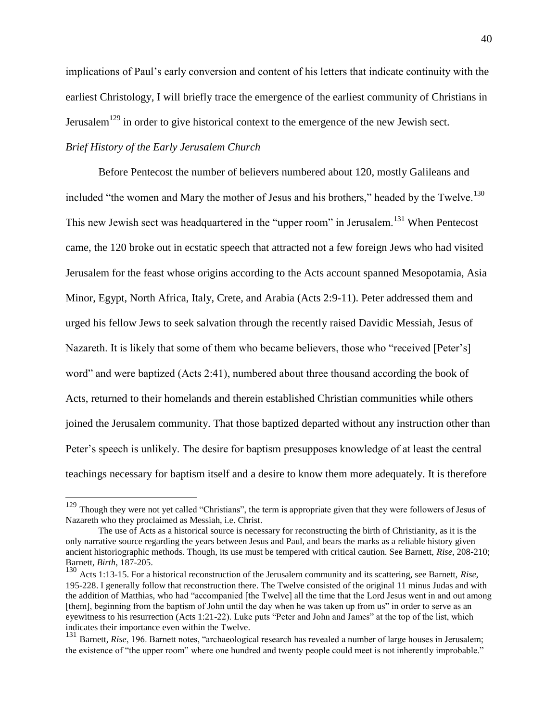implications of Paul's early conversion and content of his letters that indicate continuity with the earliest Christology, I will briefly trace the emergence of the earliest community of Christians in Jerusalem<sup>129</sup> in order to give historical context to the emergence of the new Jewish sect.

# *Brief History of the Early Jerusalem Church*

 $\overline{a}$ 

Before Pentecost the number of believers numbered about 120, mostly Galileans and included "the women and Mary the mother of Jesus and his brothers," headed by the Twelve.<sup>130</sup> This new Jewish sect was headquartered in the "upper room" in Jerusalem.<sup>131</sup> When Pentecost came, the 120 broke out in ecstatic speech that attracted not a few foreign Jews who had visited Jerusalem for the feast whose origins according to the Acts account spanned Mesopotamia, Asia Minor, Egypt, North Africa, Italy, Crete, and Arabia (Acts 2:9-11). Peter addressed them and urged his fellow Jews to seek salvation through the recently raised Davidic Messiah, Jesus of Nazareth. It is likely that some of them who became believers, those who "received [Peter's] word" and were baptized (Acts 2:41), numbered about three thousand according the book of Acts, returned to their homelands and therein established Christian communities while others joined the Jerusalem community. That those baptized departed without any instruction other than Peter's speech is unlikely. The desire for baptism presupposes knowledge of at least the central teachings necessary for baptism itself and a desire to know them more adequately. It is therefore

<sup>&</sup>lt;sup>129</sup> Though they were not yet called "Christians", the term is appropriate given that they were followers of Jesus of Nazareth who they proclaimed as Messiah, i.e. Christ.

The use of Acts as a historical source is necessary for reconstructing the birth of Christianity, as it is the only narrative source regarding the years between Jesus and Paul, and bears the marks as a reliable history given ancient historiographic methods. Though, its use must be tempered with critical caution. See Barnett, *Rise*, 208-210; Barnett, *Birth*, 187-205.

<sup>130</sup> Acts 1:13-15. For a historical reconstruction of the Jerusalem community and its scattering, see Barnett, *Rise*, 195-228. I generally follow that reconstruction there. The Twelve consisted of the original 11 minus Judas and with the addition of Matthias, who had "accompanied [the Twelve] all the time that the Lord Jesus went in and out among [them], beginning from the baptism of John until the day when he was taken up from us" in order to serve as an eyewitness to his resurrection (Acts 1:21-22). Luke puts "Peter and John and James" at the top of the list, which indicates their importance even within the Twelve.

<sup>&</sup>lt;sup>131</sup> Barnett, *Rise*, 196. Barnett notes, "archaeological research has revealed a number of large houses in Jerusalem; the existence of "the upper room" where one hundred and twenty people could meet is not inherently improbable."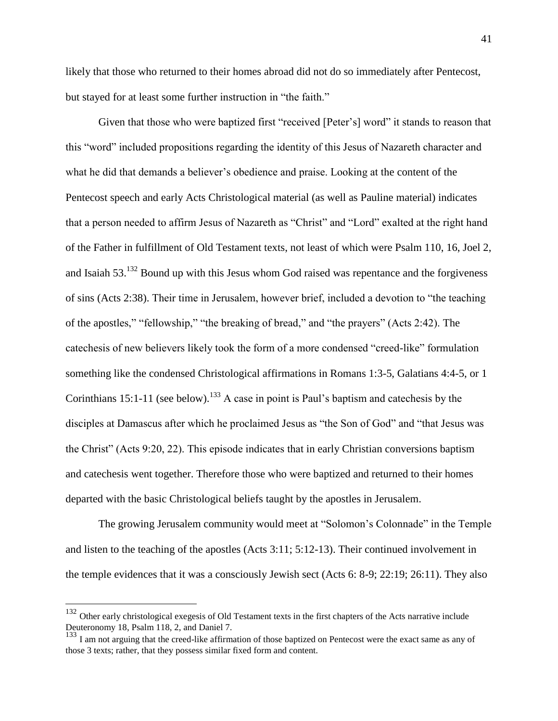likely that those who returned to their homes abroad did not do so immediately after Pentecost, but stayed for at least some further instruction in "the faith."

Given that those who were baptized first "received [Peter's] word" it stands to reason that this "word" included propositions regarding the identity of this Jesus of Nazareth character and what he did that demands a believer's obedience and praise. Looking at the content of the Pentecost speech and early Acts Christological material (as well as Pauline material) indicates that a person needed to affirm Jesus of Nazareth as "Christ" and "Lord" exalted at the right hand of the Father in fulfillment of Old Testament texts, not least of which were Psalm 110, 16, Joel 2, and Isaiah 53.<sup>132</sup> Bound up with this Jesus whom God raised was repentance and the forgiveness of sins (Acts 2:38). Their time in Jerusalem, however brief, included a devotion to "the teaching of the apostles," "fellowship," "the breaking of bread," and "the prayers" (Acts 2:42). The catechesis of new believers likely took the form of a more condensed "creed-like" formulation something like the condensed Christological affirmations in Romans 1:3-5, Galatians 4:4-5, or 1 Corinthians 15:1-11 (see below).<sup>133</sup> A case in point is Paul's baptism and catechesis by the disciples at Damascus after which he proclaimed Jesus as "the Son of God" and "that Jesus was the Christ" (Acts 9:20, 22). This episode indicates that in early Christian conversions baptism and catechesis went together. Therefore those who were baptized and returned to their homes departed with the basic Christological beliefs taught by the apostles in Jerusalem.

The growing Jerusalem community would meet at "Solomon's Colonnade" in the Temple and listen to the teaching of the apostles (Acts 3:11; 5:12-13). Their continued involvement in the temple evidences that it was a consciously Jewish sect (Acts 6: 8-9; 22:19; 26:11). They also

<sup>&</sup>lt;sup>132</sup> Other early christological exegesis of Old Testament texts in the first chapters of the Acts narrative include Deuteronomy 18, Psalm 118, 2, and Daniel 7.

<sup>&</sup>lt;sup>133</sup> I am not arguing that the creed-like affirmation of those baptized on Pentecost were the exact same as any of those 3 texts; rather, that they possess similar fixed form and content.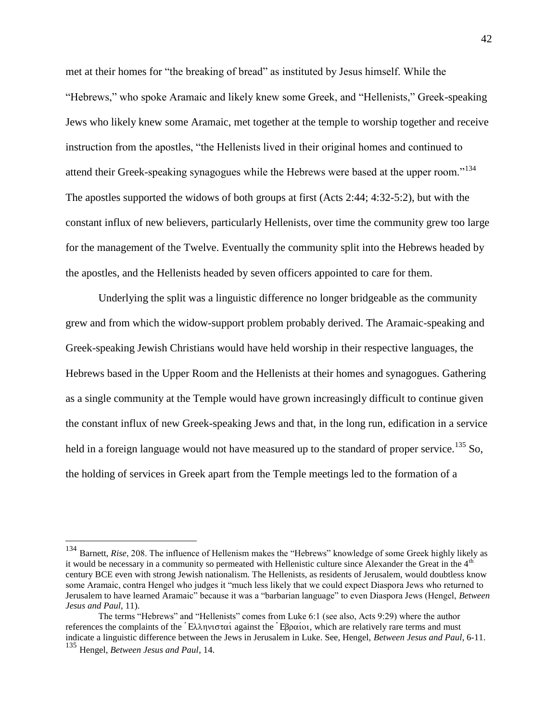met at their homes for "the breaking of bread" as instituted by Jesus himself. While the "Hebrews," who spoke Aramaic and likely knew some Greek, and "Hellenists," Greek-speaking Jews who likely knew some Aramaic, met together at the temple to worship together and receive instruction from the apostles, "the Hellenists lived in their original homes and continued to attend their Greek-speaking synagogues while the Hebrews were based at the upper room."<sup>134</sup> The apostles supported the widows of both groups at first (Acts 2:44; 4:32-5:2), but with the constant influx of new believers, particularly Hellenists, over time the community grew too large for the management of the Twelve. Eventually the community split into the Hebrews headed by the apostles, and the Hellenists headed by seven officers appointed to care for them.

Underlying the split was a linguistic difference no longer bridgeable as the community grew and from which the widow-support problem probably derived. The Aramaic-speaking and Greek-speaking Jewish Christians would have held worship in their respective languages, the Hebrews based in the Upper Room and the Hellenists at their homes and synagogues. Gathering as a single community at the Temple would have grown increasingly difficult to continue given the constant influx of new Greek-speaking Jews and that, in the long run, edification in a service held in a foreign language would not have measured up to the standard of proper service.<sup>135</sup> So, the holding of services in Greek apart from the Temple meetings led to the formation of a

<sup>134</sup> Barnett, *Rise*, 208. The influence of Hellenism makes the "Hebrews" knowledge of some Greek highly likely as it would be necessary in a community so permeated with Hellenistic culture since Alexander the Great in the  $4<sup>th</sup>$ century BCE even with strong Jewish nationalism. The Hellenists, as residents of Jerusalem, would doubtless know some Aramaic, contra Hengel who judges it "much less likely that we could expect Diaspora Jews who returned to Jerusalem to have learned Aramaic" because it was a "barbarian language" to even Diaspora Jews (Hengel, *Between Jesus and Paul*, 11).

The terms "Hebrews" and "Hellenists" comes from Luke 6:1 (see also, Acts 9:29) where the author references the complaints of the 'Ελληνισταί against the 'Εβραίοι, which are relatively rare terms and must indicate a linguistic difference between the Jews in Jerusalem in Luke. See, Hengel, *Between Jesus and Paul*, 6-11. <sup>135</sup> Hengel, *Between Jesus and Paul*, 14.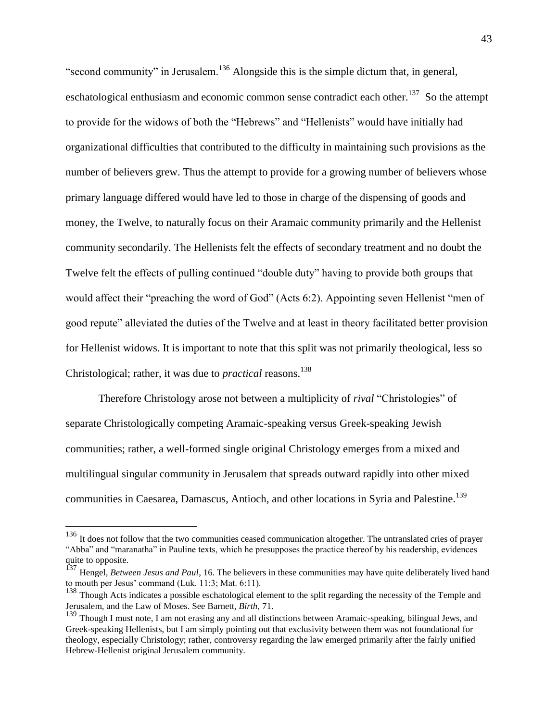"second community" in Jerusalem.<sup>136</sup> Alongside this is the simple dictum that, in general, eschatological enthusiasm and economic common sense contradict each other.<sup>137</sup> So the attempt to provide for the widows of both the "Hebrews" and "Hellenists" would have initially had organizational difficulties that contributed to the difficulty in maintaining such provisions as the number of believers grew. Thus the attempt to provide for a growing number of believers whose primary language differed would have led to those in charge of the dispensing of goods and money, the Twelve, to naturally focus on their Aramaic community primarily and the Hellenist community secondarily. The Hellenists felt the effects of secondary treatment and no doubt the Twelve felt the effects of pulling continued "double duty" having to provide both groups that would affect their "preaching the word of God" (Acts 6:2). Appointing seven Hellenist "men of good repute" alleviated the duties of the Twelve and at least in theory facilitated better provision for Hellenist widows. It is important to note that this split was not primarily theological, less so Christological; rather, it was due to *practical* reasons. 138

Therefore Christology arose not between a multiplicity of *rival* "Christologies" of separate Christologically competing Aramaic-speaking versus Greek-speaking Jewish communities; rather, a well-formed single original Christology emerges from a mixed and multilingual singular community in Jerusalem that spreads outward rapidly into other mixed communities in Caesarea, Damascus, Antioch, and other locations in Syria and Palestine.<sup>139</sup>

<sup>&</sup>lt;sup>136</sup> It does not follow that the two communities ceased communication altogether. The untranslated cries of prayer "Abba" and "maranatha" in Pauline texts, which he presupposes the practice thereof by his readership, evidences quite to opposite.

<sup>137</sup> Hengel, *Between Jesus and Paul*, 16. The believers in these communities may have quite deliberately lived hand to mouth per Jesus' command (Luk. 11:3; Mat. 6:11).

<sup>&</sup>lt;sup>138</sup> Though Acts indicates a possible eschatological element to the split regarding the necessity of the Temple and Jerusalem, and the Law of Moses. See Barnett, *Birth*, 71.

<sup>139</sup> Though I must note, I am not erasing any and all distinctions between Aramaic-speaking, bilingual Jews, and Greek-speaking Hellenists, but I am simply pointing out that exclusivity between them was not foundational for theology, especially Christology; rather, controversy regarding the law emerged primarily after the fairly unified Hebrew-Hellenist original Jerusalem community.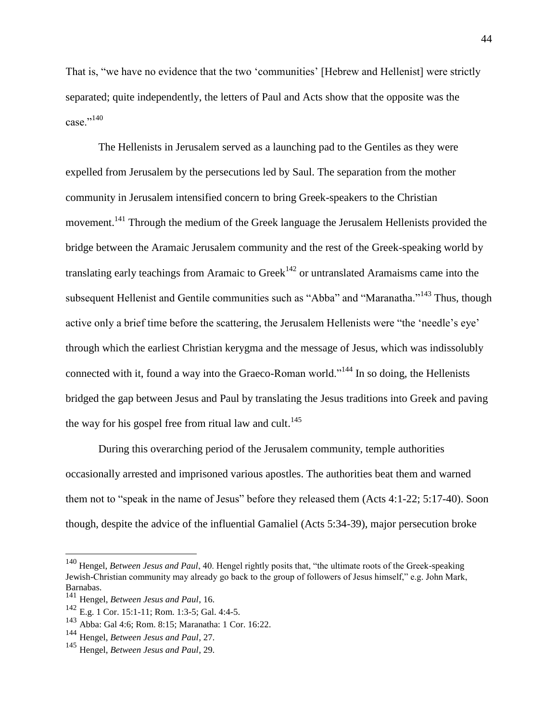That is, "we have no evidence that the two 'communities' [Hebrew and Hellenist] were strictly separated; quite independently, the letters of Paul and Acts show that the opposite was the case $^{1,140}$ 

The Hellenists in Jerusalem served as a launching pad to the Gentiles as they were expelled from Jerusalem by the persecutions led by Saul. The separation from the mother community in Jerusalem intensified concern to bring Greek-speakers to the Christian movement.<sup>141</sup> Through the medium of the Greek language the Jerusalem Hellenists provided the bridge between the Aramaic Jerusalem community and the rest of the Greek-speaking world by translating early teachings from Aramaic to Greek<sup>142</sup> or untranslated Aramaisms came into the subsequent Hellenist and Gentile communities such as "Abba" and "Maranatha."<sup>143</sup> Thus, though active only a brief time before the scattering, the Jerusalem Hellenists were "the 'needle's eye' through which the earliest Christian kerygma and the message of Jesus, which was indissolubly connected with it, found a way into the Graeco-Roman world."<sup>144</sup> In so doing, the Hellenists bridged the gap between Jesus and Paul by translating the Jesus traditions into Greek and paving the way for his gospel free from ritual law and cult.<sup>145</sup>

During this overarching period of the Jerusalem community, temple authorities occasionally arrested and imprisoned various apostles. The authorities beat them and warned them not to "speak in the name of Jesus" before they released them (Acts 4:1-22; 5:17-40). Soon though, despite the advice of the influential Gamaliel (Acts 5:34-39), major persecution broke

<sup>140</sup> Hengel, *Between Jesus and Paul*, 40. Hengel rightly posits that, "the ultimate roots of the Greek-speaking Jewish-Christian community may already go back to the group of followers of Jesus himself," e.g. John Mark, Barnabas.

<sup>141</sup> Hengel, *Between Jesus and Paul*, 16.

<sup>142</sup> E.g. 1 Cor. 15:1-11; Rom. 1:3-5; Gal. 4:4-5.

<sup>143</sup> Abba: Gal 4:6; Rom. 8:15; Maranatha: 1 Cor. 16:22.

<sup>144</sup> Hengel, *Between Jesus and Paul*, 27.

<sup>145</sup> Hengel, *Between Jesus and Paul*, 29.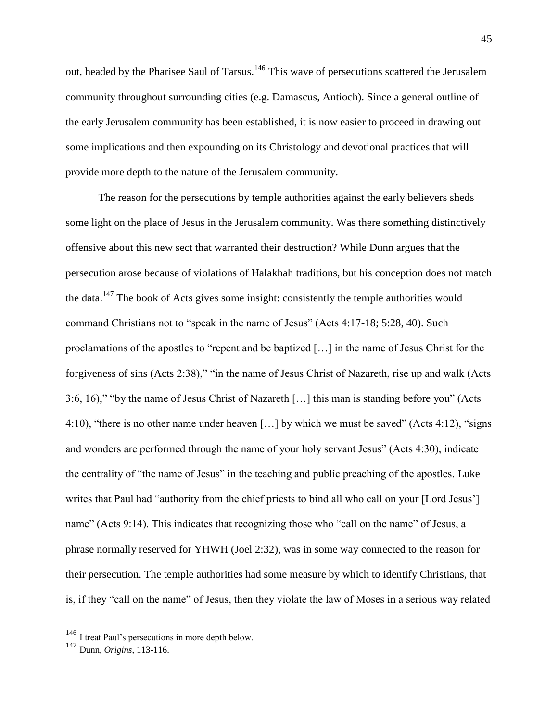out, headed by the Pharisee Saul of Tarsus.<sup>146</sup> This wave of persecutions scattered the Jerusalem community throughout surrounding cities (e.g. Damascus, Antioch). Since a general outline of the early Jerusalem community has been established, it is now easier to proceed in drawing out some implications and then expounding on its Christology and devotional practices that will provide more depth to the nature of the Jerusalem community.

The reason for the persecutions by temple authorities against the early believers sheds some light on the place of Jesus in the Jerusalem community. Was there something distinctively offensive about this new sect that warranted their destruction? While Dunn argues that the persecution arose because of violations of Halakhah traditions, but his conception does not match the data.<sup>147</sup> The book of Acts gives some insight: consistently the temple authorities would command Christians not to "speak in the name of Jesus" (Acts 4:17-18; 5:28, 40). Such proclamations of the apostles to "repent and be baptized […] in the name of Jesus Christ for the forgiveness of sins (Acts 2:38)," "in the name of Jesus Christ of Nazareth, rise up and walk (Acts 3:6, 16)," "by the name of Jesus Christ of Nazareth […] this man is standing before you" (Acts 4:10), "there is no other name under heaven […] by which we must be saved" (Acts 4:12), "signs and wonders are performed through the name of your holy servant Jesus" (Acts 4:30), indicate the centrality of "the name of Jesus" in the teaching and public preaching of the apostles. Luke writes that Paul had "authority from the chief priests to bind all who call on your [Lord Jesus'] name" (Acts 9:14). This indicates that recognizing those who "call on the name" of Jesus, a phrase normally reserved for YHWH (Joel 2:32), was in some way connected to the reason for their persecution. The temple authorities had some measure by which to identify Christians, that is, if they "call on the name" of Jesus, then they violate the law of Moses in a serious way related

<sup>&</sup>lt;sup>146</sup> I treat Paul's persecutions in more depth below.

<sup>147</sup> Dunn, *Origins*, 113-116.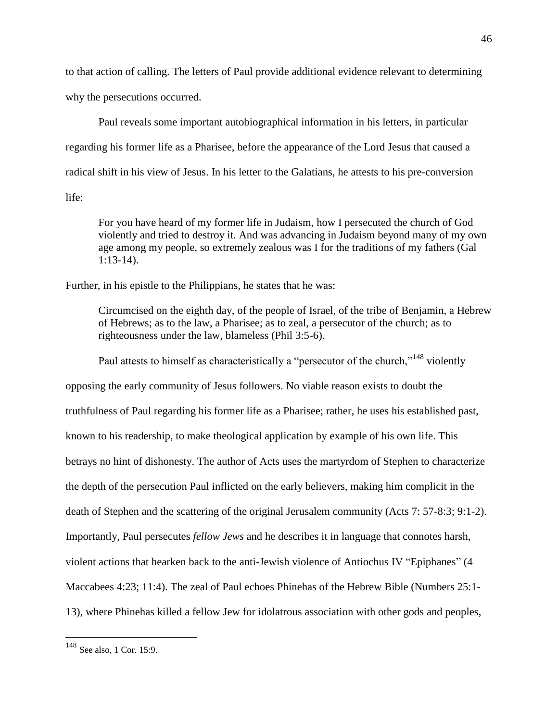to that action of calling. The letters of Paul provide additional evidence relevant to determining why the persecutions occurred.

Paul reveals some important autobiographical information in his letters, in particular regarding his former life as a Pharisee, before the appearance of the Lord Jesus that caused a radical shift in his view of Jesus. In his letter to the Galatians, he attests to his pre-conversion life:

For you have heard of my former life in Judaism, how I persecuted the church of God violently and tried to destroy it. And was advancing in Judaism beyond many of my own age among my people, so extremely zealous was I for the traditions of my fathers (Gal 1:13-14).

Further, in his epistle to the Philippians, he states that he was:

Circumcised on the eighth day, of the people of Israel, of the tribe of Benjamin, a Hebrew of Hebrews; as to the law, a Pharisee; as to zeal, a persecutor of the church; as to righteousness under the law, blameless (Phil 3:5-6).

Paul attests to himself as characteristically a "persecutor of the church,"<sup>148</sup> violently opposing the early community of Jesus followers. No viable reason exists to doubt the truthfulness of Paul regarding his former life as a Pharisee; rather, he uses his established past, known to his readership, to make theological application by example of his own life. This betrays no hint of dishonesty. The author of Acts uses the martyrdom of Stephen to characterize the depth of the persecution Paul inflicted on the early believers, making him complicit in the death of Stephen and the scattering of the original Jerusalem community (Acts 7: 57-8:3; 9:1-2). Importantly, Paul persecutes *fellow Jews* and he describes it in language that connotes harsh, violent actions that hearken back to the anti-Jewish violence of Antiochus IV "Epiphanes" (4 Maccabees 4:23; 11:4). The zeal of Paul echoes Phinehas of the Hebrew Bible (Numbers 25:1- 13), where Phinehas killed a fellow Jew for idolatrous association with other gods and peoples,

<sup>&</sup>lt;sup>148</sup> See also, 1 Cor. 15:9.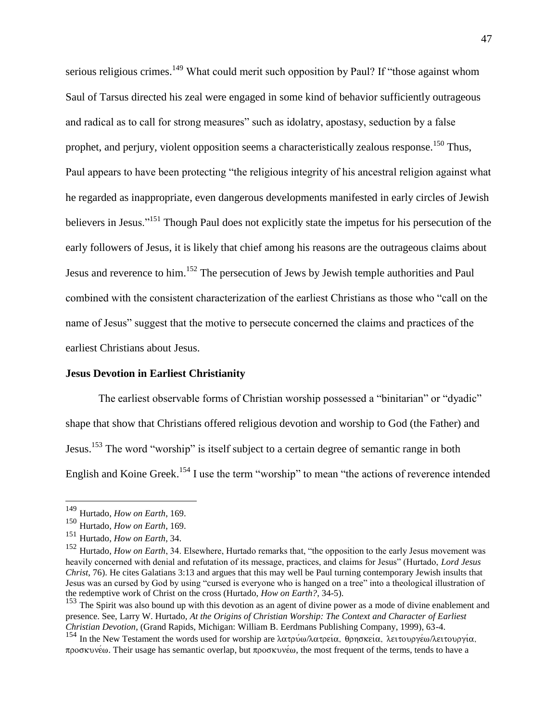serious religious crimes.<sup>149</sup> What could merit such opposition by Paul? If "those against whom Saul of Tarsus directed his zeal were engaged in some kind of behavior sufficiently outrageous and radical as to call for strong measures" such as idolatry, apostasy, seduction by a false prophet, and perjury, violent opposition seems a characteristically zealous response.<sup>150</sup> Thus, Paul appears to have been protecting "the religious integrity of his ancestral religion against what he regarded as inappropriate, even dangerous developments manifested in early circles of Jewish believers in Jesus."<sup>151</sup> Though Paul does not explicitly state the impetus for his persecution of the early followers of Jesus, it is likely that chief among his reasons are the outrageous claims about Jesus and reverence to him.<sup>152</sup> The persecution of Jews by Jewish temple authorities and Paul combined with the consistent characterization of the earliest Christians as those who "call on the name of Jesus" suggest that the motive to persecute concerned the claims and practices of the earliest Christians about Jesus.

#### **Jesus Devotion in Earliest Christianity**

The earliest observable forms of Christian worship possessed a "binitarian" or "dyadic" shape that show that Christians offered religious devotion and worship to God (the Father) and Jesus.<sup>153</sup> The word "worship" is itself subject to a certain degree of semantic range in both English and Koine Greek.<sup>154</sup> I use the term "worship" to mean "the actions of reverence intended

<sup>149</sup> Hurtado, *How on Earth*, 169.

<sup>150</sup> Hurtado, *How on Earth*, 169.

<sup>151</sup> Hurtado, *How on Earth*, 34.

<sup>152</sup> Hurtado, *How on Earth*, 34. Elsewhere, Hurtado remarks that, "the opposition to the early Jesus movement was heavily concerned with denial and refutation of its message, practices, and claims for Jesus" (Hurtado, *Lord Jesus Christ*, 76). He cites Galatians 3:13 and argues that this may well be Paul turning contemporary Jewish insults that Jesus was an cursed by God by using "cursed is everyone who is hanged on a tree" into a theological illustration of the redemptive work of Christ on the cross (Hurtado, *How on Earth?*, 34-5).

<sup>&</sup>lt;sup>153</sup> The Spirit was also bound up with this devotion as an agent of divine power as a mode of divine enablement and presence. See, Larry W. Hurtado, *At the Origins of Christian Worship: The Context and Character of Earliest Christian Devotion*, (Grand Rapids, Michigan: William B. Eerdmans Publishing Company, 1999), 63-4.

<sup>&</sup>lt;sup>154</sup> In the New Testament the words used for worship are λατρύω/λατρεία, θρησκεία, λειτουργέω/λειτουργία,  $\pi$ po $\sigma$ Kvvé $\omega$ . Their usage has semantic overlap, but  $\pi$ po $\sigma$ Kvvé $\omega$ , the most frequent of the terms, tends to have a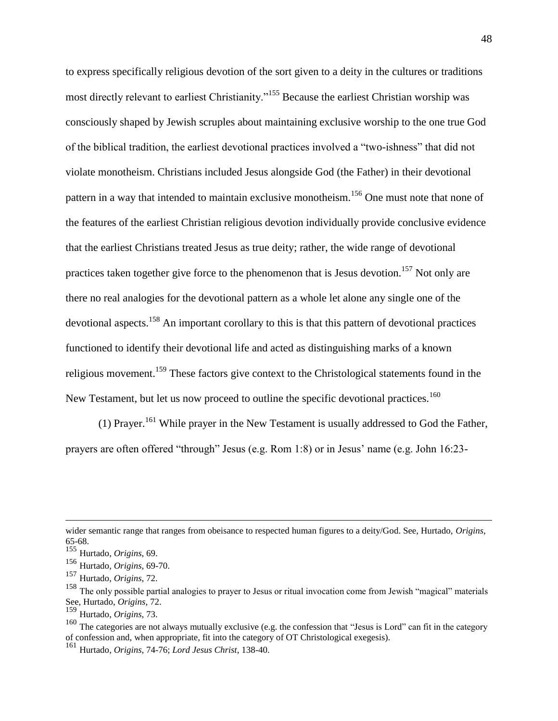to express specifically religious devotion of the sort given to a deity in the cultures or traditions most directly relevant to earliest Christianity."<sup>155</sup> Because the earliest Christian worship was consciously shaped by Jewish scruples about maintaining exclusive worship to the one true God of the biblical tradition, the earliest devotional practices involved a "two-ishness" that did not violate monotheism. Christians included Jesus alongside God (the Father) in their devotional pattern in a way that intended to maintain exclusive monotheism.<sup>156</sup> One must note that none of the features of the earliest Christian religious devotion individually provide conclusive evidence that the earliest Christians treated Jesus as true deity; rather, the wide range of devotional practices taken together give force to the phenomenon that is Jesus devotion.<sup>157</sup> Not only are there no real analogies for the devotional pattern as a whole let alone any single one of the devotional aspects.<sup>158</sup> An important corollary to this is that this pattern of devotional practices functioned to identify their devotional life and acted as distinguishing marks of a known religious movement.<sup>159</sup> These factors give context to the Christological statements found in the New Testament, but let us now proceed to outline the specific devotional practices.<sup>160</sup>

(1) Prayer.<sup>161</sup> While prayer in the New Testament is usually addressed to God the Father, prayers are often offered "through" Jesus (e.g. Rom 1:8) or in Jesus' name (e.g. John 16:23-

wider semantic range that ranges from obeisance to respected human figures to a deity/God. See, Hurtado, *Origins*, 65-68.

<sup>155</sup> Hurtado, *Origins*, 69.

<sup>156</sup> Hurtado, *Origins*, 69-70.

<sup>157</sup> Hurtado, *Origins*, 72.

<sup>&</sup>lt;sup>158</sup> The only possible partial analogies to prayer to Jesus or ritual invocation come from Jewish "magical" materials See, Hurtado, *Origins*, 72.

<sup>159</sup> Hurtado, *Origins*, 73.

<sup>&</sup>lt;sup>160</sup> The categories are not always mutually exclusive (e.g. the confession that "Jesus is Lord" can fit in the category of confession and, when appropriate, fit into the category of OT Christological exegesis).

<sup>161</sup> Hurtado, *Origins*, 74-76; *Lord Jesus Christ*, 138-40.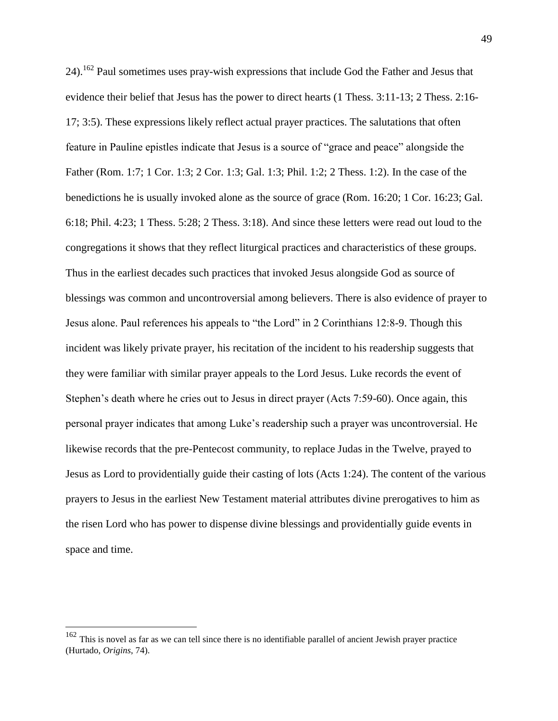24).<sup>162</sup> Paul sometimes uses pray-wish expressions that include God the Father and Jesus that evidence their belief that Jesus has the power to direct hearts (1 Thess. 3:11-13; 2 Thess. 2:16- 17; 3:5). These expressions likely reflect actual prayer practices. The salutations that often feature in Pauline epistles indicate that Jesus is a source of "grace and peace" alongside the Father (Rom. 1:7; 1 Cor. 1:3; 2 Cor. 1:3; Gal. 1:3; Phil. 1:2; 2 Thess. 1:2). In the case of the benedictions he is usually invoked alone as the source of grace (Rom. 16:20; 1 Cor. 16:23; Gal. 6:18; Phil. 4:23; 1 Thess. 5:28; 2 Thess. 3:18). And since these letters were read out loud to the congregations it shows that they reflect liturgical practices and characteristics of these groups. Thus in the earliest decades such practices that invoked Jesus alongside God as source of blessings was common and uncontroversial among believers. There is also evidence of prayer to Jesus alone. Paul references his appeals to "the Lord" in 2 Corinthians 12:8-9. Though this incident was likely private prayer, his recitation of the incident to his readership suggests that they were familiar with similar prayer appeals to the Lord Jesus. Luke records the event of Stephen's death where he cries out to Jesus in direct prayer (Acts 7:59-60). Once again, this personal prayer indicates that among Luke's readership such a prayer was uncontroversial. He likewise records that the pre-Pentecost community, to replace Judas in the Twelve, prayed to Jesus as Lord to providentially guide their casting of lots (Acts 1:24). The content of the various prayers to Jesus in the earliest New Testament material attributes divine prerogatives to him as the risen Lord who has power to dispense divine blessings and providentially guide events in space and time.

 $162$  This is novel as far as we can tell since there is no identifiable parallel of ancient Jewish prayer practice (Hurtado, *Origins*, 74).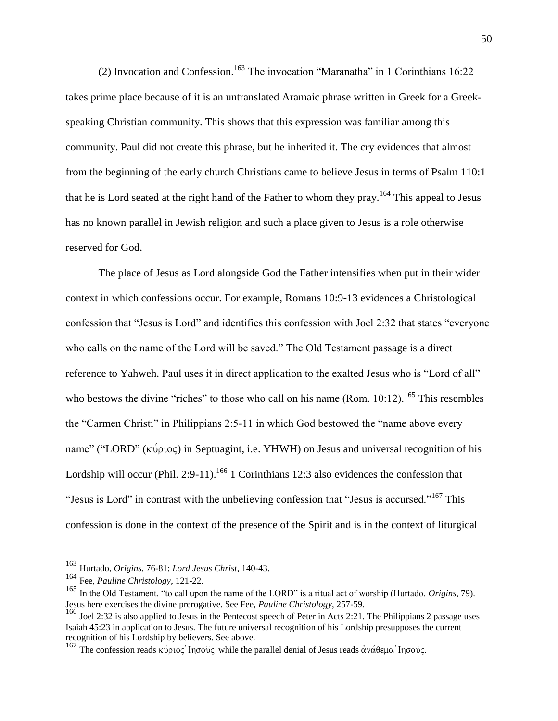(2) Invocation and Confession.<sup>163</sup> The invocation "Maranatha" in 1 Corinthians 16:22 takes prime place because of it is an untranslated Aramaic phrase written in Greek for a Greekspeaking Christian community. This shows that this expression was familiar among this community. Paul did not create this phrase, but he inherited it. The cry evidences that almost from the beginning of the early church Christians came to believe Jesus in terms of Psalm 110:1 that he is Lord seated at the right hand of the Father to whom they pray.<sup>164</sup> This appeal to Jesus has no known parallel in Jewish religion and such a place given to Jesus is a role otherwise reserved for God.

The place of Jesus as Lord alongside God the Father intensifies when put in their wider context in which confessions occur. For example, Romans 10:9-13 evidences a Christological confession that "Jesus is Lord" and identifies this confession with Joel 2:32 that states "everyone who calls on the name of the Lord will be saved." The Old Testament passage is a direct reference to Yahweh. Paul uses it in direct application to the exalted Jesus who is "Lord of all" who bestows the divine "riches" to those who call on his name (Rom.  $10:12$ ).<sup>165</sup> This resembles the "Carmen Christi" in Philippians 2:5-11 in which God bestowed the "name above every name" ("LORD" ( $\kappa\acute{\nu}$ ριος) in Septuagint, i.e. YHWH) on Jesus and universal recognition of his Lordship will occur (Phil. 2:9-11).<sup>166</sup> 1 Corinthians 12:3 also evidences the confession that "Jesus is Lord" in contrast with the unbelieving confession that "Jesus is accursed."<sup>167</sup> This confession is done in the context of the presence of the Spirit and is in the context of liturgical

<sup>163</sup> Hurtado, *Origins*, 76-81; *Lord Jesus Christ*, 140-43.

<sup>164</sup> Fee, *Pauline Christology*, 121-22.

<sup>165</sup> In the Old Testament, "to call upon the name of the LORD" is a ritual act of worship (Hurtado, *Origins*, 79). Jesus here exercises the divine prerogative. See Fee, *Pauline Christology*, 257-59.

<sup>166</sup> Joel 2:32 is also applied to Jesus in the Pentecost speech of Peter in Acts 2:21. The Philippians 2 passage uses Isaiah 45:23 in application to Jesus. The future universal recognition of his Lordship presupposes the current recognition of his Lordship by believers. See above.

<sup>&</sup>lt;sup>167</sup> The confession reads κύριος Inσοῦς while the parallel denial of Jesus reads ανάθεμα Inσοῦς.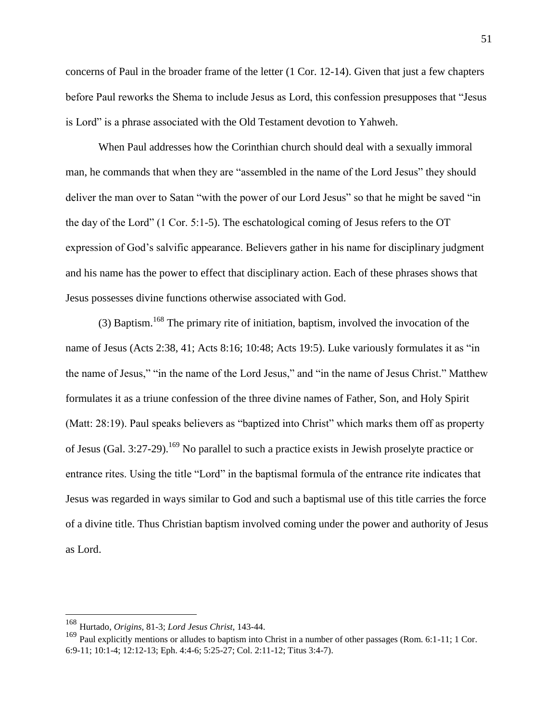concerns of Paul in the broader frame of the letter (1 Cor. 12-14). Given that just a few chapters before Paul reworks the Shema to include Jesus as Lord, this confession presupposes that "Jesus is Lord" is a phrase associated with the Old Testament devotion to Yahweh.

When Paul addresses how the Corinthian church should deal with a sexually immoral man, he commands that when they are "assembled in the name of the Lord Jesus" they should deliver the man over to Satan "with the power of our Lord Jesus" so that he might be saved "in the day of the Lord" (1 Cor. 5:1-5). The eschatological coming of Jesus refers to the OT expression of God's salvific appearance. Believers gather in his name for disciplinary judgment and his name has the power to effect that disciplinary action. Each of these phrases shows that Jesus possesses divine functions otherwise associated with God.

(3) Baptism.<sup>168</sup> The primary rite of initiation, baptism, involved the invocation of the name of Jesus (Acts 2:38, 41; Acts 8:16; 10:48; Acts 19:5). Luke variously formulates it as "in the name of Jesus," "in the name of the Lord Jesus," and "in the name of Jesus Christ." Matthew formulates it as a triune confession of the three divine names of Father, Son, and Holy Spirit (Matt: 28:19). Paul speaks believers as "baptized into Christ" which marks them off as property of Jesus (Gal. 3:27-29).<sup>169</sup> No parallel to such a practice exists in Jewish proselyte practice or entrance rites. Using the title "Lord" in the baptismal formula of the entrance rite indicates that Jesus was regarded in ways similar to God and such a baptismal use of this title carries the force of a divine title. Thus Christian baptism involved coming under the power and authority of Jesus as Lord.

<sup>168</sup> Hurtado, *Origins*, 81-3; *Lord Jesus Christ*, 143-44.

 $169$  Paul explicitly mentions or alludes to baptism into Christ in a number of other passages (Rom. 6:1-11; 1 Cor. 6:9-11; 10:1-4; 12:12-13; Eph. 4:4-6; 5:25-27; Col. 2:11-12; Titus 3:4-7).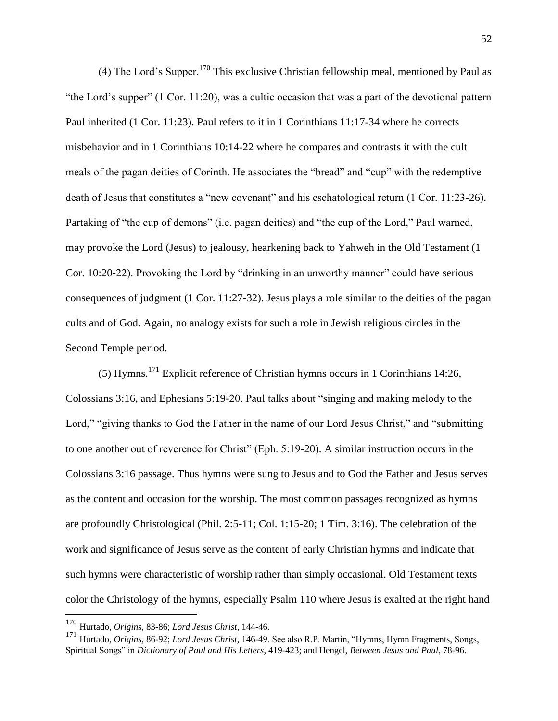(4) The Lord's Supper.<sup>170</sup> This exclusive Christian fellowship meal, mentioned by Paul as "the Lord's supper" (1 Cor. 11:20), was a cultic occasion that was a part of the devotional pattern Paul inherited (1 Cor. 11:23). Paul refers to it in 1 Corinthians 11:17-34 where he corrects misbehavior and in 1 Corinthians 10:14-22 where he compares and contrasts it with the cult meals of the pagan deities of Corinth. He associates the "bread" and "cup" with the redemptive death of Jesus that constitutes a "new covenant" and his eschatological return (1 Cor. 11:23-26). Partaking of "the cup of demons" (i.e. pagan deities) and "the cup of the Lord," Paul warned, may provoke the Lord (Jesus) to jealousy, hearkening back to Yahweh in the Old Testament (1 Cor. 10:20-22). Provoking the Lord by "drinking in an unworthy manner" could have serious consequences of judgment (1 Cor. 11:27-32). Jesus plays a role similar to the deities of the pagan cults and of God. Again, no analogy exists for such a role in Jewish religious circles in the Second Temple period.

(5) Hymns.<sup>171</sup> Explicit reference of Christian hymns occurs in 1 Corinthians 14:26, Colossians 3:16, and Ephesians 5:19-20. Paul talks about "singing and making melody to the Lord," "giving thanks to God the Father in the name of our Lord Jesus Christ," and "submitting" to one another out of reverence for Christ" (Eph. 5:19-20). A similar instruction occurs in the Colossians 3:16 passage. Thus hymns were sung to Jesus and to God the Father and Jesus serves as the content and occasion for the worship. The most common passages recognized as hymns are profoundly Christological (Phil. 2:5-11; Col. 1:15-20; 1 Tim. 3:16). The celebration of the work and significance of Jesus serve as the content of early Christian hymns and indicate that such hymns were characteristic of worship rather than simply occasional. Old Testament texts color the Christology of the hymns, especially Psalm 110 where Jesus is exalted at the right hand

<sup>170</sup> Hurtado, *Origins*, 83-86; *Lord Jesus Christ*, 144-46.

<sup>171</sup> Hurtado, *Origins*, 86-92; *Lord Jesus Christ*, 146-49. See also R.P. Martin, "Hymns, Hymn Fragments, Songs, Spiritual Songs" in *Dictionary of Paul and His Letters*, 419-423; and Hengel, *Between Jesus and Paul*, 78-96.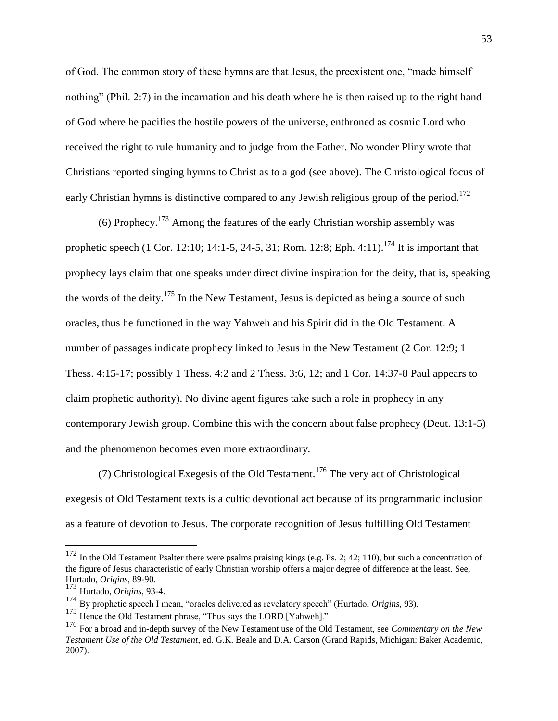of God. The common story of these hymns are that Jesus, the preexistent one, "made himself nothing" (Phil. 2:7) in the incarnation and his death where he is then raised up to the right hand of God where he pacifies the hostile powers of the universe, enthroned as cosmic Lord who received the right to rule humanity and to judge from the Father. No wonder Pliny wrote that Christians reported singing hymns to Christ as to a god (see above). The Christological focus of early Christian hymns is distinctive compared to any Jewish religious group of the period.<sup>172</sup>

(6) Prophecy.<sup>173</sup> Among the features of the early Christian worship assembly was prophetic speech (1 Cor. 12:10; 14:1-5, 24-5, 31; Rom. 12:8; Eph. 4:11).<sup>174</sup> It is important that prophecy lays claim that one speaks under direct divine inspiration for the deity, that is, speaking the words of the deity.<sup>175</sup> In the New Testament, Jesus is depicted as being a source of such oracles, thus he functioned in the way Yahweh and his Spirit did in the Old Testament. A number of passages indicate prophecy linked to Jesus in the New Testament (2 Cor. 12:9; 1 Thess. 4:15-17; possibly 1 Thess. 4:2 and 2 Thess. 3:6, 12; and 1 Cor. 14:37-8 Paul appears to claim prophetic authority). No divine agent figures take such a role in prophecy in any contemporary Jewish group. Combine this with the concern about false prophecy (Deut. 13:1-5) and the phenomenon becomes even more extraordinary.

(7) Christological Exegesis of the Old Testament.<sup>176</sup> The very act of Christological exegesis of Old Testament texts is a cultic devotional act because of its programmatic inclusion as a feature of devotion to Jesus. The corporate recognition of Jesus fulfilling Old Testament

 $172$  In the Old Testament Psalter there were psalms praising kings (e.g. Ps. 2; 42; 110), but such a concentration of the figure of Jesus characteristic of early Christian worship offers a major degree of difference at the least. See, Hurtado, *Origins*, 89-90.

<sup>173</sup> Hurtado, *Origins*, 93-4.

<sup>174</sup> By prophetic speech I mean, "oracles delivered as revelatory speech" (Hurtado, *Origins*, 93).

<sup>&</sup>lt;sup>175</sup> Hence the Old Testament phrase, "Thus says the LORD [Yahweh]."

<sup>176</sup> For a broad and in-depth survey of the New Testament use of the Old Testament, see *Commentary on the New Testament Use of the Old Testament*, ed. G.K. Beale and D.A. Carson (Grand Rapids, Michigan: Baker Academic, 2007).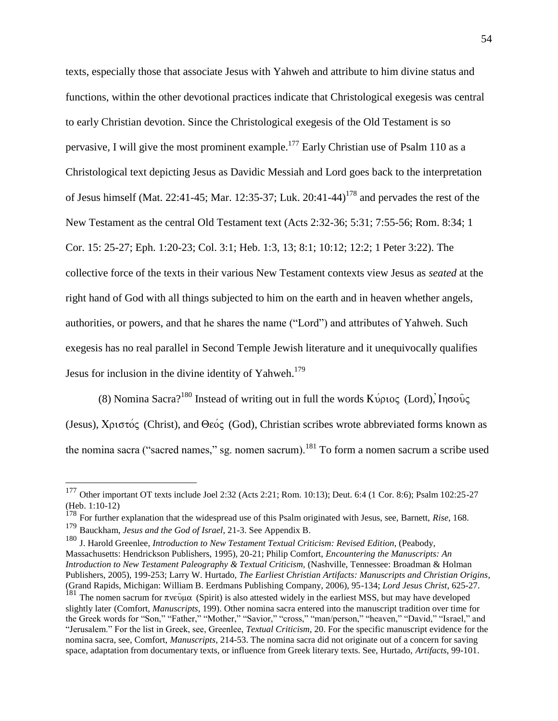texts, especially those that associate Jesus with Yahweh and attribute to him divine status and functions, within the other devotional practices indicate that Christological exegesis was central to early Christian devotion. Since the Christological exegesis of the Old Testament is so pervasive, I will give the most prominent example.<sup>177</sup> Early Christian use of Psalm 110 as a Christological text depicting Jesus as Davidic Messiah and Lord goes back to the interpretation of Jesus himself (Mat. 22:41-45; Mar. 12:35-37; Luk.  $20:41-44$ )<sup>178</sup> and pervades the rest of the New Testament as the central Old Testament text (Acts 2:32-36; 5:31; 7:55-56; Rom. 8:34; 1 Cor. 15: 25-27; Eph. 1:20-23; Col. 3:1; Heb. 1:3, 13; 8:1; 10:12; 12:2; 1 Peter 3:22). The collective force of the texts in their various New Testament contexts view Jesus as *seated* at the right hand of God with all things subjected to him on the earth and in heaven whether angels, authorities, or powers, and that he shares the name ("Lord") and attributes of Yahweh. Such exegesis has no real parallel in Second Temple Jewish literature and it unequivocally qualifies Jesus for inclusion in the divine identity of Yahweh.<sup>179</sup>

(8) Nomina Sacra?<sup>180</sup> Instead of writing out in full the words  $K\psi\rho\psi\phi$  (Lord),  $I\eta\sigma\phi\hat{\psi}\phi$ (Jesus),  $X\rho\sigma\sigma\sigma\zeta$  (Christ), and  $\Theta\epsilon\sigma\zeta$  (God), Christian scribes wrote abbreviated forms known as the nomina sacra ("sacred names," sg. nomen sacrum).<sup>181</sup> To form a nomen sacrum a scribe used

<sup>&</sup>lt;sup>177</sup> Other important OT texts include Joel 2:32 (Acts 2:21; Rom. 10:13); Deut. 6:4 (1 Cor. 8:6); Psalm 102:25-27 (Heb. 1:10-12)

<sup>178</sup> For further explanation that the widespread use of this Psalm originated with Jesus, see, Barnett, *Rise*, 168.

<sup>179</sup> Bauckham, *Jesus and the God of Israel*, 21-3. See Appendix B.

<sup>180</sup> J. Harold Greenlee, *Introduction to New Testament Textual Criticism: Revised Edition,* (Peabody, Massachusetts: Hendrickson Publishers, 1995), 20-21; Philip Comfort, *Encountering the Manuscripts: An Introduction to New Testament Paleography & Textual Criticism,* (Nashville, Tennessee: Broadman & Holman Publishers, 2005), 199-253; Larry W. Hurtado, *The Earliest Christian Artifacts: Manuscripts and Christian Origins*, (Grand Rapids, Michigan: William B. Eerdmans Publishing Company, 2006), 95-134; *Lord Jesus Christ*, 625-27.

<sup>&</sup>lt;sup>181</sup> The nomen sacrum for  $\pi v \in \partial \mu \alpha$  (Spirit) is also attested widely in the earliest MSS, but may have developed slightly later (Comfort, *Manuscripts*, 199). Other nomina sacra entered into the manuscript tradition over time for the Greek words for "Son," "Father," "Mother," "Savior," "cross," "man/person," "heaven," "David," "Israel," and "Jerusalem." For the list in Greek, see, Greenlee, *Textual Criticism*, 20. For the specific manuscript evidence for the nomina sacra, see, Comfort, *Manuscripts*, 214-53. The nomina sacra did not originate out of a concern for saving space, adaptation from documentary texts, or influence from Greek literary texts. See, Hurtado, *Artifacts*, 99-101.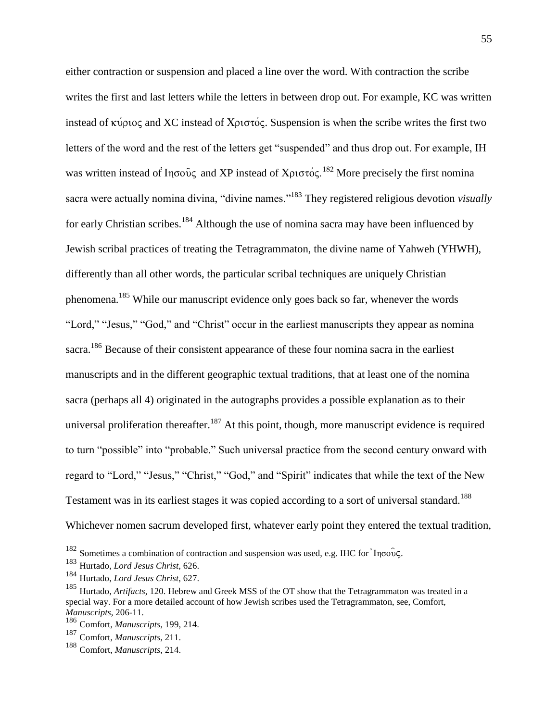either contraction or suspension and placed a line over the word. With contraction the scribe writes the first and last letters while the letters in between drop out. For example, KC was written instead of  $\kappa$  v $\rho$  to and XC instead of  $X\rho\sigma\sigma\sigma\zeta$ . Suspension is when the scribe writes the first two letters of the word and the rest of the letters get "suspended" and thus drop out. For example, IH was written instead of  $Infty\tilde{\nu}$  and XP instead of  $X\rho\upsilon\sigma\upsilon\varsigma$ .<sup>182</sup> More precisely the first nomina sacra were actually nomina divina, "divine names." <sup>183</sup> They registered religious devotion *visually* for early Christian scribes.<sup>184</sup> Although the use of nomina sacra may have been influenced by Jewish scribal practices of treating the Tetragrammaton, the divine name of Yahweh (YHWH), differently than all other words, the particular scribal techniques are uniquely Christian phenomena.<sup>185</sup> While our manuscript evidence only goes back so far, whenever the words "Lord," "Jesus," "God," and "Christ" occur in the earliest manuscripts they appear as nomina sacra.<sup>186</sup> Because of their consistent appearance of these four nomina sacra in the earliest manuscripts and in the different geographic textual traditions, that at least one of the nomina sacra (perhaps all 4) originated in the autographs provides a possible explanation as to their universal proliferation thereafter.<sup>187</sup> At this point, though, more manuscript evidence is required to turn "possible" into "probable." Such universal practice from the second century onward with regard to "Lord," "Jesus," "Christ," "God," and "Spirit" indicates that while the text of the New Testament was in its earliest stages it was copied according to a sort of universal standard.<sup>188</sup> Whichever nomen sacrum developed first, whatever early point they entered the textual tradition,

<sup>&</sup>lt;sup>182</sup> Sometimes a combination of contraction and suspension was used, e.g. IHC for Inσους.

<sup>183</sup> Hurtado, *Lord Jesus Christ*, 626.

<sup>184</sup> Hurtado, *Lord Jesus Christ*, 627.

<sup>185</sup> Hurtado, *Artifacts*, 120. Hebrew and Greek MSS of the OT show that the Tetragrammaton was treated in a special way. For a more detailed account of how Jewish scribes used the Tetragrammaton, see, Comfort, *Manuscripts*, 206-11.

<sup>186</sup> Comfort, *Manuscripts*, 199, 214.

<sup>187</sup> Comfort, *Manuscripts*, 211.

<sup>188</sup> Comfort, *Manuscripts*, 214.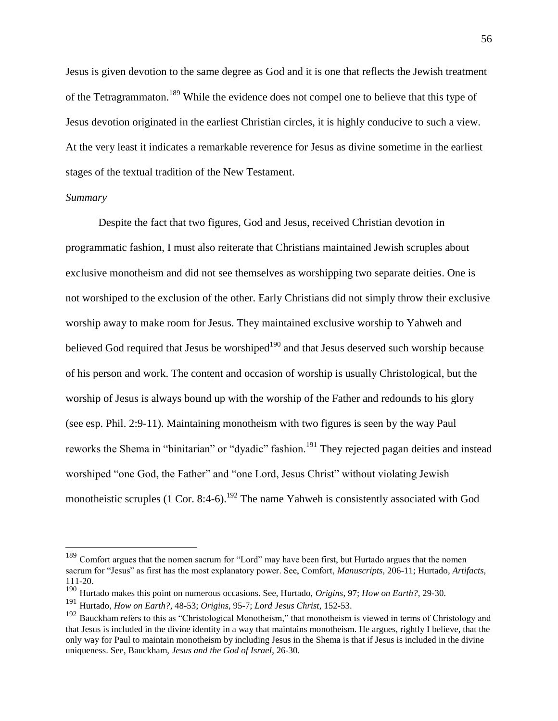Jesus is given devotion to the same degree as God and it is one that reflects the Jewish treatment of the Tetragrammaton.<sup>189</sup> While the evidence does not compel one to believe that this type of Jesus devotion originated in the earliest Christian circles, it is highly conducive to such a view. At the very least it indicates a remarkable reverence for Jesus as divine sometime in the earliest stages of the textual tradition of the New Testament.

#### *Summary*

 $\overline{a}$ 

Despite the fact that two figures, God and Jesus, received Christian devotion in programmatic fashion, I must also reiterate that Christians maintained Jewish scruples about exclusive monotheism and did not see themselves as worshipping two separate deities. One is not worshiped to the exclusion of the other. Early Christians did not simply throw their exclusive worship away to make room for Jesus. They maintained exclusive worship to Yahweh and believed God required that Jesus be worshiped<sup>190</sup> and that Jesus deserved such worship because of his person and work. The content and occasion of worship is usually Christological, but the worship of Jesus is always bound up with the worship of the Father and redounds to his glory (see esp. Phil. 2:9-11). Maintaining monotheism with two figures is seen by the way Paul reworks the Shema in "binitarian" or "dyadic" fashion.<sup>191</sup> They rejected pagan deities and instead worshiped "one God, the Father" and "one Lord, Jesus Christ" without violating Jewish monotheistic scruples (1 Cor. 8:4-6).<sup>192</sup> The name Yahweh is consistently associated with God

<sup>&</sup>lt;sup>189</sup> Comfort argues that the nomen sacrum for "Lord" may have been first, but Hurtado argues that the nomen sacrum for "Jesus" as first has the most explanatory power. See, Comfort, *Manuscripts*, 206-11; Hurtado*, Artifacts*, 111-20.

<sup>190</sup> Hurtado makes this point on numerous occasions. See, Hurtado, *Origins*, 97; *How on Earth?*, 29-30.

<sup>191</sup> Hurtado, *How on Earth?*, 48-53; *Origins*, 95-7; *Lord Jesus Christ*, 152-53.

<sup>&</sup>lt;sup>192</sup> Bauckham refers to this as "Christological Monotheism," that monotheism is viewed in terms of Christology and that Jesus is included in the divine identity in a way that maintains monotheism. He argues, rightly I believe, that the only way for Paul to maintain monotheism by including Jesus in the Shema is that if Jesus is included in the divine uniqueness. See, Bauckham, *Jesus and the God of Israel*, 26-30.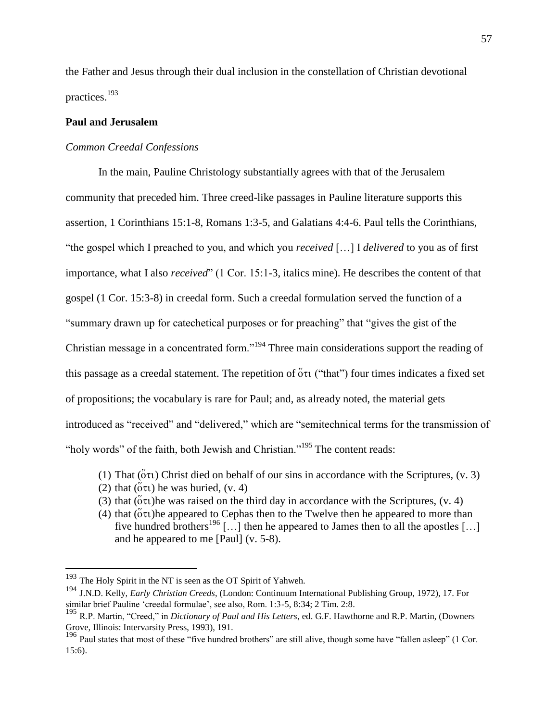the Father and Jesus through their dual inclusion in the constellation of Christian devotional practices.<sup>193</sup>

# **Paul and Jerusalem**

## *Common Creedal Confessions*

In the main, Pauline Christology substantially agrees with that of the Jerusalem community that preceded him. Three creed-like passages in Pauline literature supports this assertion, 1 Corinthians 15:1-8, Romans 1:3-5, and Galatians 4:4-6. Paul tells the Corinthians, "the gospel which I preached to you, and which you *received* […] I *delivered* to you as of first importance, what I also *received*" (1 Cor. 15:1-3, italics mine). He describes the content of that gospel (1 Cor. 15:3-8) in creedal form. Such a creedal formulation served the function of a "summary drawn up for catechetical purposes or for preaching" that "gives the gist of the Christian message in a concentrated form."<sup>194</sup> Three main considerations support the reading of this passage as a creedal statement. The repetition of  $\ddot{\text{o}}\tau\text{t}$  ("that") four times indicates a fixed set of propositions; the vocabulary is rare for Paul; and, as already noted, the material gets introduced as "received" and "delivered," which are "semitechnical terms for the transmission of "holy words" of the faith, both Jewish and Christian."<sup>195</sup> The content reads:

- (1) That ( $\delta \tau$ ) Christ died on behalf of our sins in accordance with the Scriptures, (v. 3)
- (2) that  $(\ddot{\text{o}}\tau\text{t})$  he was buried, (v. 4)
- (3) that  $(\tilde{\text{o}}\tau\tilde{\text{o}}\tau)$  he was raised on the third day in accordance with the Scriptures, (v. 4)
- (4) that  $(\ddot{\text{o}}\tau)$  he appeared to Cephas then to the Twelve then he appeared to more than five hundred brothers<sup>196</sup> [...] then he appeared to James then to all the apostles [...] and he appeared to me [Paul] (v. 5-8).

 $193$  The Holy Spirit in the NT is seen as the OT Spirit of Yahweh.

<sup>194</sup> J.N.D. Kelly, *Early Christian Creeds*, (London: Continuum International Publishing Group, 1972), 17. For similar brief Pauline 'creedal formulae', see also, Rom. 1:3-5, 8:34; 2 Tim. 2:8.

<sup>195</sup> R.P. Martin, "Creed," in *Dictionary of Paul and His Letters*, ed. G.F. Hawthorne and R.P. Martin, (Downers Grove, Illinois: Intervarsity Press, 1993), 191.

<sup>&</sup>lt;sup>196</sup> Paul states that most of these "five hundred brothers" are still alive, though some have "fallen asleep" (1 Cor. 15:6).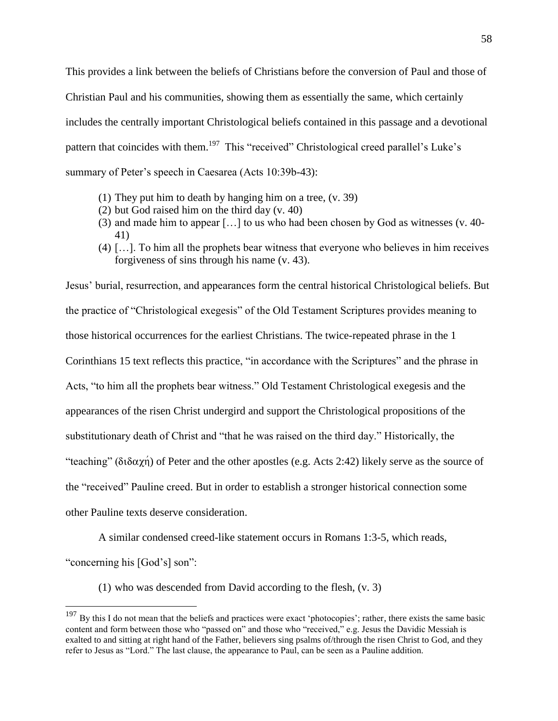This provides a link between the beliefs of Christians before the conversion of Paul and those of Christian Paul and his communities, showing them as essentially the same, which certainly includes the centrally important Christological beliefs contained in this passage and a devotional pattern that coincides with them.<sup>197</sup> This "received" Christological creed parallel's Luke's summary of Peter's speech in Caesarea (Acts 10:39b-43):

- (1) They put him to death by hanging him on a tree, (v. 39)
- (2) but God raised him on the third day (v. 40)
- (3) and made him to appear […] to us who had been chosen by God as witnesses (v. 40- 41)
- (4) […]. To him all the prophets bear witness that everyone who believes in him receives forgiveness of sins through his name (v. 43).

Jesus' burial, resurrection, and appearances form the central historical Christological beliefs. But the practice of "Christological exegesis" of the Old Testament Scriptures provides meaning to those historical occurrences for the earliest Christians. The twice-repeated phrase in the 1 Corinthians 15 text reflects this practice, "in accordance with the Scriptures" and the phrase in Acts, "to him all the prophets bear witness." Old Testament Christological exegesis and the appearances of the risen Christ undergird and support the Christological propositions of the substitutionary death of Christ and "that he was raised on the third day." Historically, the "teaching" ( $\delta \delta \alpha \gamma$ ) of Peter and the other apostles (e.g. Acts 2:42) likely serve as the source of the "received" Pauline creed. But in order to establish a stronger historical connection some other Pauline texts deserve consideration.

A similar condensed creed-like statement occurs in Romans 1:3-5, which reads,

"concerning his [God's] son":

 $\overline{a}$ 

(1) who was descended from David according to the flesh, (v. 3)

 $197$  By this I do not mean that the beliefs and practices were exact 'photocopies'; rather, there exists the same basic content and form between those who "passed on" and those who "received," e.g. Jesus the Davidic Messiah is exalted to and sitting at right hand of the Father, believers sing psalms of/through the risen Christ to God, and they refer to Jesus as "Lord." The last clause, the appearance to Paul, can be seen as a Pauline addition.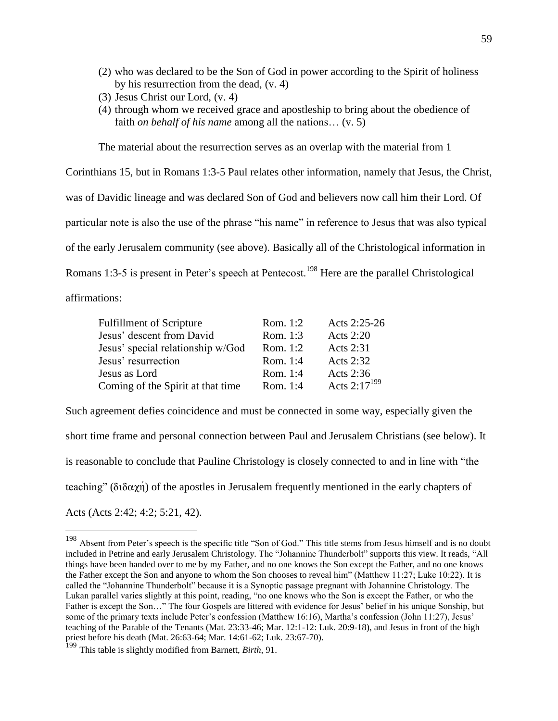- (2) who was declared to be the Son of God in power according to the Spirit of holiness by his resurrection from the dead, (v. 4)
- (3) Jesus Christ our Lord, (v. 4)
- (4) through whom we received grace and apostleship to bring about the obedience of faith *on behalf of his name* among all the nations… (v. 5)

The material about the resurrection serves as an overlap with the material from 1

Corinthians 15, but in Romans 1:3-5 Paul relates other information, namely that Jesus, the Christ, was of Davidic lineage and was declared Son of God and believers now call him their Lord. Of particular note is also the use of the phrase "his name" in reference to Jesus that was also typical of the early Jerusalem community (see above). Basically all of the Christological information in Romans 1:3-5 is present in Peter's speech at Pentecost.<sup>198</sup> Here are the parallel Christological

affirmations:

 $\overline{a}$ 

| <b>Fulfillment of Scripture</b>   | Rom. 1:2   | Acts 2:25-26             |
|-----------------------------------|------------|--------------------------|
| Jesus' descent from David         | Rom. 1:3   | Acts $2:20$              |
| Jesus' special relationship w/God | Rom. $1:2$ | Acts 2:31                |
| Jesus' resurrection               | Rom. 1:4   | Acts 2:32                |
| Jesus as Lord                     | Rom. 1:4   | Acts 2:36                |
| Coming of the Spirit at that time | Rom. 1:4   | Acts 2:17 <sup>199</sup> |

Such agreement defies coincidence and must be connected in some way, especially given the short time frame and personal connection between Paul and Jerusalem Christians (see below). It is reasonable to conclude that Pauline Christology is closely connected to and in line with "the teaching" ( $\delta \delta \alpha \chi_1$ ) of the apostles in Jerusalem frequently mentioned in the early chapters of Acts (Acts 2:42; 4:2; 5:21, 42).

<sup>&</sup>lt;sup>198</sup> Absent from Peter's speech is the specific title "Son of God." This title stems from Jesus himself and is no doubt included in Petrine and early Jerusalem Christology. The "Johannine Thunderbolt" supports this view. It reads, "All things have been handed over to me by my Father, and no one knows the Son except the Father, and no one knows the Father except the Son and anyone to whom the Son chooses to reveal him" (Matthew 11:27; Luke 10:22). It is called the "Johannine Thunderbolt" because it is a Synoptic passage pregnant with Johannine Christology. The Lukan parallel varies slightly at this point, reading, "no one knows who the Son is except the Father, or who the Father is except the Son…" The four Gospels are littered with evidence for Jesus' belief in his unique Sonship, but some of the primary texts include Peter's confession (Matthew 16:16), Martha's confession (John 11:27), Jesus' teaching of the Parable of the Tenants (Mat. 23:33-46; Mar. 12:1-12: Luk. 20:9-18), and Jesus in front of the high priest before his death (Mat. 26:63-64; Mar. 14:61-62; Luk. 23:67-70).

<sup>199</sup> This table is slightly modified from Barnett, *Birth*, 91.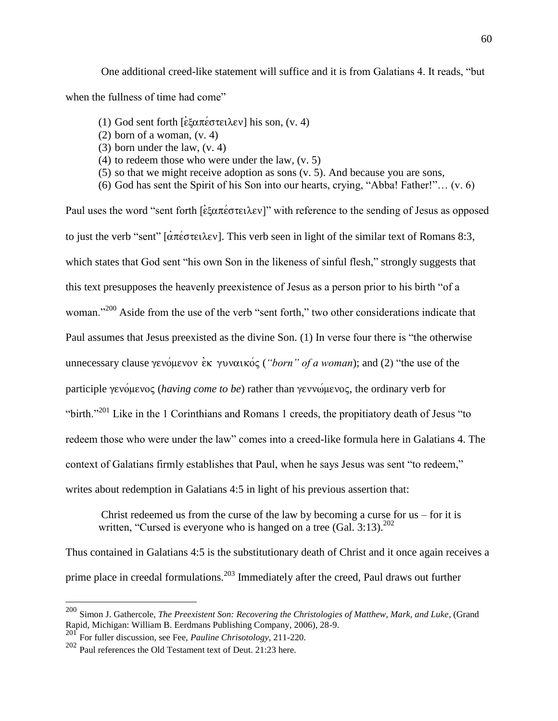One additional creed-like statement will suffice and it is from Galatians 4. It reads, "but when the fullness of time had come"

- (1) God sent forth  $[\dot{\epsilon}\xi\alpha\pi\acute{\epsilon}\sigma\tau\epsilon\lambda\epsilon v]$  his son, (v. 4)
- (2) born of a woman, (v. 4)
- (3) born under the law, (v. 4)
- (4) to redeem those who were under the law, (v. 5)
- (5) so that we might receive adoption as sons (v. 5). And because you are sons,
- (6) God has sent the Spirit of his Son into our hearts, crying, "Abba! Father!"… (v. 6)

Paul uses the word "sent forth  $\left[\epsilon \xi \alpha \pi \epsilon \sigma \tau \epsilon \lambda \epsilon \nu\right]$ " with reference to the sending of Jesus as opposed to just the verb "sent"  $\left[\alpha \pi \epsilon \sigma \tau \epsilon \lambda \epsilon \nu\right]$ . This verb seen in light of the similar text of Romans 8:3, which states that God sent "his own Son in the likeness of sinful flesh," strongly suggests that this text presupposes the heavenly preexistence of Jesus as a person prior to his birth "of a woman."<sup>200</sup> Aside from the use of the verb "sent forth," two other considerations indicate that Paul assumes that Jesus preexisted as the divine Son. (1) In verse four there is "the otherwise unnecessary clause  $\gamma \in \mathcal{C}$  ( $\gamma \in \mathcal{C}$   $\gamma \in \mathcal{C}$  (*"born" of a woman*); and (2) "the use of the participle *yevoluevoc (having come to be)* rather than *yevvoluevoc*, the ordinary verb for "birth."<sup>201</sup> Like in the 1 Corinthians and Romans 1 creeds, the propitiatory death of Jesus "to" redeem those who were under the law" comes into a creed-like formula here in Galatians 4. The context of Galatians firmly establishes that Paul, when he says Jesus was sent "to redeem," writes about redemption in Galatians 4:5 in light of his previous assertion that:

Christ redeemed us from the curse of the law by becoming a curse for  $us -$  for it is written, "Cursed is everyone who is hanged on a tree  $(GaI, 3:13)$ .<sup>202</sup>

Thus contained in Galatians 4:5 is the substitutionary death of Christ and it once again receives a prime place in creedal formulations.<sup>203</sup> Immediately after the creed, Paul draws out further

<sup>200</sup> Simon J. Gathercole, *The Preexistent Son: Recovering the Christologies of Matthew, Mark, and Luke*, (Grand Rapid, Michigan: William B. Eerdmans Publishing Company, 2006), 28-9.<br>201 Beach West Lines

<sup>201</sup> For fuller discussion, see Fee, *Pauline Chrisotology*, 211-220.

<sup>202</sup> Paul references the Old Testament text of Deut. 21:23 here.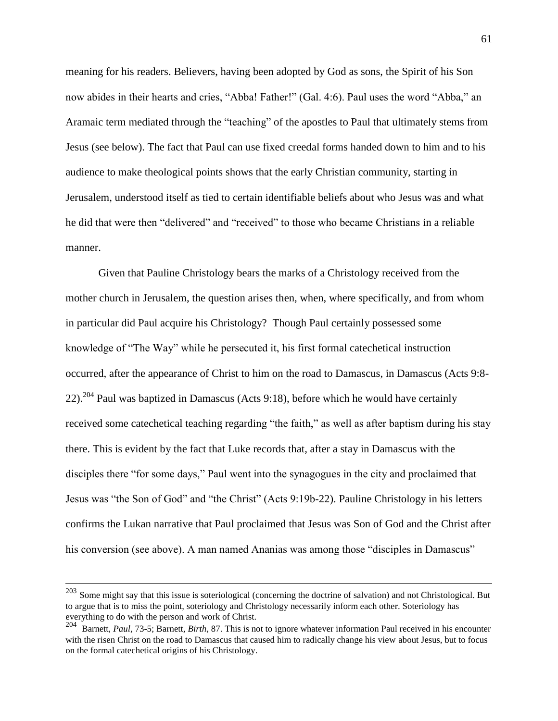meaning for his readers. Believers, having been adopted by God as sons, the Spirit of his Son now abides in their hearts and cries, "Abba! Father!" (Gal. 4:6). Paul uses the word "Abba," an Aramaic term mediated through the "teaching" of the apostles to Paul that ultimately stems from Jesus (see below). The fact that Paul can use fixed creedal forms handed down to him and to his audience to make theological points shows that the early Christian community, starting in Jerusalem, understood itself as tied to certain identifiable beliefs about who Jesus was and what he did that were then "delivered" and "received" to those who became Christians in a reliable manner.

Given that Pauline Christology bears the marks of a Christology received from the mother church in Jerusalem, the question arises then, when, where specifically, and from whom in particular did Paul acquire his Christology? Though Paul certainly possessed some knowledge of "The Way" while he persecuted it, his first formal catechetical instruction occurred, after the appearance of Christ to him on the road to Damascus, in Damascus (Acts 9:8-  $22$ ).<sup>204</sup> Paul was baptized in Damascus (Acts 9:18), before which he would have certainly received some catechetical teaching regarding "the faith," as well as after baptism during his stay there. This is evident by the fact that Luke records that, after a stay in Damascus with the disciples there "for some days," Paul went into the synagogues in the city and proclaimed that Jesus was "the Son of God" and "the Christ" (Acts 9:19b-22). Pauline Christology in his letters confirms the Lukan narrative that Paul proclaimed that Jesus was Son of God and the Christ after his conversion (see above). A man named Ananias was among those "disciples in Damascus"

 $^{203}$  Some might say that this issue is soteriological (concerning the doctrine of salvation) and not Christological. But to argue that is to miss the point, soteriology and Christology necessarily inform each other. Soteriology has everything to do with the person and work of Christ.

<sup>&</sup>lt;sup>204</sup> Barnett, *Paul*, 73-5; Barnett, *Birth*, 87. This is not to ignore whatever information Paul received in his encounter with the risen Christ on the road to Damascus that caused him to radically change his view about Jesus, but to focus on the formal catechetical origins of his Christology.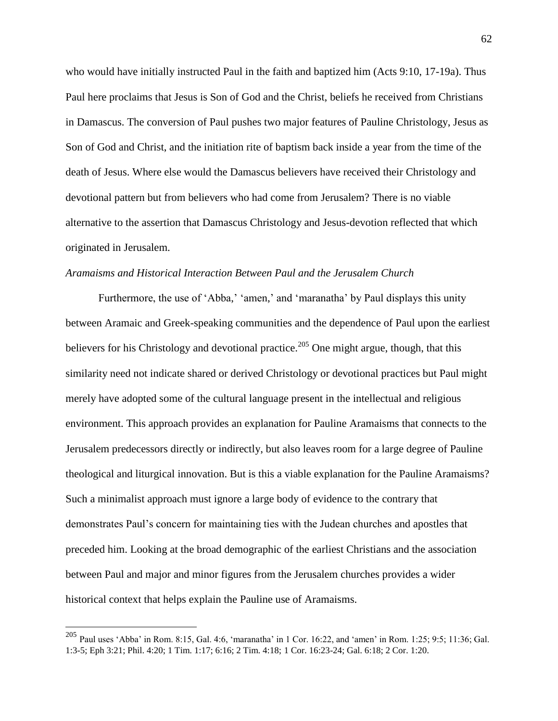who would have initially instructed Paul in the faith and baptized him (Acts 9:10, 17-19a). Thus Paul here proclaims that Jesus is Son of God and the Christ, beliefs he received from Christians in Damascus. The conversion of Paul pushes two major features of Pauline Christology, Jesus as Son of God and Christ, and the initiation rite of baptism back inside a year from the time of the death of Jesus. Where else would the Damascus believers have received their Christology and devotional pattern but from believers who had come from Jerusalem? There is no viable alternative to the assertion that Damascus Christology and Jesus-devotion reflected that which originated in Jerusalem.

#### *Aramaisms and Historical Interaction Between Paul and the Jerusalem Church*

Furthermore, the use of 'Abba,' 'amen,' and 'maranatha' by Paul displays this unity between Aramaic and Greek-speaking communities and the dependence of Paul upon the earliest believers for his Christology and devotional practice.<sup>205</sup> One might argue, though, that this similarity need not indicate shared or derived Christology or devotional practices but Paul might merely have adopted some of the cultural language present in the intellectual and religious environment. This approach provides an explanation for Pauline Aramaisms that connects to the Jerusalem predecessors directly or indirectly, but also leaves room for a large degree of Pauline theological and liturgical innovation. But is this a viable explanation for the Pauline Aramaisms? Such a minimalist approach must ignore a large body of evidence to the contrary that demonstrates Paul's concern for maintaining ties with the Judean churches and apostles that preceded him. Looking at the broad demographic of the earliest Christians and the association between Paul and major and minor figures from the Jerusalem churches provides a wider historical context that helps explain the Pauline use of Aramaisms.

<sup>&</sup>lt;sup>205</sup> Paul uses 'Abba' in Rom. 8:15, Gal. 4:6, 'maranatha' in 1 Cor. 16:22, and 'amen' in Rom. 1:25; 9:5; 11:36; Gal. 1:3-5; Eph 3:21; Phil. 4:20; 1 Tim. 1:17; 6:16; 2 Tim. 4:18; 1 Cor. 16:23-24; Gal. 6:18; 2 Cor. 1:20.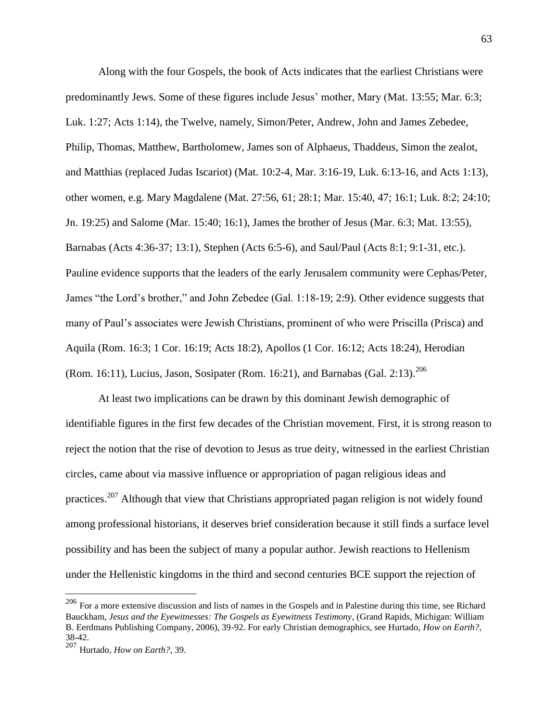Along with the four Gospels, the book of Acts indicates that the earliest Christians were predominantly Jews. Some of these figures include Jesus' mother, Mary (Mat. 13:55; Mar. 6:3; Luk. 1:27; Acts 1:14), the Twelve, namely, Simon/Peter, Andrew, John and James Zebedee, Philip, Thomas, Matthew, Bartholomew, James son of Alphaeus, Thaddeus, Simon the zealot, and Matthias (replaced Judas Iscariot) (Mat. 10:2-4, Mar. 3:16-19, Luk. 6:13-16, and Acts 1:13), other women, e.g. Mary Magdalene (Mat. 27:56, 61; 28:1; Mar. 15:40, 47; 16:1; Luk. 8:2; 24:10; Jn. 19:25) and Salome (Mar. 15:40; 16:1), James the brother of Jesus (Mar. 6:3; Mat. 13:55), Barnabas (Acts 4:36-37; 13:1), Stephen (Acts 6:5-6), and Saul/Paul (Acts 8:1; 9:1-31, etc.). Pauline evidence supports that the leaders of the early Jerusalem community were Cephas/Peter, James "the Lord's brother," and John Zebedee (Gal. 1:18-19; 2:9). Other evidence suggests that many of Paul's associates were Jewish Christians, prominent of who were Priscilla (Prisca) and Aquila (Rom. 16:3; 1 Cor. 16:19; Acts 18:2), Apollos (1 Cor. 16:12; Acts 18:24), Herodian (Rom. 16:11), Lucius, Jason, Sosipater (Rom. 16:21), and Barnabas (Gal. 2:13).<sup>206</sup>

At least two implications can be drawn by this dominant Jewish demographic of identifiable figures in the first few decades of the Christian movement. First, it is strong reason to reject the notion that the rise of devotion to Jesus as true deity, witnessed in the earliest Christian circles, came about via massive influence or appropriation of pagan religious ideas and practices.<sup>207</sup> Although that view that Christians appropriated pagan religion is not widely found among professional historians, it deserves brief consideration because it still finds a surface level possibility and has been the subject of many a popular author. Jewish reactions to Hellenism under the Hellenistic kingdoms in the third and second centuries BCE support the rejection of

 $^{206}$  For a more extensive discussion and lists of names in the Gospels and in Palestine during this time, see Richard Bauckham, *Jesus and the Eyewitnesses: The Gospels as Eyewitness Testimony*, (Grand Rapids, Michigan: William B. Eerdmans Publishing Company, 2006), 39-92. For early Christian demographics, see Hurtado, *How on Earth?*, 38-42.

<sup>207</sup> Hurtado, *How on Earth?*, 39.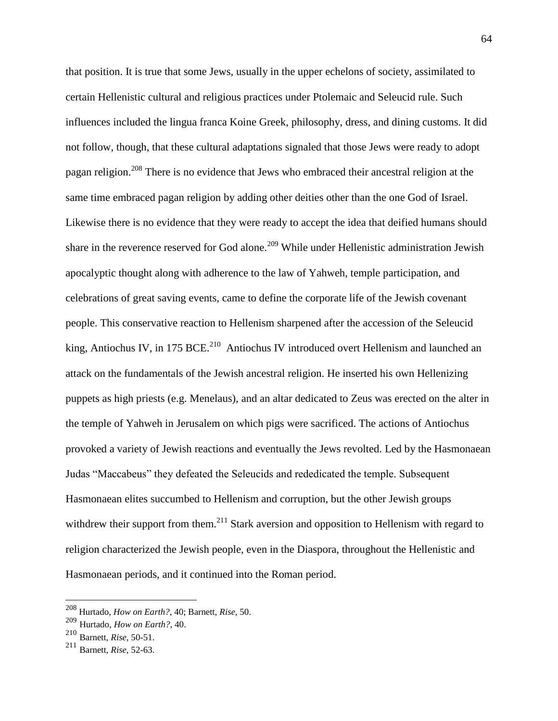that position. It is true that some Jews, usually in the upper echelons of society, assimilated to certain Hellenistic cultural and religious practices under Ptolemaic and Seleucid rule. Such influences included the lingua franca Koine Greek, philosophy, dress, and dining customs. It did not follow, though, that these cultural adaptations signaled that those Jews were ready to adopt pagan religion.<sup>208</sup> There is no evidence that Jews who embraced their ancestral religion at the same time embraced pagan religion by adding other deities other than the one God of Israel. Likewise there is no evidence that they were ready to accept the idea that deified humans should share in the reverence reserved for God alone.<sup>209</sup> While under Hellenistic administration Jewish apocalyptic thought along with adherence to the law of Yahweh, temple participation, and celebrations of great saving events, came to define the corporate life of the Jewish covenant people. This conservative reaction to Hellenism sharpened after the accession of the Seleucid king, Antiochus IV, in 175 BCE.<sup>210</sup> Antiochus IV introduced overt Hellenism and launched an attack on the fundamentals of the Jewish ancestral religion. He inserted his own Hellenizing puppets as high priests (e.g. Menelaus), and an altar dedicated to Zeus was erected on the alter in the temple of Yahweh in Jerusalem on which pigs were sacrificed. The actions of Antiochus provoked a variety of Jewish reactions and eventually the Jews revolted. Led by the Hasmonaean Judas "Maccabeus" they defeated the Seleucids and rededicated the temple. Subsequent Hasmonaean elites succumbed to Hellenism and corruption, but the other Jewish groups withdrew their support from them.<sup>211</sup> Stark aversion and opposition to Hellenism with regard to religion characterized the Jewish people, even in the Diaspora, throughout the Hellenistic and Hasmonaean periods, and it continued into the Roman period.

<sup>208</sup> Hurtado, *How on Earth?*, 40; Barnett, *Rise*, 50.

<sup>209</sup> Hurtado, *How on Earth?*, 40.

<sup>210</sup> Barnett, *Rise*, 50-51.

<sup>211</sup> Barnett, *Rise*, 52-63.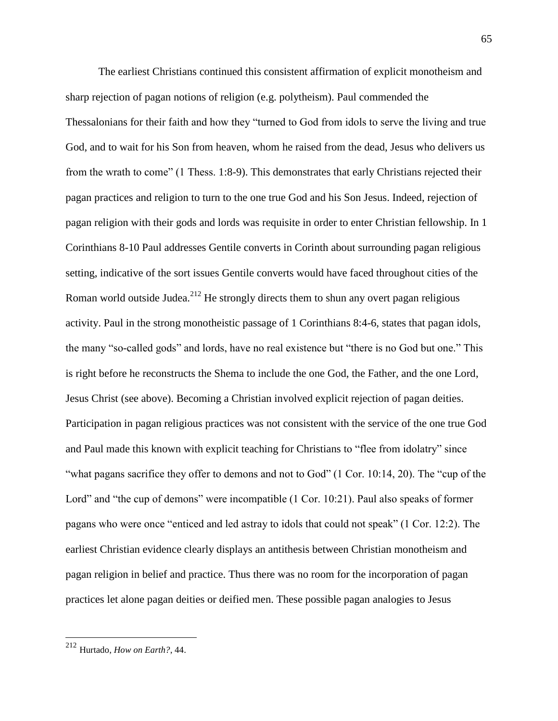The earliest Christians continued this consistent affirmation of explicit monotheism and sharp rejection of pagan notions of religion (e.g. polytheism). Paul commended the Thessalonians for their faith and how they "turned to God from idols to serve the living and true God, and to wait for his Son from heaven, whom he raised from the dead, Jesus who delivers us from the wrath to come" (1 Thess. 1:8-9). This demonstrates that early Christians rejected their pagan practices and religion to turn to the one true God and his Son Jesus. Indeed, rejection of pagan religion with their gods and lords was requisite in order to enter Christian fellowship. In 1 Corinthians 8-10 Paul addresses Gentile converts in Corinth about surrounding pagan religious setting, indicative of the sort issues Gentile converts would have faced throughout cities of the Roman world outside Judea.<sup>212</sup> He strongly directs them to shun any overt pagan religious activity. Paul in the strong monotheistic passage of 1 Corinthians 8:4-6, states that pagan idols, the many "so-called gods" and lords, have no real existence but "there is no God but one." This is right before he reconstructs the Shema to include the one God, the Father, and the one Lord, Jesus Christ (see above). Becoming a Christian involved explicit rejection of pagan deities. Participation in pagan religious practices was not consistent with the service of the one true God and Paul made this known with explicit teaching for Christians to "flee from idolatry" since "what pagans sacrifice they offer to demons and not to God" (1 Cor. 10:14, 20). The "cup of the Lord" and "the cup of demons" were incompatible (1 Cor. 10:21). Paul also speaks of former pagans who were once "enticed and led astray to idols that could not speak" (1 Cor. 12:2). The earliest Christian evidence clearly displays an antithesis between Christian monotheism and pagan religion in belief and practice. Thus there was no room for the incorporation of pagan practices let alone pagan deities or deified men. These possible pagan analogies to Jesus

<sup>212</sup> Hurtado, *How on Earth?*, 44.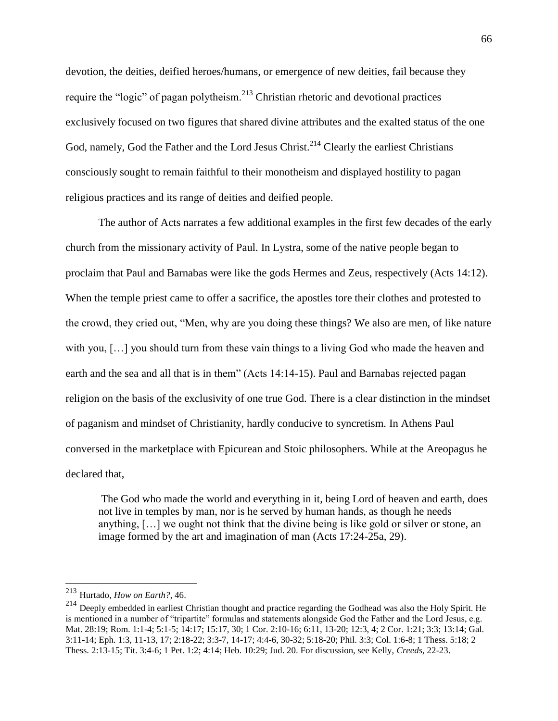devotion, the deities, deified heroes/humans, or emergence of new deities, fail because they require the "logic" of pagan polytheism.<sup>213</sup> Christian rhetoric and devotional practices exclusively focused on two figures that shared divine attributes and the exalted status of the one God, namely, God the Father and the Lord Jesus Christ.<sup>214</sup> Clearly the earliest Christians consciously sought to remain faithful to their monotheism and displayed hostility to pagan religious practices and its range of deities and deified people.

The author of Acts narrates a few additional examples in the first few decades of the early church from the missionary activity of Paul. In Lystra, some of the native people began to proclaim that Paul and Barnabas were like the gods Hermes and Zeus, respectively (Acts 14:12). When the temple priest came to offer a sacrifice, the apostles tore their clothes and protested to the crowd, they cried out, "Men, why are you doing these things? We also are men, of like nature with you, [...] you should turn from these vain things to a living God who made the heaven and earth and the sea and all that is in them" (Acts 14:14-15). Paul and Barnabas rejected pagan religion on the basis of the exclusivity of one true God. There is a clear distinction in the mindset of paganism and mindset of Christianity, hardly conducive to syncretism. In Athens Paul conversed in the marketplace with Epicurean and Stoic philosophers. While at the Areopagus he declared that,

The God who made the world and everything in it, being Lord of heaven and earth, does not live in temples by man, nor is he served by human hands, as though he needs anything, […] we ought not think that the divine being is like gold or silver or stone, an image formed by the art and imagination of man (Acts 17:24-25a, 29).

<sup>213</sup> Hurtado, *How on Earth?*, 46.

<sup>&</sup>lt;sup>214</sup> Deeply embedded in earliest Christian thought and practice regarding the Godhead was also the Holy Spirit. He is mentioned in a number of "tripartite" formulas and statements alongside God the Father and the Lord Jesus, e.g. Mat. 28:19; Rom. 1:1-4; 5:1-5; 14:17; 15:17, 30; 1 Cor. 2:10-16; 6:11, 13-20; 12:3, 4; 2 Cor. 1:21; 3:3; 13:14; Gal. 3:11-14; Eph. 1:3, 11-13, 17; 2:18-22; 3:3-7, 14-17; 4:4-6, 30-32; 5:18-20; Phil. 3:3; Col. 1:6-8; 1 Thess. 5:18; 2 Thess. 2:13-15; Tit. 3:4-6; 1 Pet. 1:2; 4:14; Heb. 10:29; Jud. 20. For discussion, see Kelly, *Creeds*, 22-23.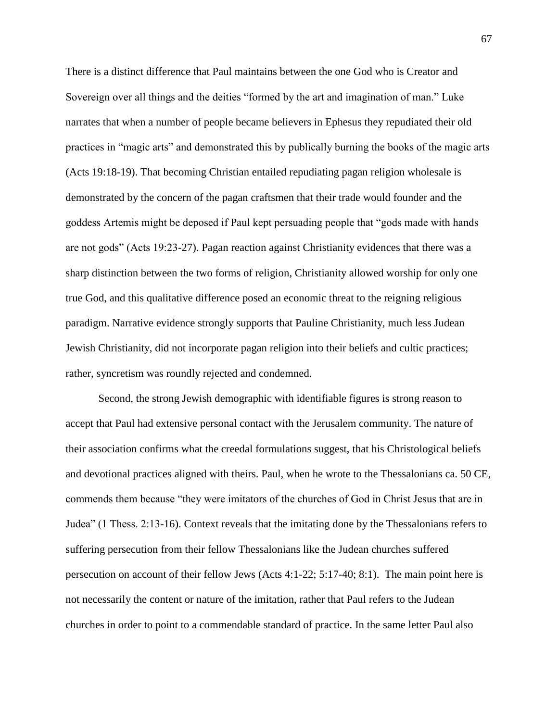There is a distinct difference that Paul maintains between the one God who is Creator and Sovereign over all things and the deities "formed by the art and imagination of man." Luke narrates that when a number of people became believers in Ephesus they repudiated their old practices in "magic arts" and demonstrated this by publically burning the books of the magic arts (Acts 19:18-19). That becoming Christian entailed repudiating pagan religion wholesale is demonstrated by the concern of the pagan craftsmen that their trade would founder and the goddess Artemis might be deposed if Paul kept persuading people that "gods made with hands are not gods" (Acts 19:23-27). Pagan reaction against Christianity evidences that there was a sharp distinction between the two forms of religion, Christianity allowed worship for only one true God, and this qualitative difference posed an economic threat to the reigning religious paradigm. Narrative evidence strongly supports that Pauline Christianity, much less Judean Jewish Christianity, did not incorporate pagan religion into their beliefs and cultic practices; rather, syncretism was roundly rejected and condemned.

Second, the strong Jewish demographic with identifiable figures is strong reason to accept that Paul had extensive personal contact with the Jerusalem community. The nature of their association confirms what the creedal formulations suggest, that his Christological beliefs and devotional practices aligned with theirs. Paul, when he wrote to the Thessalonians ca. 50 CE, commends them because "they were imitators of the churches of God in Christ Jesus that are in Judea" (1 Thess. 2:13-16). Context reveals that the imitating done by the Thessalonians refers to suffering persecution from their fellow Thessalonians like the Judean churches suffered persecution on account of their fellow Jews (Acts 4:1-22; 5:17-40; 8:1). The main point here is not necessarily the content or nature of the imitation, rather that Paul refers to the Judean churches in order to point to a commendable standard of practice. In the same letter Paul also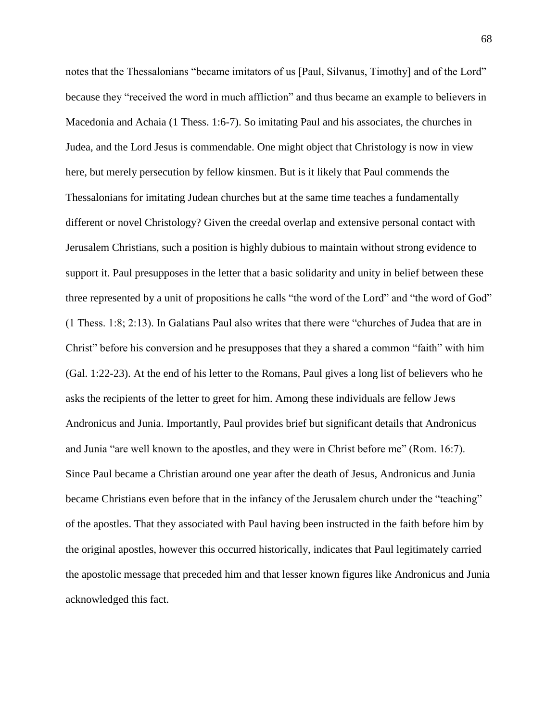notes that the Thessalonians "became imitators of us [Paul, Silvanus, Timothy] and of the Lord" because they "received the word in much affliction" and thus became an example to believers in Macedonia and Achaia (1 Thess. 1:6-7). So imitating Paul and his associates, the churches in Judea, and the Lord Jesus is commendable. One might object that Christology is now in view here, but merely persecution by fellow kinsmen. But is it likely that Paul commends the Thessalonians for imitating Judean churches but at the same time teaches a fundamentally different or novel Christology? Given the creedal overlap and extensive personal contact with Jerusalem Christians, such a position is highly dubious to maintain without strong evidence to support it. Paul presupposes in the letter that a basic solidarity and unity in belief between these three represented by a unit of propositions he calls "the word of the Lord" and "the word of God" (1 Thess. 1:8; 2:13). In Galatians Paul also writes that there were "churches of Judea that are in Christ" before his conversion and he presupposes that they a shared a common "faith" with him (Gal. 1:22-23). At the end of his letter to the Romans, Paul gives a long list of believers who he asks the recipients of the letter to greet for him. Among these individuals are fellow Jews Andronicus and Junia. Importantly, Paul provides brief but significant details that Andronicus and Junia "are well known to the apostles, and they were in Christ before me" (Rom. 16:7). Since Paul became a Christian around one year after the death of Jesus, Andronicus and Junia became Christians even before that in the infancy of the Jerusalem church under the "teaching" of the apostles. That they associated with Paul having been instructed in the faith before him by the original apostles, however this occurred historically, indicates that Paul legitimately carried the apostolic message that preceded him and that lesser known figures like Andronicus and Junia acknowledged this fact.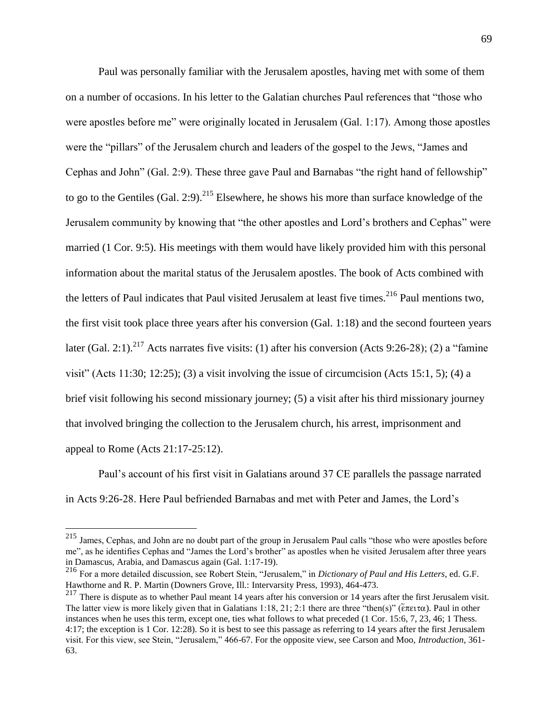Paul was personally familiar with the Jerusalem apostles, having met with some of them on a number of occasions. In his letter to the Galatian churches Paul references that "those who were apostles before me" were originally located in Jerusalem (Gal. 1:17). Among those apostles were the "pillars" of the Jerusalem church and leaders of the gospel to the Jews, "James and Cephas and John" (Gal. 2:9). These three gave Paul and Barnabas "the right hand of fellowship" to go to the Gentiles (Gal. 2:9).<sup>215</sup> Elsewhere, he shows his more than surface knowledge of the Jerusalem community by knowing that "the other apostles and Lord's brothers and Cephas" were married (1 Cor. 9:5). His meetings with them would have likely provided him with this personal information about the marital status of the Jerusalem apostles. The book of Acts combined with the letters of Paul indicates that Paul visited Jerusalem at least five times.<sup>216</sup> Paul mentions two, the first visit took place three years after his conversion (Gal. 1:18) and the second fourteen years later (Gal. 2:1).<sup>217</sup> Acts narrates five visits: (1) after his conversion (Acts 9:26-28); (2) a "famine" visit" (Acts 11:30; 12:25); (3) a visit involving the issue of circumcision (Acts 15:1, 5); (4) a brief visit following his second missionary journey; (5) a visit after his third missionary journey that involved bringing the collection to the Jerusalem church, his arrest, imprisonment and appeal to Rome (Acts 21:17-25:12).

Paul's account of his first visit in Galatians around 37 CE parallels the passage narrated in Acts 9:26-28. Here Paul befriended Barnabas and met with Peter and James, the Lord's

<sup>&</sup>lt;sup>215</sup> James, Cephas, and John are no doubt part of the group in Jerusalem Paul calls "those who were apostles before me", as he identifies Cephas and "James the Lord's brother" as apostles when he visited Jerusalem after three years in Damascus, Arabia, and Damascus again (Gal. 1:17-19).

<sup>216</sup> For a more detailed discussion, see Robert Stein, "Jerusalem," in *Dictionary of Paul and His Letters*, ed. G.F. Hawthorne and R. P. Martin (Downers Grove, Ill.: Intervarsity Press, 1993), 464-473.

 $217$  There is dispute as to whether Paul meant 14 years after his conversion or 14 years after the first Jerusalem visit. The latter view is more likely given that in Galatians 1:18, 21: 2:1 there are three "then(s)" ( $\epsilon \pi \epsilon_1 \tau \alpha$ ). Paul in other instances when he uses this term, except one, ties what follows to what preceded (1 Cor. 15:6, 7, 23, 46; 1 Thess. 4:17; the exception is 1 Cor. 12:28). So it is best to see this passage as referring to 14 years after the first Jerusalem visit. For this view, see Stein, "Jerusalem," 466-67. For the opposite view, see Carson and Moo, *Introduction*, 361- 63.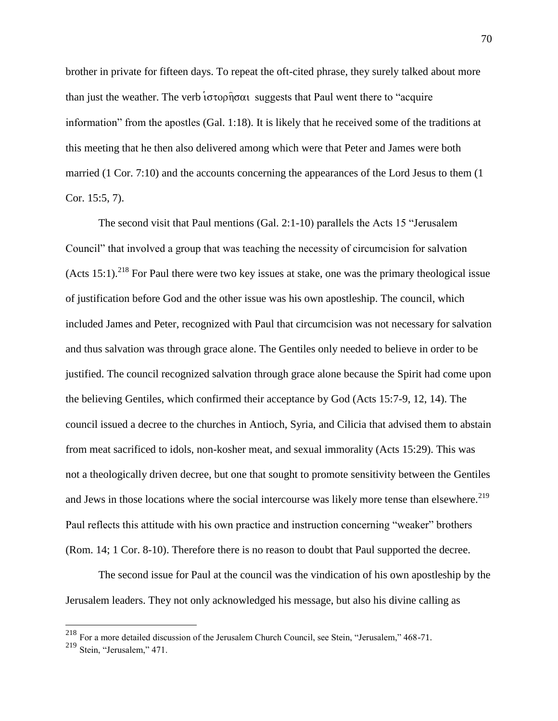brother in private for fifteen days. To repeat the oft-cited phrase, they surely talked about more than just the weather. The verb  $\overline{\text{toppoint}}$  suggests that Paul went there to "acquire" information" from the apostles (Gal. 1:18). It is likely that he received some of the traditions at this meeting that he then also delivered among which were that Peter and James were both married (1 Cor. 7:10) and the accounts concerning the appearances of the Lord Jesus to them (1 Cor. 15:5, 7).

The second visit that Paul mentions (Gal. 2:1-10) parallels the Acts 15 "Jerusalem Council" that involved a group that was teaching the necessity of circumcision for salvation  $(Acts 15:1).<sup>218</sup>$  For Paul there were two key issues at stake, one was the primary theological issue of justification before God and the other issue was his own apostleship. The council, which included James and Peter, recognized with Paul that circumcision was not necessary for salvation and thus salvation was through grace alone. The Gentiles only needed to believe in order to be justified. The council recognized salvation through grace alone because the Spirit had come upon the believing Gentiles, which confirmed their acceptance by God (Acts 15:7-9, 12, 14). The council issued a decree to the churches in Antioch, Syria, and Cilicia that advised them to abstain from meat sacrificed to idols, non-kosher meat, and sexual immorality (Acts 15:29). This was not a theologically driven decree, but one that sought to promote sensitivity between the Gentiles and Jews in those locations where the social intercourse was likely more tense than elsewhere.<sup>219</sup> Paul reflects this attitude with his own practice and instruction concerning "weaker" brothers (Rom. 14; 1 Cor. 8-10). Therefore there is no reason to doubt that Paul supported the decree.

The second issue for Paul at the council was the vindication of his own apostleship by the Jerusalem leaders. They not only acknowledged his message, but also his divine calling as

<sup>&</sup>lt;sup>218</sup> For a more detailed discussion of the Jerusalem Church Council, see Stein, "Jerusalem," 468-71.

<sup>219</sup> Stein, "Jerusalem," 471.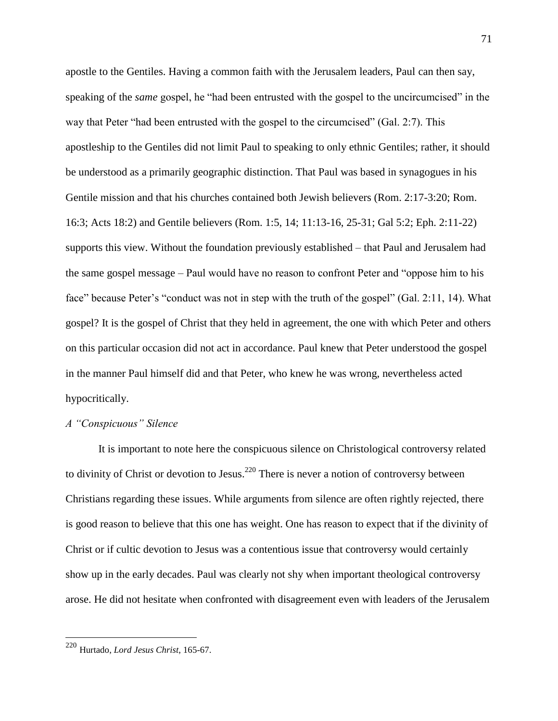apostle to the Gentiles. Having a common faith with the Jerusalem leaders, Paul can then say, speaking of the *same* gospel, he "had been entrusted with the gospel to the uncircumcised" in the way that Peter "had been entrusted with the gospel to the circumcised" (Gal. 2:7). This apostleship to the Gentiles did not limit Paul to speaking to only ethnic Gentiles; rather, it should be understood as a primarily geographic distinction. That Paul was based in synagogues in his Gentile mission and that his churches contained both Jewish believers (Rom. 2:17-3:20; Rom. 16:3; Acts 18:2) and Gentile believers (Rom. 1:5, 14; 11:13-16, 25-31; Gal 5:2; Eph. 2:11-22) supports this view. Without the foundation previously established – that Paul and Jerusalem had the same gospel message – Paul would have no reason to confront Peter and "oppose him to his face" because Peter's "conduct was not in step with the truth of the gospel" (Gal. 2:11, 14). What gospel? It is the gospel of Christ that they held in agreement, the one with which Peter and others on this particular occasion did not act in accordance. Paul knew that Peter understood the gospel in the manner Paul himself did and that Peter, who knew he was wrong, nevertheless acted hypocritically.

## *A "Conspicuous" Silence*

It is important to note here the conspicuous silence on Christological controversy related to divinity of Christ or devotion to Jesus.<sup>220</sup> There is never a notion of controversy between Christians regarding these issues. While arguments from silence are often rightly rejected, there is good reason to believe that this one has weight. One has reason to expect that if the divinity of Christ or if cultic devotion to Jesus was a contentious issue that controversy would certainly show up in the early decades. Paul was clearly not shy when important theological controversy arose. He did not hesitate when confronted with disagreement even with leaders of the Jerusalem

<sup>220</sup> Hurtado, *Lord Jesus Christ*, 165-67.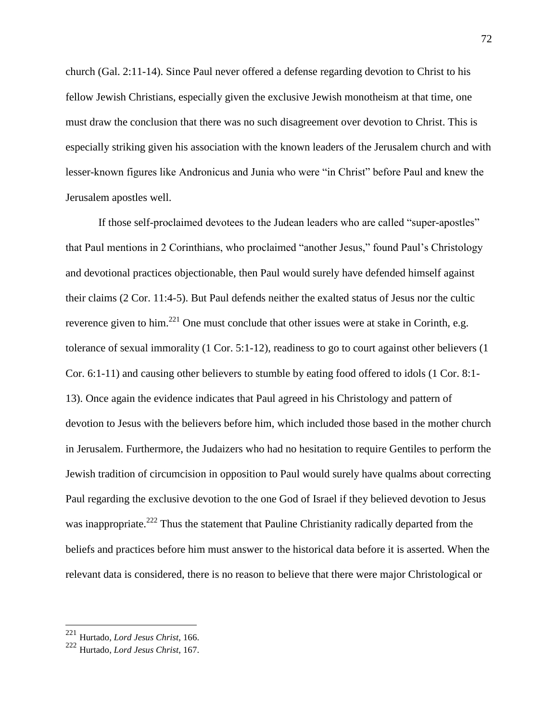church (Gal. 2:11-14). Since Paul never offered a defense regarding devotion to Christ to his fellow Jewish Christians, especially given the exclusive Jewish monotheism at that time, one must draw the conclusion that there was no such disagreement over devotion to Christ. This is especially striking given his association with the known leaders of the Jerusalem church and with lesser-known figures like Andronicus and Junia who were "in Christ" before Paul and knew the Jerusalem apostles well.

If those self-proclaimed devotees to the Judean leaders who are called "super-apostles" that Paul mentions in 2 Corinthians, who proclaimed "another Jesus," found Paul's Christology and devotional practices objectionable, then Paul would surely have defended himself against their claims (2 Cor. 11:4-5). But Paul defends neither the exalted status of Jesus nor the cultic reverence given to him.<sup>221</sup> One must conclude that other issues were at stake in Corinth, e.g. tolerance of sexual immorality (1 Cor. 5:1-12), readiness to go to court against other believers (1 Cor. 6:1-11) and causing other believers to stumble by eating food offered to idols (1 Cor. 8:1- 13). Once again the evidence indicates that Paul agreed in his Christology and pattern of devotion to Jesus with the believers before him, which included those based in the mother church in Jerusalem. Furthermore, the Judaizers who had no hesitation to require Gentiles to perform the Jewish tradition of circumcision in opposition to Paul would surely have qualms about correcting Paul regarding the exclusive devotion to the one God of Israel if they believed devotion to Jesus was inappropriate.<sup>222</sup> Thus the statement that Pauline Christianity radically departed from the beliefs and practices before him must answer to the historical data before it is asserted. When the relevant data is considered, there is no reason to believe that there were major Christological or

<sup>221</sup> Hurtado, *Lord Jesus Christ*, 166.

<sup>222</sup> Hurtado, *Lord Jesus Christ*, 167.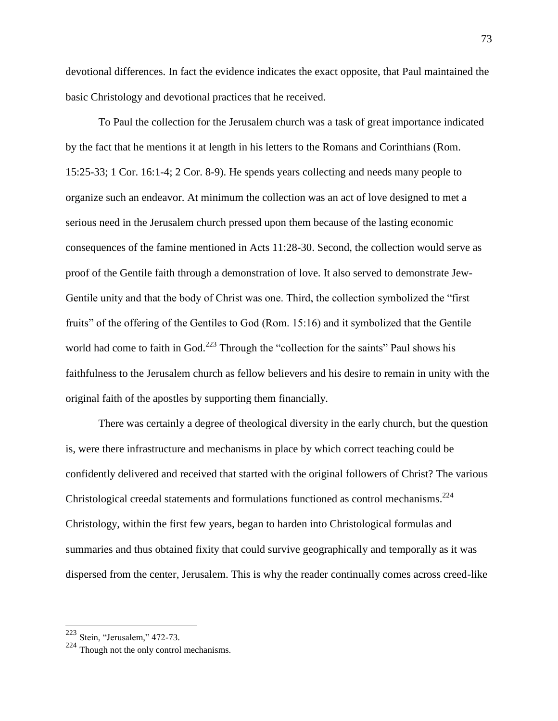devotional differences. In fact the evidence indicates the exact opposite, that Paul maintained the basic Christology and devotional practices that he received.

To Paul the collection for the Jerusalem church was a task of great importance indicated by the fact that he mentions it at length in his letters to the Romans and Corinthians (Rom. 15:25-33; 1 Cor. 16:1-4; 2 Cor. 8-9). He spends years collecting and needs many people to organize such an endeavor. At minimum the collection was an act of love designed to met a serious need in the Jerusalem church pressed upon them because of the lasting economic consequences of the famine mentioned in Acts 11:28-30. Second, the collection would serve as proof of the Gentile faith through a demonstration of love. It also served to demonstrate Jew-Gentile unity and that the body of Christ was one. Third, the collection symbolized the "first fruits" of the offering of the Gentiles to God (Rom. 15:16) and it symbolized that the Gentile world had come to faith in God.<sup>223</sup> Through the "collection for the saints" Paul shows his faithfulness to the Jerusalem church as fellow believers and his desire to remain in unity with the original faith of the apostles by supporting them financially.

There was certainly a degree of theological diversity in the early church, but the question is, were there infrastructure and mechanisms in place by which correct teaching could be confidently delivered and received that started with the original followers of Christ? The various Christological creedal statements and formulations functioned as control mechanisms. $^{224}$ Christology, within the first few years, began to harden into Christological formulas and summaries and thus obtained fixity that could survive geographically and temporally as it was dispersed from the center, Jerusalem. This is why the reader continually comes across creed-like

<sup>&</sup>lt;sup>223</sup> Stein, "Jerusalem," 472-73.

<sup>224</sup> Though not the only control mechanisms.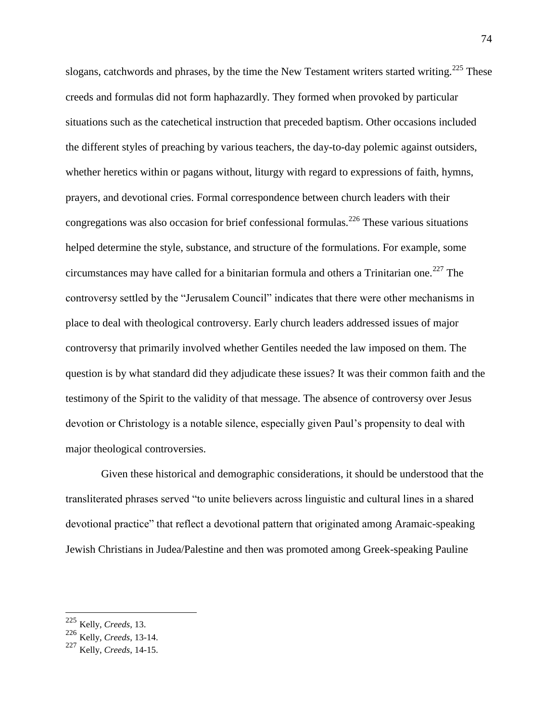slogans, catchwords and phrases, by the time the New Testament writers started writing.<sup>225</sup> These creeds and formulas did not form haphazardly. They formed when provoked by particular situations such as the catechetical instruction that preceded baptism. Other occasions included the different styles of preaching by various teachers, the day-to-day polemic against outsiders, whether heretics within or pagans without, liturgy with regard to expressions of faith, hymns, prayers, and devotional cries. Formal correspondence between church leaders with their congregations was also occasion for brief confessional formulas.<sup>226</sup> These various situations helped determine the style, substance, and structure of the formulations. For example, some circumstances may have called for a binitarian formula and others a Trinitarian one.<sup>227</sup> The controversy settled by the "Jerusalem Council" indicates that there were other mechanisms in place to deal with theological controversy. Early church leaders addressed issues of major controversy that primarily involved whether Gentiles needed the law imposed on them. The question is by what standard did they adjudicate these issues? It was their common faith and the testimony of the Spirit to the validity of that message. The absence of controversy over Jesus devotion or Christology is a notable silence, especially given Paul's propensity to deal with major theological controversies.

Given these historical and demographic considerations, it should be understood that the transliterated phrases served "to unite believers across linguistic and cultural lines in a shared devotional practice" that reflect a devotional pattern that originated among Aramaic-speaking Jewish Christians in Judea/Palestine and then was promoted among Greek-speaking Pauline

<sup>225</sup> Kelly, *Creeds*, 13.

<sup>226</sup> Kelly, *Creeds*, 13-14.

<sup>227</sup> Kelly, *Creeds*, 14-15.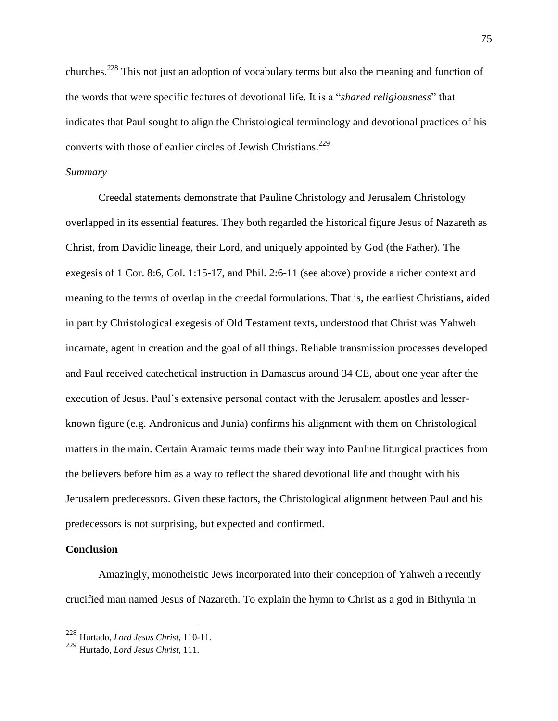churches.<sup>228</sup> This not just an adoption of vocabulary terms but also the meaning and function of the words that were specific features of devotional life. It is a "*shared religiousness*" that indicates that Paul sought to align the Christological terminology and devotional practices of his converts with those of earlier circles of Jewish Christians.<sup>229</sup>

## *Summary*

Creedal statements demonstrate that Pauline Christology and Jerusalem Christology overlapped in its essential features. They both regarded the historical figure Jesus of Nazareth as Christ, from Davidic lineage, their Lord, and uniquely appointed by God (the Father). The exegesis of 1 Cor. 8:6, Col. 1:15-17, and Phil. 2:6-11 (see above) provide a richer context and meaning to the terms of overlap in the creedal formulations. That is, the earliest Christians, aided in part by Christological exegesis of Old Testament texts, understood that Christ was Yahweh incarnate, agent in creation and the goal of all things. Reliable transmission processes developed and Paul received catechetical instruction in Damascus around 34 CE, about one year after the execution of Jesus. Paul's extensive personal contact with the Jerusalem apostles and lesserknown figure (e.g. Andronicus and Junia) confirms his alignment with them on Christological matters in the main. Certain Aramaic terms made their way into Pauline liturgical practices from the believers before him as a way to reflect the shared devotional life and thought with his Jerusalem predecessors. Given these factors, the Christological alignment between Paul and his predecessors is not surprising, but expected and confirmed.

## **Conclusion**

 $\overline{a}$ 

Amazingly, monotheistic Jews incorporated into their conception of Yahweh a recently crucified man named Jesus of Nazareth. To explain the hymn to Christ as a god in Bithynia in

<sup>228</sup> Hurtado, *Lord Jesus Christ*, 110-11.

<sup>229</sup> Hurtado, *Lord Jesus Christ*, 111.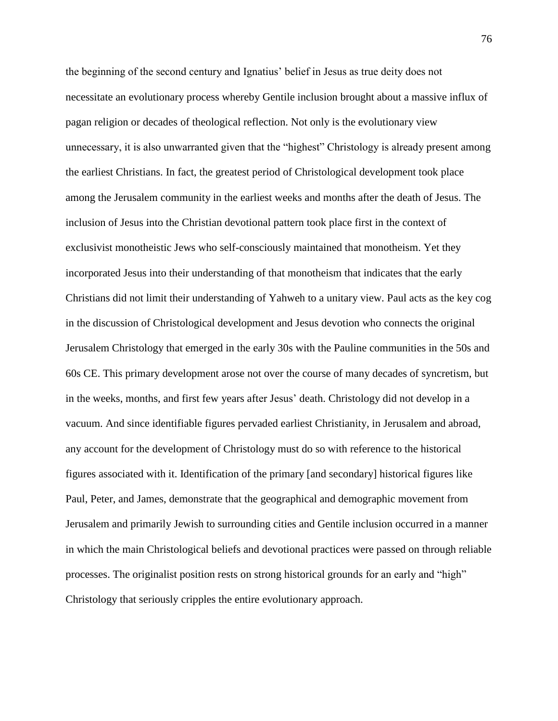the beginning of the second century and Ignatius' belief in Jesus as true deity does not necessitate an evolutionary process whereby Gentile inclusion brought about a massive influx of pagan religion or decades of theological reflection. Not only is the evolutionary view unnecessary, it is also unwarranted given that the "highest" Christology is already present among the earliest Christians. In fact, the greatest period of Christological development took place among the Jerusalem community in the earliest weeks and months after the death of Jesus. The inclusion of Jesus into the Christian devotional pattern took place first in the context of exclusivist monotheistic Jews who self-consciously maintained that monotheism. Yet they incorporated Jesus into their understanding of that monotheism that indicates that the early Christians did not limit their understanding of Yahweh to a unitary view. Paul acts as the key cog in the discussion of Christological development and Jesus devotion who connects the original Jerusalem Christology that emerged in the early 30s with the Pauline communities in the 50s and 60s CE. This primary development arose not over the course of many decades of syncretism, but in the weeks, months, and first few years after Jesus' death. Christology did not develop in a vacuum. And since identifiable figures pervaded earliest Christianity, in Jerusalem and abroad, any account for the development of Christology must do so with reference to the historical figures associated with it. Identification of the primary [and secondary] historical figures like Paul, Peter, and James, demonstrate that the geographical and demographic movement from Jerusalem and primarily Jewish to surrounding cities and Gentile inclusion occurred in a manner in which the main Christological beliefs and devotional practices were passed on through reliable processes. The originalist position rests on strong historical grounds for an early and "high" Christology that seriously cripples the entire evolutionary approach.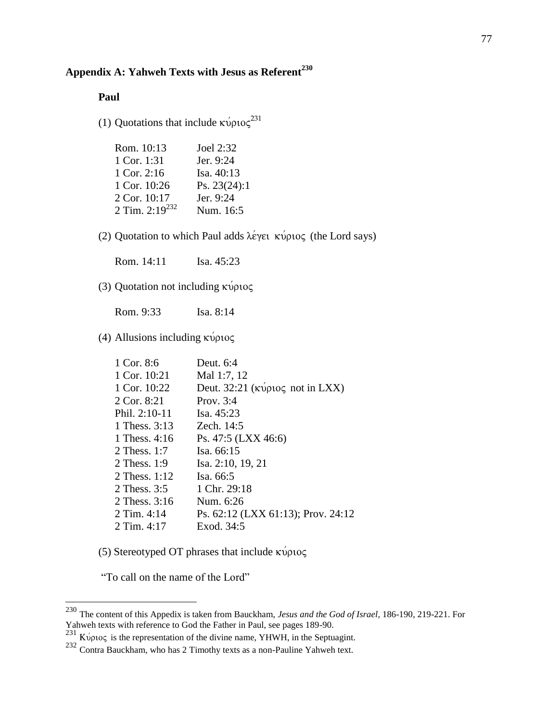# **Appendix A: Yahweh Texts with Jesus as Referent<sup>230</sup>**

## **Paul**

(1) Quotations that include  $\kappa \omega \rho \omega_0^{231}$ 

| Joel 2:32      |
|----------------|
| Jer. 9:24      |
| Isa. 40:13     |
| Ps. $23(24):1$ |
| Jer. 9:24      |
| Num. 16:5      |
|                |

(2) Quotation to which Paul adds  $\lambda \acute{\epsilon}$  (the Lord says) (the Lord says)

Rom. 14:11 Isa. 45:23

(3) Quotation not including  $\kappa \psi$ 

Rom. 9:33 Isa. 8:14

(4) Allusions including  $\kappa \psi \rho \iota o \varsigma$ 

| 1 Cor. 8:6      | Deut. $6:4$                                                     |
|-----------------|-----------------------------------------------------------------|
| 1 Cor. 10:21    | Mal 1:7, 12                                                     |
| 1 Cor. 10:22    | Deut. 32:21 ( $\kappa \omega \rho \omega \varsigma$ not in LXX) |
| 2 Cor. 8:21     | Prov. $3:4$                                                     |
| Phil. $2:10-11$ | Isa. $45:23$                                                    |
| 1 Thess. 3:13   | Zech. 14:5                                                      |
| 1 Thess. 4:16   | Ps. 47:5 (LXX 46:6)                                             |
| 2 Thess, $1:7$  | Isa. 66:15                                                      |
| 2 Thess. 1:9    | Isa. 2:10, 19, 21                                               |
| 2 Thess. $1:12$ | Isa. 66:5                                                       |
| 2 Thess. 3:5    | 1 Chr. 29:18                                                    |
| 2 Thess, $3:16$ | Num. 6:26                                                       |
| 2 Tim. $4:14$   | Ps. 62:12 (LXX 61:13); Prov. 24:12                              |
| 2 Tim. $4:17$   | Exod. 34:5                                                      |
|                 |                                                                 |

(5) Stereotyped OT phrases that include  $\kappa \nu \nu \nu o \varsigma$ 

"To call on the name of the Lord"

<sup>230</sup> The content of this Appedix is taken from Bauckham, *Jesus and the God of Israel*, 186-190, 219-221. For Yahweh texts with reference to God the Father in Paul, see pages 189-90.

 $^{231}$  Κύριος is the representation of the divine name, YHWH, in the Septuagint.

<sup>&</sup>lt;sup>232</sup> Contra Bauckham, who has 2 Timothy texts as a non-Pauline Yahweh text.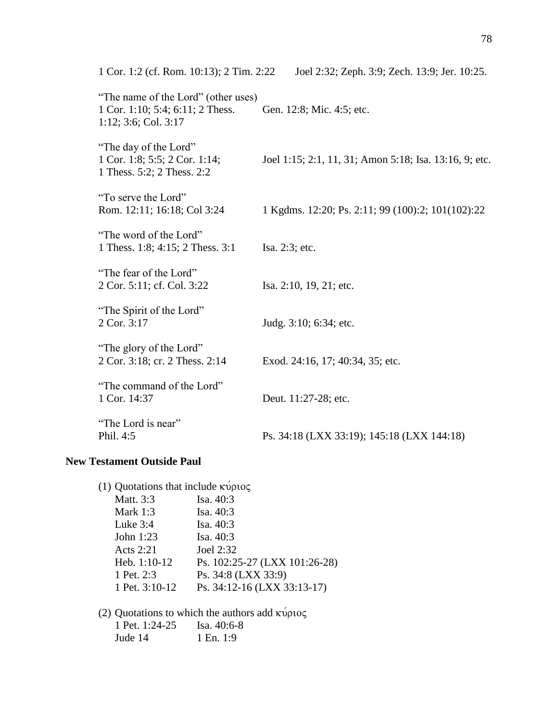| 1 Cor. 1:2 (cf. Rom. 10:13); 2 Tim. 2:22                                                        | Joel 2:32; Zeph. 3:9; Zech. 13:9; Jer. 10:25.          |
|-------------------------------------------------------------------------------------------------|--------------------------------------------------------|
| "The name of the Lord" (other uses)<br>1 Cor. 1:10; 5:4; 6:11; 2 Thess.<br>1:12; 3:6; Col. 3:17 | Gen. 12:8; Mic. 4:5; etc.                              |
| "The day of the Lord"<br>1 Cor. 1:8; 5:5; 2 Cor. 1:14;<br>1 Thess. 5:2; 2 Thess. 2:2            | Joel 1:15; 2:1, 11, 31; Amon 5:18; Isa. 13:16, 9; etc. |
| "To serve the Lord"<br>Rom. 12:11; 16:18; Col 3:24                                              | 1 Kgdms. 12:20; Ps. 2:11; 99 (100):2; 101(102):22      |
| "The word of the Lord"<br>1 Thess. 1:8; 4:15; 2 Thess. 3:1                                      | Isa. 2:3; etc.                                         |
| "The fear of the Lord"<br>2 Cor. 5:11; cf. Col. 3:22                                            | Isa. 2:10, 19, 21; etc.                                |
| "The Spirit of the Lord"<br>2 Cor. 3:17                                                         | Judg. 3:10; 6:34; etc.                                 |
| "The glory of the Lord"<br>2 Cor. 3:18; cr. 2 Thess. 2:14                                       | Exod. 24:16, 17; 40:34, 35; etc.                       |
| "The command of the Lord"<br>1 Cor. 14:37                                                       | Deut. 11:27-28; etc.                                   |
| "The Lord is near"<br>Phil. 4:5                                                                 | Ps. 34:18 (LXX 33:19); 145:18 (LXX 144:18)             |

## **New Testament Outside Paul**

| (1) Quotations that include $\kappa \psi \rho \omega \zeta$ |                               |
|-------------------------------------------------------------|-------------------------------|
| Matt. 3:3                                                   | Isa. 40:3                     |
| Mark $1:3$                                                  | Isa. $40:3$                   |
| Luke $3:4$                                                  | Isa. $40:3$                   |
| John 1:23                                                   | Isa. 40:3                     |
| Acts 2:21                                                   | Joel 2:32                     |
| Heb. 1:10-12                                                | Ps. 102:25-27 (LXX 101:26-28) |
| 1 Pet. 2:3                                                  | Ps. 34:8 (LXX 33:9)           |
| 1 Pet. 3:10-12                                              | Ps. 34:12-16 (LXX 33:13-17)   |
|                                                             |                               |

(2) Quotations to which the authors add  $\kappa\acute{\nu}\rho\iota o\varsigma$ 

| 1 Pet. $1:24-25$ | Isa. 40:6-8 |
|------------------|-------------|
| Jude 14          | 1 En. 1:9   |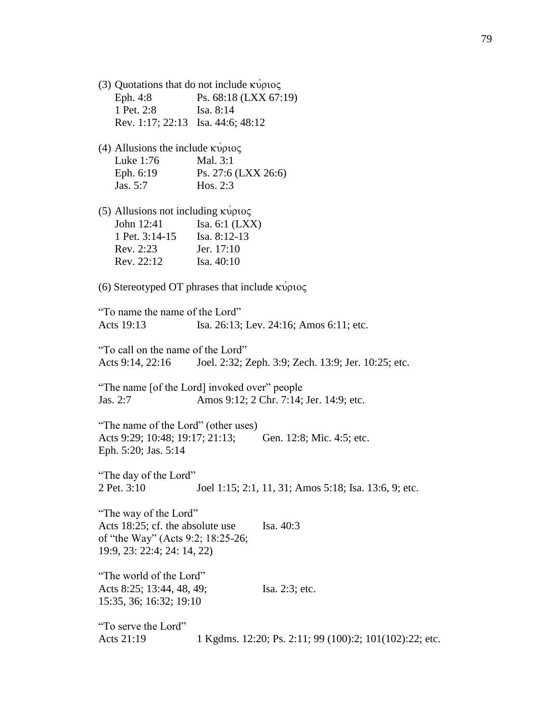| (3) Quotations that do not include $\kappa \nu \rho \nu o \varsigma$ |
|----------------------------------------------------------------------|
| Ps. 68:18 (LXX 67:19)                                                |
| Isa. $8:14$                                                          |
| Rev. 1:17; 22:13 Isa. 44:6; 48:12                                    |
|                                                                      |

(4) Allusions the include  $\kappa \psi$ Luke 1:76 Mal. 3:1 Eph. 6:19 Ps. 27:6 (LXX 26:6) Jas. 5:7 Hos. 2:3

(5) Allusions not including  $\kappa \psi \rho \omega \varsigma$ John 12:41 Isa. 6:1 (LXX) 1 Pet. 3:14-15 Isa. 8:12-13 Rev. 2:23 Jer. 17:10 Rev. 22:12 Isa. 40:10

(6) Stereotyped OT phrases that include  $\kappa \nu \rho \nu o \varsigma$ 

"To name the name of the Lord" Acts 19:13 Isa. 26:13; Lev. 24:16; Amos 6:11; etc.

"To call on the name of the Lord" Acts 9:14, 22:16 Joel. 2:32; Zeph. 3:9; Zech. 13:9; Jer. 10:25; etc.

"The name [of the Lord] invoked over" people Jas. 2:7 Amos 9:12; 2 Chr. 7:14; Jer. 14:9; etc.

"The name of the Lord" (other uses) Acts 9:29; 10:48; 19:17; 21:13; Gen. 12:8; Mic. 4:5; etc. Eph. 5:20; Jas. 5:14

"The day of the Lord" 2 Pet. 3:10 Joel 1:15; 2:1, 11, 31; Amos 5:18; Isa. 13:6, 9; etc.

"The way of the Lord" Acts 18:25; cf. the absolute use Isa. 40:3 of "the Way" (Acts 9:2; 18:25-26; 19:9, 23: 22:4; 24: 14, 22)

"The world of the Lord" Acts 8:25; 13:44, 48, 49; Isa. 2:3; etc. 15:35, 36; 16:32; 19:10

"To serve the Lord" Acts 21:19 1 Kgdms. 12:20; Ps. 2:11; 99 (100):2; 101(102):22; etc.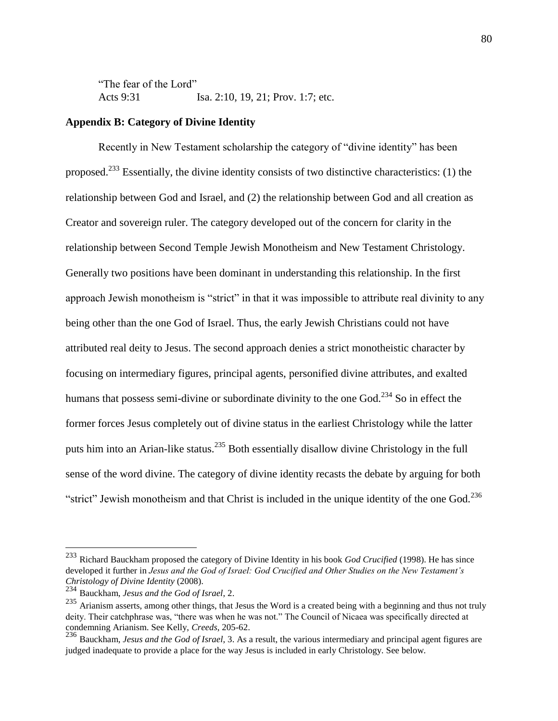"The fear of the Lord" Acts 9:31 Isa. 2:10, 19, 21; Prov. 1:7; etc.

## **Appendix B: Category of Divine Identity**

Recently in New Testament scholarship the category of "divine identity" has been proposed.<sup>233</sup> Essentially, the divine identity consists of two distinctive characteristics: (1) the relationship between God and Israel, and (2) the relationship between God and all creation as Creator and sovereign ruler. The category developed out of the concern for clarity in the relationship between Second Temple Jewish Monotheism and New Testament Christology. Generally two positions have been dominant in understanding this relationship. In the first approach Jewish monotheism is "strict" in that it was impossible to attribute real divinity to any being other than the one God of Israel. Thus, the early Jewish Christians could not have attributed real deity to Jesus. The second approach denies a strict monotheistic character by focusing on intermediary figures, principal agents, personified divine attributes, and exalted humans that possess semi-divine or subordinate divinity to the one God.<sup>234</sup> So in effect the former forces Jesus completely out of divine status in the earliest Christology while the latter puts him into an Arian-like status.<sup>235</sup> Both essentially disallow divine Christology in the full sense of the word divine. The category of divine identity recasts the debate by arguing for both "strict" Jewish monotheism and that Christ is included in the unique identity of the one God. $^{236}$ 

<sup>233</sup> Richard Bauckham proposed the category of Divine Identity in his book *God Crucified* (1998). He has since developed it further in *Jesus and the God of Israel: God Crucified and Other Studies on the New Testament's Christology of Divine Identity* (2008).

<sup>234</sup> Bauckham, *Jesus and the God of Israel*, 2.

<sup>235</sup> Arianism asserts, among other things, that Jesus the Word is a created being with a beginning and thus not truly deity. Their catchphrase was, "there was when he was not." The Council of Nicaea was specifically directed at condemning Arianism. See Kelly, *Creeds*, 205-62.

<sup>236</sup> Bauckham, *Jesus and the God of Israel*, 3. As a result, the various intermediary and principal agent figures are judged inadequate to provide a place for the way Jesus is included in early Christology. See below.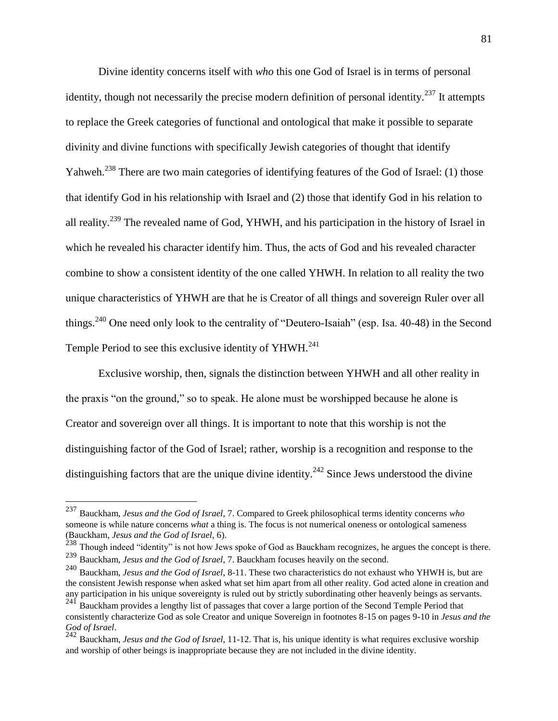Divine identity concerns itself with *who* this one God of Israel is in terms of personal identity, though not necessarily the precise modern definition of personal identity.<sup>237</sup> It attempts to replace the Greek categories of functional and ontological that make it possible to separate divinity and divine functions with specifically Jewish categories of thought that identify Yahweh.<sup>238</sup> There are two main categories of identifying features of the God of Israel: (1) those that identify God in his relationship with Israel and (2) those that identify God in his relation to all reality.<sup>239</sup> The revealed name of God, YHWH, and his participation in the history of Israel in which he revealed his character identify him. Thus, the acts of God and his revealed character combine to show a consistent identity of the one called YHWH. In relation to all reality the two unique characteristics of YHWH are that he is Creator of all things and sovereign Ruler over all things.<sup>240</sup> One need only look to the centrality of "Deutero-Isaiah" (esp. Isa. 40-48) in the Second Temple Period to see this exclusive identity of YHWH.<sup>241</sup>

Exclusive worship, then, signals the distinction between YHWH and all other reality in the praxis "on the ground," so to speak. He alone must be worshipped because he alone is Creator and sovereign over all things. It is important to note that this worship is not the distinguishing factor of the God of Israel; rather, worship is a recognition and response to the distinguishing factors that are the unique divine identity.<sup>242</sup> Since Jews understood the divine

<sup>237</sup> Bauckham, *Jesus and the God of Israel*, 7. Compared to Greek philosophical terms identity concerns *who* someone is while nature concerns *what* a thing is. The focus is not numerical oneness or ontological sameness (Bauckham, *Jesus and the God of Israel*, 6).

 $^{238}$  Though indeed "identity" is not how Jews spoke of God as Bauckham recognizes, he argues the concept is there.

<sup>239</sup> Bauckham, *Jesus and the God of Israel*, 7. Bauckham focuses heavily on the second.

<sup>240</sup> Bauckham, *Jesus and the God of Israel*, 8-11. These two characteristics do not exhaust who YHWH is, but are the consistent Jewish response when asked what set him apart from all other reality. God acted alone in creation and any participation in his unique sovereignty is ruled out by strictly subordinating other heavenly beings as servants.

<sup>241</sup> Bauckham provides a lengthy list of passages that cover a large portion of the Second Temple Period that consistently characterize God as sole Creator and unique Sovereign in footnotes 8-15 on pages 9-10 in *Jesus and the God of Israel*.

<sup>242</sup> Bauckham, *Jesus and the God of Israel*, 11-12. That is, his unique identity is what requires exclusive worship and worship of other beings is inappropriate because they are not included in the divine identity.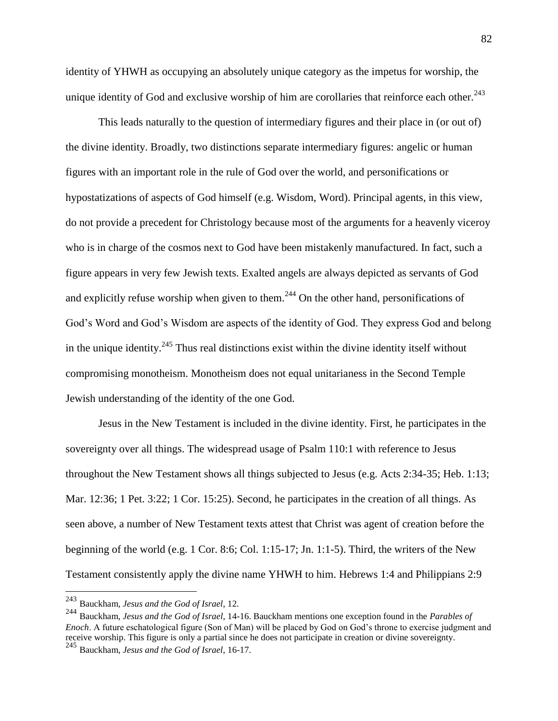identity of YHWH as occupying an absolutely unique category as the impetus for worship, the unique identity of God and exclusive worship of him are corollaries that reinforce each other. $^{243}$ 

This leads naturally to the question of intermediary figures and their place in (or out of) the divine identity. Broadly, two distinctions separate intermediary figures: angelic or human figures with an important role in the rule of God over the world, and personifications or hypostatizations of aspects of God himself (e.g. Wisdom, Word). Principal agents, in this view, do not provide a precedent for Christology because most of the arguments for a heavenly viceroy who is in charge of the cosmos next to God have been mistakenly manufactured. In fact, such a figure appears in very few Jewish texts. Exalted angels are always depicted as servants of God and explicitly refuse worship when given to them.<sup>244</sup> On the other hand, personifications of God's Word and God's Wisdom are aspects of the identity of God. They express God and belong in the unique identity.<sup>245</sup> Thus real distinctions exist within the divine identity itself without compromising monotheism. Monotheism does not equal unitarianess in the Second Temple Jewish understanding of the identity of the one God.

Jesus in the New Testament is included in the divine identity. First, he participates in the sovereignty over all things. The widespread usage of Psalm 110:1 with reference to Jesus throughout the New Testament shows all things subjected to Jesus (e.g. Acts 2:34-35; Heb. 1:13; Mar. 12:36; 1 Pet. 3:22; 1 Cor. 15:25). Second, he participates in the creation of all things. As seen above, a number of New Testament texts attest that Christ was agent of creation before the beginning of the world (e.g. 1 Cor. 8:6; Col. 1:15-17; Jn. 1:1-5). Third, the writers of the New Testament consistently apply the divine name YHWH to him. Hebrews 1:4 and Philippians 2:9

<sup>243</sup> Bauckham, *Jesus and the God of Israel*, 12.

<sup>244</sup> Bauckham, *Jesus and the God of Israel*, 14-16. Bauckham mentions one exception found in the *Parables of Enoch*. A future eschatological figure (Son of Man) will be placed by God on God's throne to exercise judgment and receive worship. This figure is only a partial since he does not participate in creation or divine sovereignty. <sup>245</sup> Bauckham, *Jesus and the God of Israel*, 16-17.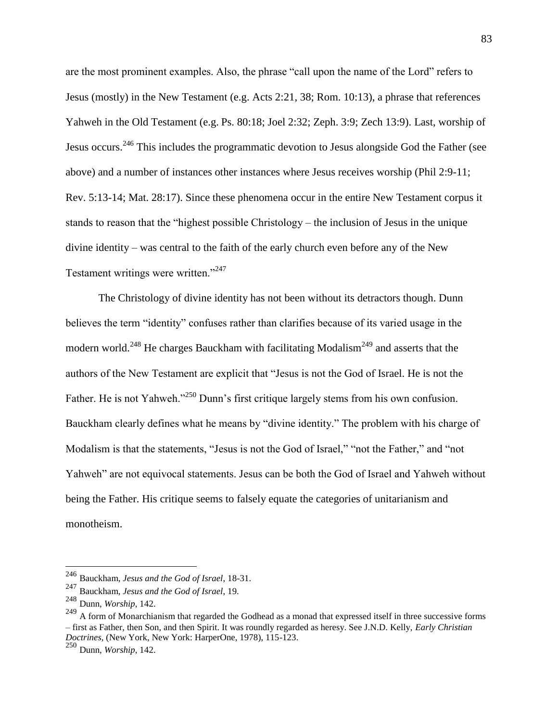are the most prominent examples. Also, the phrase "call upon the name of the Lord" refers to Jesus (mostly) in the New Testament (e.g. Acts 2:21, 38; Rom. 10:13), a phrase that references Yahweh in the Old Testament (e.g. Ps. 80:18; Joel 2:32; Zeph. 3:9; Zech 13:9). Last, worship of Jesus occurs.<sup>246</sup> This includes the programmatic devotion to Jesus alongside God the Father (see above) and a number of instances other instances where Jesus receives worship (Phil 2:9-11; Rev. 5:13-14; Mat. 28:17). Since these phenomena occur in the entire New Testament corpus it stands to reason that the "highest possible Christology – the inclusion of Jesus in the unique divine identity – was central to the faith of the early church even before any of the New Testament writings were written."<sup>247</sup>

The Christology of divine identity has not been without its detractors though. Dunn believes the term "identity" confuses rather than clarifies because of its varied usage in the modern world.<sup>248</sup> He charges Bauckham with facilitating Modalism<sup>249</sup> and asserts that the authors of the New Testament are explicit that "Jesus is not the God of Israel. He is not the Father. He is not Yahweh."<sup>250</sup> Dunn's first critique largely stems from his own confusion. Bauckham clearly defines what he means by "divine identity." The problem with his charge of Modalism is that the statements, "Jesus is not the God of Israel," "not the Father," and "not Yahweh" are not equivocal statements. Jesus can be both the God of Israel and Yahweh without being the Father. His critique seems to falsely equate the categories of unitarianism and monotheism.

<sup>246</sup> Bauckham, *Jesus and the God of Israel*, 18-31.

<sup>247</sup> Bauckham, *Jesus and the God of Israel*, 19.

<sup>248</sup> Dunn, *Worship*, 142.

<sup>&</sup>lt;sup>249</sup> A form of Monarchianism that regarded the Godhead as a monad that expressed itself in three successive forms – first as Father, then Son, and then Spirit. It was roundly regarded as heresy. See J.N.D. Kelly, *Early Christian Doctrines*, (New York, New York: HarperOne, 1978), 115-123.

<sup>250</sup> Dunn, *Worship*, 142.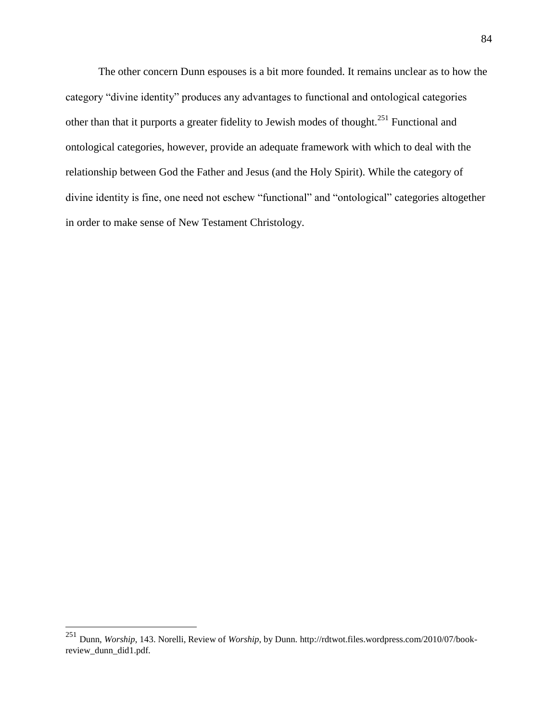The other concern Dunn espouses is a bit more founded. It remains unclear as to how the category "divine identity" produces any advantages to functional and ontological categories other than that it purports a greater fidelity to Jewish modes of thought.<sup>251</sup> Functional and ontological categories, however, provide an adequate framework with which to deal with the relationship between God the Father and Jesus (and the Holy Spirit). While the category of divine identity is fine, one need not eschew "functional" and "ontological" categories altogether in order to make sense of New Testament Christology.

<sup>251</sup> Dunn, *Worship*, 143. Norelli, Review of *Worship*, by Dunn. http://rdtwot.files.wordpress.com/2010/07/bookreview\_dunn\_did1.pdf.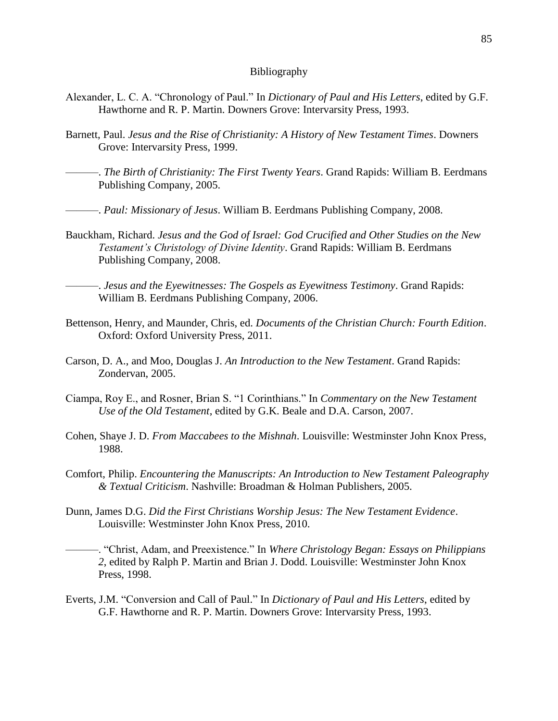#### Bibliography

- Alexander, L. C. A. "Chronology of Paul." In *Dictionary of Paul and His Letters*, edited by G.F. Hawthorne and R. P. Martin. Downers Grove: Intervarsity Press, 1993.
- Barnett, Paul. *Jesus and the Rise of Christianity: A History of New Testament Times*. Downers Grove: Intervarsity Press, 1999.
- ———. *The Birth of Christianity: The First Twenty Years*. Grand Rapids: William B. Eerdmans Publishing Company, 2005.
- ———. *Paul: Missionary of Jesus*. William B. Eerdmans Publishing Company, 2008.
- Bauckham, Richard. *Jesus and the God of Israel: God Crucified and Other Studies on the New Testament's Christology of Divine Identity*. Grand Rapids: William B. Eerdmans Publishing Company, 2008.

———. *Jesus and the Eyewitnesses: The Gospels as Eyewitness Testimony*. Grand Rapids: William B. Eerdmans Publishing Company, 2006.

- Bettenson, Henry, and Maunder, Chris, ed. *Documents of the Christian Church: Fourth Edition*. Oxford: Oxford University Press, 2011.
- Carson, D. A., and Moo, Douglas J. *An Introduction to the New Testament*. Grand Rapids: Zondervan, 2005.
- Ciampa, Roy E., and Rosner, Brian S. "1 Corinthians." In *Commentary on the New Testament Use of the Old Testament*, edited by G.K. Beale and D.A. Carson, 2007.
- Cohen, Shaye J. D. *From Maccabees to the Mishnah*. Louisville: Westminster John Knox Press, 1988.
- Comfort, Philip. *Encountering the Manuscripts: An Introduction to New Testament Paleography & Textual Criticism*. Nashville: Broadman & Holman Publishers, 2005.
- Dunn, James D.G. *Did the First Christians Worship Jesus: The New Testament Evidence*. Louisville: Westminster John Knox Press, 2010.

———. "Christ, Adam, and Preexistence." In *Where Christology Began: Essays on Philippians 2*, edited by Ralph P. Martin and Brian J. Dodd. Louisville: Westminster John Knox Press, 1998.

Everts, J.M. "Conversion and Call of Paul." In *Dictionary of Paul and His Letters*, edited by G.F. Hawthorne and R. P. Martin. Downers Grove: Intervarsity Press, 1993.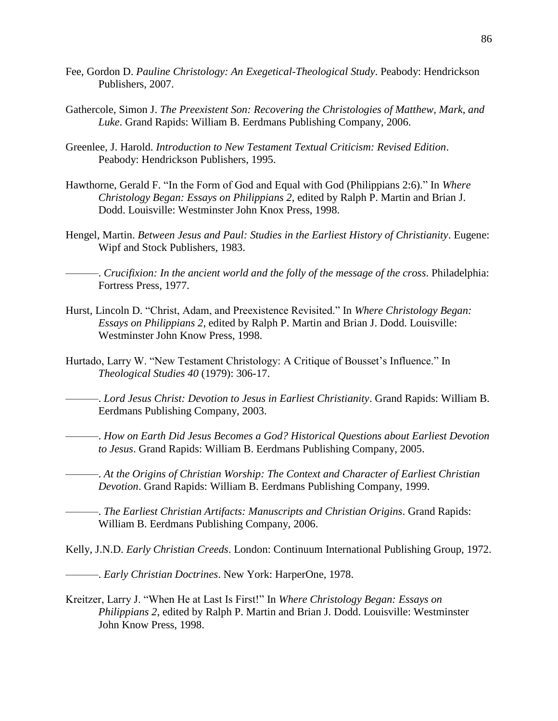- Fee, Gordon D. *Pauline Christology: An Exegetical-Theological Study*. Peabody: Hendrickson Publishers, 2007.
- Gathercole, Simon J. *The Preexistent Son: Recovering the Christologies of Matthew, Mark, and Luke*. Grand Rapids: William B. Eerdmans Publishing Company, 2006.
- Greenlee, J. Harold. *Introduction to New Testament Textual Criticism: Revised Edition*. Peabody: Hendrickson Publishers, 1995.
- Hawthorne, Gerald F. "In the Form of God and Equal with God (Philippians 2:6)." In *Where Christology Began: Essays on Philippians 2*, edited by Ralph P. Martin and Brian J. Dodd. Louisville: Westminster John Knox Press, 1998.
- Hengel, Martin. *Between Jesus and Paul: Studies in the Earliest History of Christianity*. Eugene: Wipf and Stock Publishers, 1983.

———. *Crucifixion: In the ancient world and the folly of the message of the cross*. Philadelphia: Fortress Press, 1977.

- Hurst, Lincoln D. "Christ, Adam, and Preexistence Revisited." In *Where Christology Began: Essays on Philippians 2*, edited by Ralph P. Martin and Brian J. Dodd. Louisville: Westminster John Know Press, 1998.
- Hurtado, Larry W. "New Testament Christology: A Critique of Bousset's Influence." In *Theological Studies 40* (1979): 306-17.

———. *Lord Jesus Christ: Devotion to Jesus in Earliest Christianity*. Grand Rapids: William B. Eerdmans Publishing Company, 2003.

———. *How on Earth Did Jesus Becomes a God? Historical Questions about Earliest Devotion to Jesus*. Grand Rapids: William B. Eerdmans Publishing Company, 2005.

———. *At the Origins of Christian Worship: The Context and Character of Earliest Christian Devotion*. Grand Rapids: William B. Eerdmans Publishing Company, 1999.

———. *The Earliest Christian Artifacts: Manuscripts and Christian Origins*. Grand Rapids: William B. Eerdmans Publishing Company, 2006.

Kelly, J.N.D. *Early Christian Creeds*. London: Continuum International Publishing Group, 1972.

———. *Early Christian Doctrines*. New York: HarperOne, 1978.

Kreitzer, Larry J. "When He at Last Is First!" In *Where Christology Began: Essays on Philippians 2*, edited by Ralph P. Martin and Brian J. Dodd. Louisville: Westminster John Know Press, 1998.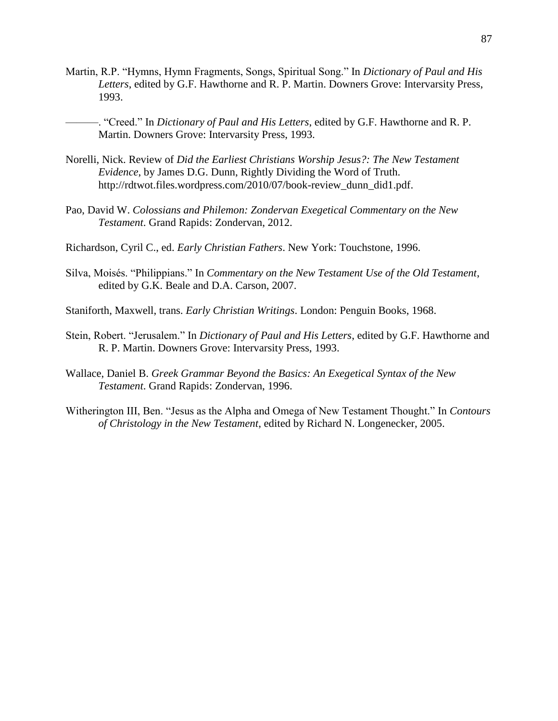- Martin, R.P. "Hymns, Hymn Fragments, Songs, Spiritual Song." In *Dictionary of Paul and His Letters*, edited by G.F. Hawthorne and R. P. Martin. Downers Grove: Intervarsity Press, 1993.
	- ———. "Creed." In *Dictionary of Paul and His Letters*, edited by G.F. Hawthorne and R. P. Martin. Downers Grove: Intervarsity Press, 1993.
- Norelli, Nick. Review of *Did the Earliest Christians Worship Jesus?: The New Testament Evidence*, by James D.G. Dunn, Rightly Dividing the Word of Truth. http://rdtwot.files.wordpress.com/2010/07/book-review\_dunn\_did1.pdf.
- Pao, David W. *Colossians and Philemon: Zondervan Exegetical Commentary on the New Testament*. Grand Rapids: Zondervan, 2012.

Richardson, Cyril C., ed. *Early Christian Fathers*. New York: Touchstone, 1996.

Silva, Moisés. "Philippians." In *Commentary on the New Testament Use of the Old Testament*, edited by G.K. Beale and D.A. Carson, 2007.

Staniforth, Maxwell, trans. *Early Christian Writings*. London: Penguin Books, 1968.

- Stein, Robert. "Jerusalem." In *Dictionary of Paul and His Letters*, edited by G.F. Hawthorne and R. P. Martin. Downers Grove: Intervarsity Press, 1993.
- Wallace, Daniel B. *Greek Grammar Beyond the Basics: An Exegetical Syntax of the New Testament*. Grand Rapids: Zondervan, 1996.
- Witherington III, Ben. "Jesus as the Alpha and Omega of New Testament Thought." In *Contours of Christology in the New Testament*, edited by Richard N. Longenecker, 2005.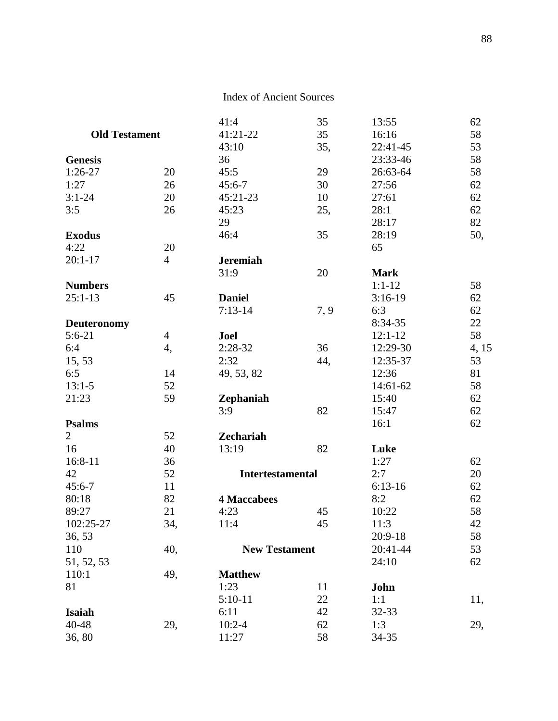|                      |                | 41:4                    | 35  | 13:55       | 62    |
|----------------------|----------------|-------------------------|-----|-------------|-------|
| <b>Old Testament</b> |                | 41:21-22                | 35  | 16:16       | 58    |
|                      |                | 43:10                   | 35, | 22:41-45    | 53    |
| <b>Genesis</b>       |                | 36                      |     | 23:33-46    | 58    |
| $1:26-27$            | 20             | 45:5                    | 29  | 26:63-64    | 58    |
| 1:27                 | 26             | $45:6 - 7$              | 30  | 27:56       | 62    |
| $3:1 - 24$           | 20             | 45:21-23                | 10  | 27:61       | 62    |
| 3:5                  | 26             | 45:23                   | 25, | 28:1        | 62    |
|                      |                | 29                      |     | 28:17       | 82    |
| <b>Exodus</b>        |                | 46:4                    | 35  | 28:19       | 50,   |
| 4:22                 | 20             |                         |     | 65          |       |
| $20:1 - 17$          | $\overline{4}$ | <b>Jeremiah</b>         |     |             |       |
|                      |                | 31:9                    | 20  | <b>Mark</b> |       |
| <b>Numbers</b>       |                |                         |     | $1:1-12$    | 58    |
| $25:1-13$            | 45             | <b>Daniel</b>           |     | $3:16-19$   | 62    |
|                      |                | $7:13-14$               | 7,9 | 6:3         | 62    |
| <b>Deuteronomy</b>   |                |                         |     | 8:34-35     | 22    |
| $5:6-21$             | $\overline{4}$ | Joel                    |     | $12:1 - 12$ | 58    |
| 6:4                  | 4,             | $2:28-32$               | 36  | 12:29-30    | 4, 15 |
| 15, 53               |                | 2:32                    | 44, | 12:35-37    | 53    |
| 6:5                  | 14             | 49, 53, 82              |     | 12:36       | 81    |
| $13:1-5$             | 52             |                         |     | 14:61-62    | 58    |
| 21:23                | 59             | Zephaniah               |     | 15:40       | 62    |
|                      |                | 3:9                     | 82  | 15:47       | 62    |
| <b>Psalms</b>        |                |                         |     | 16:1        | 62    |
| $\overline{2}$       | 52             | <b>Zechariah</b>        |     |             |       |
| 16                   | 40             | 13:19                   | 82  | Luke        |       |
| 16:8-11              | 36             |                         |     | 1:27        | 62    |
| 42                   | 52             | <b>Intertestamental</b> |     | 2:7         | 20    |
| $45:6 - 7$           | 11             |                         |     | $6:13-16$   | 62    |
| 80:18                | 82             | <b>4 Maccabees</b>      |     | 8:2         | 62    |
| 89:27                | 21             | 4:23                    | 45  | 10:22       | 58    |
| 102:25-27            | 34,            | 11:4                    | 45  | 11:3        | 42    |
| 36, 53               |                |                         |     | $20:9-18$   | 58    |
| 110                  | 40,            | <b>New Testament</b>    |     | 20:41-44    | 53    |
| 51, 52, 53           |                |                         |     | 24:10       | 62    |
| 110:1                | 49,            | <b>Matthew</b>          |     |             |       |
| 81                   |                | 1:23                    | 11  | John        |       |
|                      |                | $5:10-11$               | 22  | 1:1         | 11,   |
| Isaiah               |                | 6:11                    | 42  | 32-33       |       |
| 40-48                | 29,            | $10:2 - 4$              | 62  | 1:3         | 29,   |
| 36,80                |                | 11:27                   | 58  | 34-35       |       |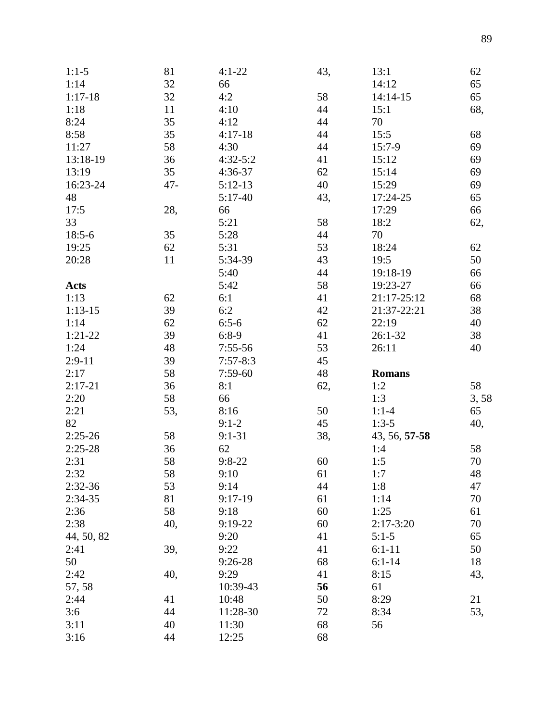| $1:1-5$     | 81     | $4:1 - 22$ | 43, | 13:1          | 62   |
|-------------|--------|------------|-----|---------------|------|
| 1:14        | 32     | 66         |     | 14:12         | 65   |
| $1:17-18$   | 32     | 4:2        | 58  | 14:14-15      | 65   |
| 1:18        | 11     | 4:10       | 44  | 15:1          | 68,  |
| 8:24        | 35     | 4:12       | 44  | 70            |      |
| 8:58        | 35     | $4:17-18$  | 44  | 15:5          | 68   |
| 11:27       | 58     | 4:30       | 44  | $15:7-9$      | 69   |
| 13:18-19    | 36     | $4:32-5:2$ | 41  | 15:12         | 69   |
| 13:19       | 35     | 4:36-37    | 62  | 15:14         | 69   |
| 16:23-24    | $47 -$ | $5:12-13$  | 40  | 15:29         | 69   |
| 48          |        | $5:17-40$  | 43, | 17:24-25      | 65   |
| 17:5        | 28,    | 66         |     | 17:29         | 66   |
| 33          |        | 5:21       | 58  | 18:2          | 62,  |
| $18:5-6$    | 35     | 5:28       | 44  | 70            |      |
| 19:25       | 62     | 5:31       | 53  | 18:24         | 62   |
| 20:28       | 11     | 5:34-39    | 43  | 19:5          | 50   |
|             |        | 5:40       | 44  | 19:18-19      | 66   |
| <b>Acts</b> |        | 5:42       | 58  | 19:23-27      | 66   |
| 1:13        | 62     | 6:1        | 41  | 21:17-25:12   | 68   |
| $1:13-15$   | 39     | 6:2        | 42  | 21:37-22:21   | 38   |
| 1:14        | 62     | $6:5-6$    | 62  | 22:19         | 40   |
| $1:21-22$   | 39     | $6:8-9$    | 41  | $26:1-32$     | 38   |
| 1:24        | 48     | $7:55-56$  | 53  | 26:11         | 40   |
| $2:9-11$    | 39     | $7:57-8:3$ | 45  |               |      |
| 2:17        | 58     | $7:59-60$  | 48  | <b>Romans</b> |      |
| $2:17-21$   | 36     | 8:1        | 62, | 1:2           | 58   |
| 2:20        | 58     | 66         |     | 1:3           | 3,58 |
| 2:21        | 53,    | 8:16       | 50  | $1:1-4$       | 65   |
| 82          |        | $9:1-2$    | 45  | $1:3-5$       | 40,  |
| $2:25-26$   | 58     | $9:1 - 31$ | 38, | 43, 56, 57-58 |      |
| $2:25-28$   | 36     | 62         |     | 1:4           | 58   |
| 2:31        | 58     | $9:8-22$   | 60  | 1:5           | 70   |
| 2:32        | 58     | 9:10       | 61  | 1:7           | 48   |
| $2:32-36$   | 53     | 9:14       | 44  | 1:8           | 47   |
| $2:34-35$   | 81     | $9:17-19$  | 61  | 1:14          | 70   |
| 2:36        | 58     | 9:18       | 60  | 1:25          | 61   |
| 2:38        | 40,    | 9:19-22    | 60  | $2:17-3:20$   | 70   |
| 44, 50, 82  |        | 9:20       | 41  | $5:1-5$       | 65   |
| 2:41        | 39,    | 9:22       | 41  | $6:1-11$      | 50   |
| 50          |        | $9:26-28$  | 68  | $6:1-14$      | 18   |
| 2:42        | 40,    | 9:29       | 41  | 8:15          | 43,  |
| 57, 58      |        | 10:39-43   | 56  | 61            |      |
| 2:44        | 41     | 10:48      | 50  | 8:29          | 21   |
| 3:6         | 44     | 11:28-30   | 72  | 8:34          | 53,  |
| 3:11        | 40     | 11:30      | 68  | 56            |      |
| 3:16        | 44     | 12:25      | 68  |               |      |
|             |        |            |     |               |      |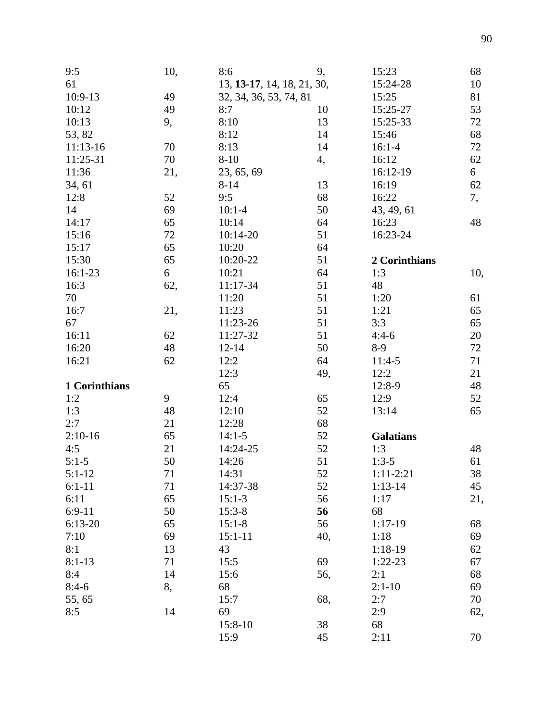| 9:5           | 10, | 8:6                        | 9,  | 15:23            | 68  |
|---------------|-----|----------------------------|-----|------------------|-----|
| 61            |     | 13, 13-17, 14, 18, 21, 30, |     | 15:24-28         | 10  |
| 10:9-13       | 49  | 32, 34, 36, 53, 74, 81     |     | 15:25            | 81  |
| 10:12         | 49  | 8:7                        | 10  | 15:25-27         | 53  |
| 10:13         | 9,  | 8:10                       | 13  | 15:25-33         | 72  |
| 53, 82        |     | 8:12                       | 14  | 15:46            | 68  |
| $11:13-16$    | 70  | 8:13                       | 14  | $16:1 - 4$       | 72  |
| 11:25-31      | 70  | $8 - 10$                   | 4,  | 16:12            | 62  |
| 11:36         | 21, | 23, 65, 69                 |     | 16:12-19         | 6   |
| 34, 61        |     | $8 - 14$                   | 13  | 16:19            | 62  |
| 12:8          | 52  | 9:5                        | 68  | 16:22            | 7,  |
| 14            | 69  | $10:1 - 4$                 | 50  | 43, 49, 61       |     |
| 14:17         | 65  | 10:14                      | 64  | 16:23            | 48  |
| 15:16         | 72  | 10:14-20                   | 51  | 16:23-24         |     |
| 15:17         | 65  | 10:20                      | 64  |                  |     |
| 15:30         | 65  | 10:20-22                   | 51  | 2 Corinthians    |     |
| $16:1-23$     | 6   | 10:21                      | 64  | 1:3              | 10, |
| 16:3          | 62, | 11:17-34                   | 51  | 48               |     |
| 70            |     | 11:20                      | 51  | 1:20             | 61  |
| 16:7          | 21, | 11:23                      | 51  | 1:21             | 65  |
| 67            |     | 11:23-26                   | 51  | 3:3              | 65  |
| 16:11         | 62  | 11:27-32                   | 51  | $4:4-6$          | 20  |
| 16:20         | 48  | $12 - 14$                  | 50  | $8-9$            | 72  |
| 16:21         | 62  | 12:2                       | 64  | $11:4-5$         | 71  |
|               |     | 12:3                       | 49, | 12:2             | 21  |
| 1 Corinthians |     | 65                         |     | 12:8-9           | 48  |
| 1:2           | 9   | 12:4                       | 65  | 12:9             | 52  |
| 1:3           | 48  | 12:10                      | 52  | 13:14            | 65  |
| 2:7           | 21  | 12:28                      | 68  |                  |     |
| $2:10-16$     | 65  | $14:1-5$                   | 52  | <b>Galatians</b> |     |
| 4:5           | 21  | 14:24-25                   | 52  | 1:3              | 48  |
| $5:1-5$       | 50  | 14:26                      | 51  | $1:3-5$          | 61  |
| $5:1-12$      | 71  | 14:31                      | 52  | $1:11-2:21$      | 38  |
| $6:1-11$      | 71  | 14:37-38                   | 52  | $1:13-14$        | 45  |
| 6:11          | 65  | $15:1-3$                   | 56  | 1:17             | 21, |
| $6:9-11$      | 50  | $15:3-8$                   | 56  | 68               |     |
| $6:13-20$     | 65  | $15:1-8$                   | 56  | $1:17-19$        | 68  |
| 7:10          | 69  | $15:1 - 11$                | 40, | 1:18             | 69  |
| 8:1           | 13  | 43                         |     | $1:18-19$        | 62  |
| $8:1-13$      | 71  | 15:5                       | 69  | $1:22-23$        | 67  |
| 8:4           | 14  | 15:6                       | 56, | 2:1              | 68  |
| $8:4-6$       | 8,  | 68                         |     | $2:1-10$         | 69  |
| 55, 65        |     | 15:7                       | 68, | 2:7              | 70  |
| 8:5           | 14  | 69                         |     | 2:9              | 62, |
|               |     | $15:8-10$                  | 38  | 68               |     |
|               |     | 15:9                       | 45  | 2:11             | 70  |
|               |     |                            |     |                  |     |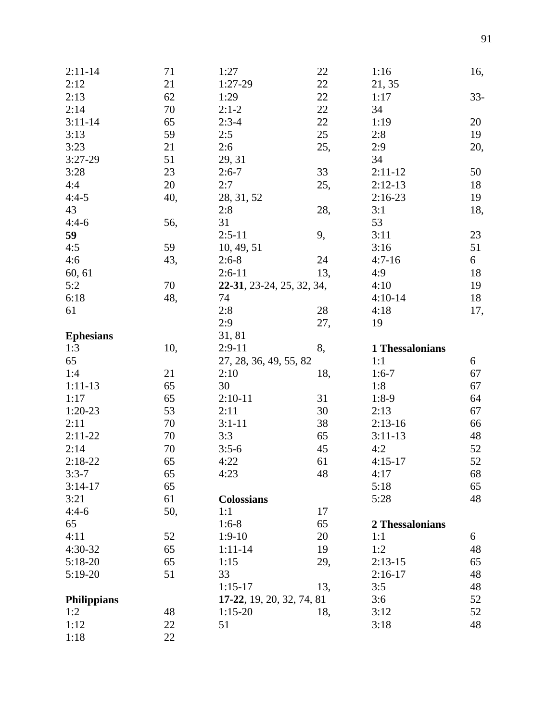| $2:11 - 14$        | 71  | 1:27                      | 22  | 1:16            | 16,    |
|--------------------|-----|---------------------------|-----|-----------------|--------|
| 2:12               | 21  | 1:27-29                   | 22  | 21, 35          |        |
| 2:13               | 62  | 1:29                      | 22  | 1:17            | $33 -$ |
| 2:14               | 70  | $2:1-2$                   | 22  | 34              |        |
| $3:11 - 14$        | 65  | $2:3-4$                   | 22  | 1:19            | 20     |
| 3:13               | 59  | 2:5                       | 25  | 2:8             | 19     |
| 3:23               | 21  | 2:6                       | 25, | 2:9             | 20,    |
| $3:27-29$          | 51  | 29, 31                    |     | 34              |        |
| 3:28               | 23  | $2:6-7$                   | 33  | $2:11-12$       | 50     |
| 4:4                | 20  | 2:7                       | 25, | $2:12-13$       | 18     |
| $4:4-5$            | 40, | 28, 31, 52                |     | $2:16-23$       | 19     |
| 43                 |     | 2:8                       | 28, | 3:1             | 18,    |
| $4:4-6$            | 56, | 31                        |     | 53              |        |
| 59                 |     | $2:5-11$                  | 9,  | 3:11            | 23     |
| 4:5                | 59  | 10, 49, 51                |     | 3:16            | 51     |
| 4:6                | 43, | $2:6-8$                   | 24  | $4:7-16$        | 6      |
| 60, 61             |     | $2:6-11$                  | 13, | 4:9             | 18     |
| 5:2                | 70  | 22-31, 23-24, 25, 32, 34, |     | 4:10            | 19     |
| 6:18               | 48, | 74                        |     | $4:10-14$       | 18     |
| 61                 |     | 2:8                       | 28  | 4:18            | 17,    |
|                    |     | 2:9                       | 27, | 19              |        |
| <b>Ephesians</b>   |     | 31, 81                    |     |                 |        |
| 1:3                | 10, | $2:9-11$                  | 8,  | 1 Thessalonians |        |
| 65                 |     | 27, 28, 36, 49, 55, 82    |     | 1:1             | 6      |
| 1:4                | 21  | 2:10                      | 18, | $1:6-7$         | 67     |
| $1:11-13$          | 65  | 30                        |     | 1:8             | 67     |
| 1:17               | 65  | $2:10-11$                 | 31  | $1:8-9$         | 64     |
| $1:20-23$          | 53  | 2:11                      | 30  | 2:13            | 67     |
| 2:11               | 70  | $3:1 - 11$                | 38  | $2:13-16$       | 66     |
| $2:11-22$          | 70  | 3:3                       | 65  | $3:11-13$       | 48     |
| 2:14               | 70  | $3:5-6$                   | 45  | 4:2             | 52     |
| $2:18-22$          | 65  | 4:22                      | 61  | $4:15-17$       | 52     |
| $3:3-7$            | 65  | 4:23                      | 48  | 4:17            | 68     |
| $3:14-17$          | 65  |                           |     | 5:18            | 65     |
| 3:21               | 61  | <b>Colossians</b>         |     | 5:28            | 48     |
| $4:4-6$            | 50, | 1:1                       | 17  |                 |        |
| 65                 |     | $1:6-8$                   | 65  | 2 Thessalonians |        |
| 4:11               | 52  | $1:9-10$                  | 20  | 1:1             | 6      |
| 4:30-32            | 65  | $1:11-14$                 | 19  | 1:2             | 48     |
| 5:18-20            | 65  | 1:15                      | 29, | $2:13-15$       | 65     |
| $5:19-20$          | 51  | 33                        |     | $2:16-17$       | 48     |
|                    |     | $1:15-17$                 | 13, | 3:5             | 48     |
| <b>Philippians</b> |     | 17-22, 19, 20, 32, 74, 81 |     | 3:6             | 52     |
| 1:2                | 48  | $1:15-20$                 | 18, | 3:12            | 52     |
| 1:12               | 22  | 51                        |     | 3:18            | 48     |
| 1:18               | 22  |                           |     |                 |        |
|                    |     |                           |     |                 |        |